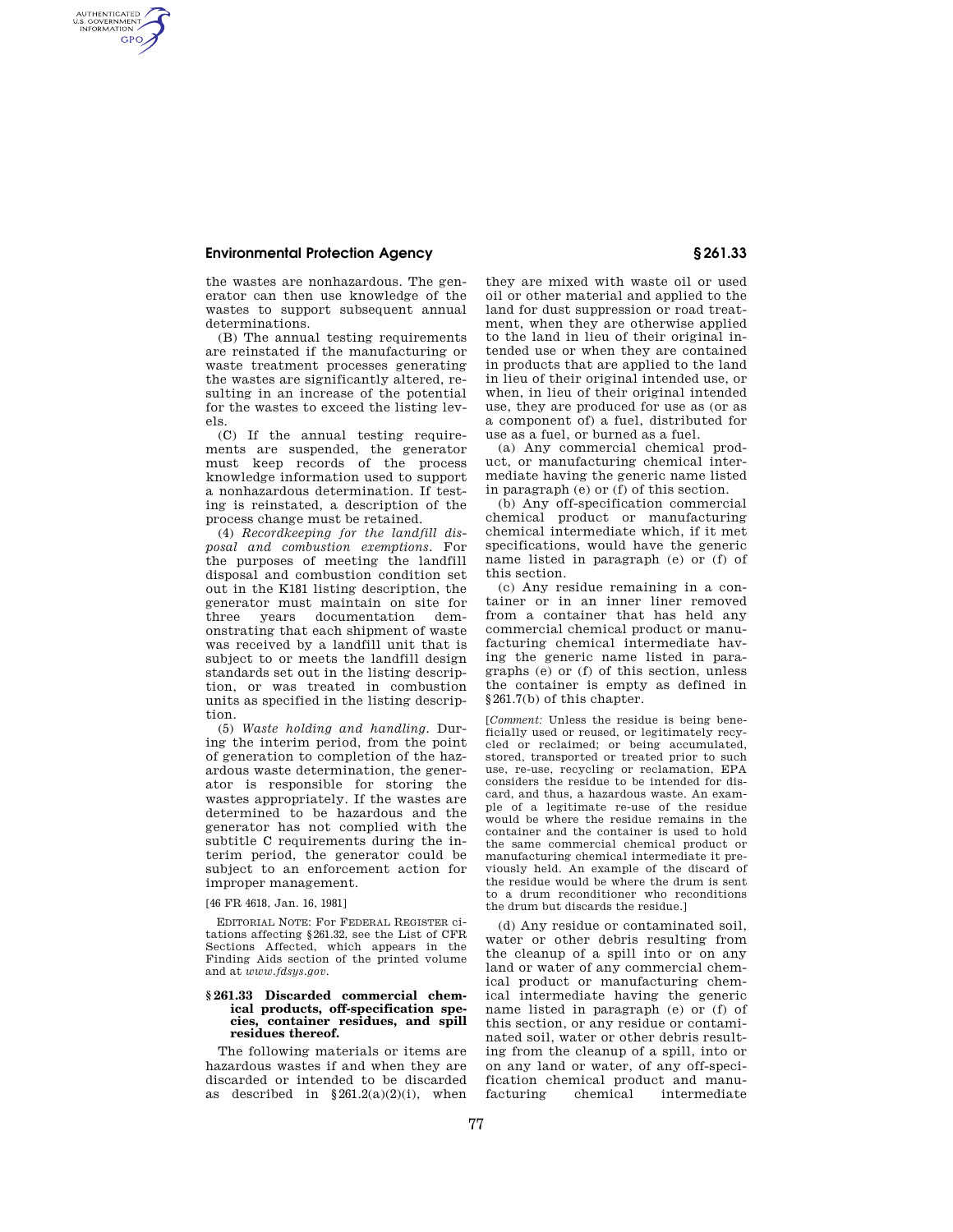AUTHENTICATED<br>U.S. GOVERNMENT<br>INFORMATION **GPO** 

the wastes are nonhazardous. The generator can then use knowledge of the wastes to support subsequent annual determinations.

(B) The annual testing requirements are reinstated if the manufacturing or waste treatment processes generating the wastes are significantly altered, resulting in an increase of the potential for the wastes to exceed the listing levels.

(C) If the annual testing requirements are suspended, the generator must keep records of the process knowledge information used to support a nonhazardous determination. If testing is reinstated, a description of the process change must be retained.

(4) *Recordkeeping for the landfill disposal and combustion exemptions.* For the purposes of meeting the landfill disposal and combustion condition set out in the K181 listing description, the generator must maintain on site for three years documentation demonstrating that each shipment of waste was received by a landfill unit that is subject to or meets the landfill design standards set out in the listing description, or was treated in combustion units as specified in the listing description.

(5) *Waste holding and handling.* During the interim period, from the point of generation to completion of the hazardous waste determination, the generator is responsible for storing the wastes appropriately. If the wastes are determined to be hazardous and the generator has not complied with the subtitle C requirements during the interim period, the generator could be subject to an enforcement action for improper management.

[46 FR 4618, Jan. 16, 1981]

EDITORIAL NOTE: For FEDERAL REGISTER citations affecting §261.32, see the List of CFR Sections Affected, which appears in the Finding Aids section of the printed volume and at *www.fdsys.gov*.

### **§ 261.33 Discarded commercial chemical products, off-specification species, container residues, and spill residues thereof.**

The following materials or items are hazardous wastes if and when they are discarded or intended to be discarded as described in  $§261.2(a)(2)(i)$ , when

they are mixed with waste oil or used oil or other material and applied to the land for dust suppression or road treatment, when they are otherwise applied to the land in lieu of their original intended use or when they are contained in products that are applied to the land in lieu of their original intended use, or when, in lieu of their original intended use, they are produced for use as (or as a component of) a fuel, distributed for use as a fuel, or burned as a fuel.

(a) Any commercial chemical product, or manufacturing chemical intermediate having the generic name listed in paragraph (e) or (f) of this section.

(b) Any off-specification commercial chemical product or manufacturing chemical intermediate which, if it met specifications, would have the generic name listed in paragraph (e) or (f) of this section.

(c) Any residue remaining in a container or in an inner liner removed from a container that has held any commercial chemical product or manufacturing chemical intermediate having the generic name listed in paragraphs (e) or (f) of this section, unless the container is empty as defined in §261.7(b) of this chapter.

[*Comment:* Unless the residue is being beneficially used or reused, or legitimately recycled or reclaimed; or being accumulated, stored, transported or treated prior to such use, re-use, recycling or reclamation, EPA considers the residue to be intended for discard, and thus, a hazardous waste. An example of a legitimate re-use of the residue would be where the residue remains in the container and the container is used to hold the same commercial chemical product or manufacturing chemical intermediate it previously held. An example of the discard of the residue would be where the drum is sent to a drum reconditioner who reconditions the drum but discards the residue.]

(d) Any residue or contaminated soil, water or other debris resulting from the cleanup of a spill into or on any land or water of any commercial chemical product or manufacturing chemical intermediate having the generic name listed in paragraph (e) or (f) of this section, or any residue or contaminated soil, water or other debris resulting from the cleanup of a spill, into or on any land or water, of any off-specification chemical product and manu-<br>facturing chemical intermediate intermediate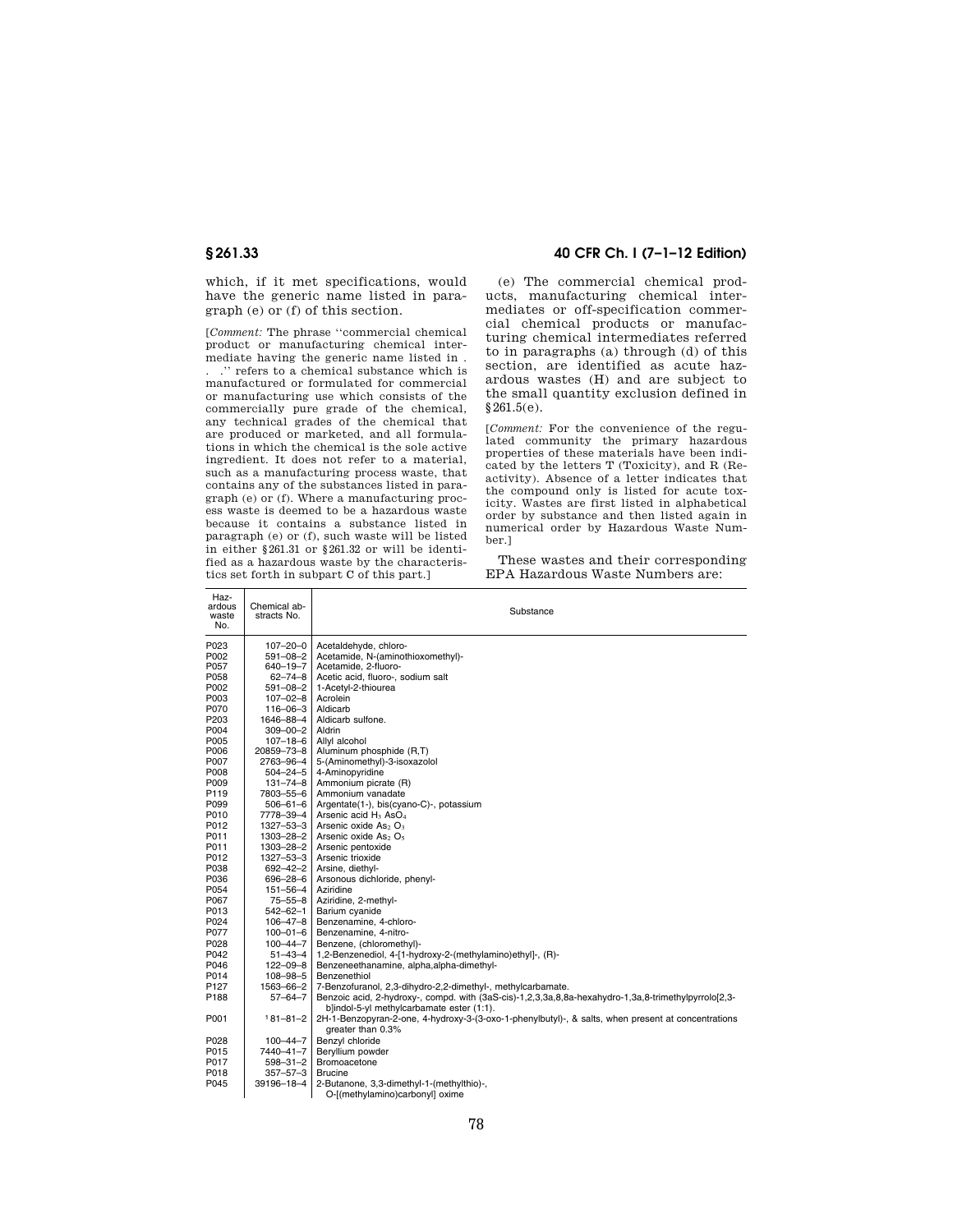which, if it met specifications, would have the generic name listed in paragraph (e) or (f) of this section.

[*Comment:* The phrase ''commercial chemical product or manufacturing chemical intermediate having the generic name listed in .

. .'' refers to a chemical substance which is manufactured or formulated for commercial or manufacturing use which consists of the commercially pure grade of the chemical, any technical grades of the chemical that are produced or marketed, and all formulations in which the chemical is the sole active ingredient. It does not refer to a material, such as a manufacturing process waste, that contains any of the substances listed in paragraph (e) or (f). Where a manufacturing process waste is deemed to be a hazardous waste because it contains a substance listed in paragraph (e) or (f), such waste will be listed in either §261.31 or §261.32 or will be identified as a hazardous waste by the characteristics set forth in subpart C of this part.]

### **§ 261.33 40 CFR Ch. I (7–1–12 Edition)**

(e) The commercial chemical products, manufacturing chemical intermediates or off-specification commercial chemical products or manufacturing chemical intermediates referred to in paragraphs (a) through (d) of this section, are identified as acute hazardous wastes (H) and are subject to the small quantity exclusion defined in §261.5(e).

[*Comment:* For the convenience of the regu-lated community the primary hazardous properties of these materials have been indicated by the letters T (Toxicity), and R (Reactivity). Absence of a letter indicates that the compound only is listed for acute toxicity. Wastes are first listed in alphabetical order by substance and then listed again in numerical order by Hazardous Waste Number.]

These wastes and their corresponding EPA Hazardous Waste Numbers are:

| Haz-<br>ardous<br>waste<br>No. | Chemical ab-<br>stracts No.        | Substance                                                                                                               |
|--------------------------------|------------------------------------|-------------------------------------------------------------------------------------------------------------------------|
| P023                           | $107 - 20 - 0$                     | Acetaldehyde, chloro-                                                                                                   |
| P002                           | 591-08-2 l                         | Acetamide, N-(aminothioxomethyl)-                                                                                       |
| P057                           | $640 - 19 - 7$                     | Acetamide, 2-fluoro-                                                                                                    |
| P058                           | $62 - 74 - 8$                      | Acetic acid, fluoro-, sodium salt                                                                                       |
| P002                           | $591 - 08 - 2$                     | 1-Acetyl-2-thiourea                                                                                                     |
| P003                           | $107 - 02 - 8$                     | Acrolein                                                                                                                |
| P070                           | 116-06-3                           | Aldicarb                                                                                                                |
| P203                           | $1646 - 88 - 4$                    | Aldicarb sulfone.                                                                                                       |
| P004                           | 309-00-2 l                         | Aldrin                                                                                                                  |
| P005                           | $107 - 18 - 6$                     | Allyl alcohol                                                                                                           |
| P006                           | 20859-73-8                         | Aluminum phosphide (R,T)                                                                                                |
| P007                           | 2763-96-4                          | 5-(Aminomethyl)-3-isoxazolol                                                                                            |
| P008                           | $504 - 24 - 5$                     | 4-Aminopyridine                                                                                                         |
| P009                           | $131 - 74 - 8$                     | Ammonium picrate (R)                                                                                                    |
| P119                           | 7803-55-6                          | Ammonium vanadate                                                                                                       |
| P099                           | 506-61-6 l                         | Argentate(1-), bis(cyano-C)-, potassium                                                                                 |
| P010                           | 7778-39-4                          | Arsenic acid H <sub>3</sub> AsO <sub>4</sub>                                                                            |
| P012                           | $1327 - 53 - 3$<br>$1303 - 28 - 2$ | Arsenic oxide As <sub>2</sub> O <sub>3</sub>                                                                            |
| P011<br>P011                   | $1303 - 28 - 2$                    | Arsenic oxide As <sub>2</sub> O <sub>5</sub><br>Arsenic pentoxide                                                       |
| P012                           | 1327-53-3                          | Arsenic trioxide                                                                                                        |
| P038                           | $692 - 42 - 2$                     | Arsine, diethyl-                                                                                                        |
| P036                           | 696-28-6                           | Arsonous dichloride, phenyl-                                                                                            |
| P054                           | 151-56-4                           | Aziridine                                                                                                               |
| P067                           | $75 - 55 - 8$                      | Aziridine, 2-methyl-                                                                                                    |
| P013                           | 542-62-1                           | Barium cyanide                                                                                                          |
| P024                           | $106 - 47 - 8$                     | Benzenamine, 4-chloro-                                                                                                  |
| P077                           | 100-01-6                           | Benzenamine, 4-nitro-                                                                                                   |
| P028                           | $100 - 44 - 7$                     | Benzene, (chloromethyl)-                                                                                                |
| P042                           | $51 - 43 - 4$                      | 1,2-Benzenediol, 4-[1-hydroxy-2-(methylamino)ethyl]-, (R)-                                                              |
| P046                           | $122 - 09 - 8$                     | Benzeneethanamine, alpha, alpha-dimethyl-                                                                               |
| P014                           | $108 - 98 - 5$                     | Benzenethiol                                                                                                            |
| P <sub>127</sub>               | 1563-66-2                          | 7-Benzofuranol, 2,3-dihydro-2,2-dimethyl-, methylcarbamate.                                                             |
| P188                           | 57–64–7                            | Benzoic acid, 2-hydroxy-, compd. with (3aS-cis)-1,2,3,3a,8,8a-hexahydro-1,3a,8-trimethylpyrrolo[2,3-                    |
|                                |                                    | b]indol-5-yl methylcarbamate ester (1:1).                                                                               |
| P001                           | $181 - 81 - 2$                     | 2H-1-Benzopyran-2-one, 4-hydroxy-3-(3-oxo-1-phenylbutyl)-, & salts, when present at concentrations<br>greater than 0.3% |
| P028                           | $100 - 44 - 7$                     | Benzvl chloride                                                                                                         |
| P015                           | 7440-41-7                          | Beryllium powder                                                                                                        |
| P017                           | 598-31-2                           | <b>Bromoacetone</b>                                                                                                     |
| P018                           | 357-57-3                           | <b>Brucine</b>                                                                                                          |
| P045                           | 39196-18-4                         | 2-Butanone, 3,3-dimethyl-1-(methylthio)-,                                                                               |
|                                |                                    | O-[(methylamino)carbonyl] oxime                                                                                         |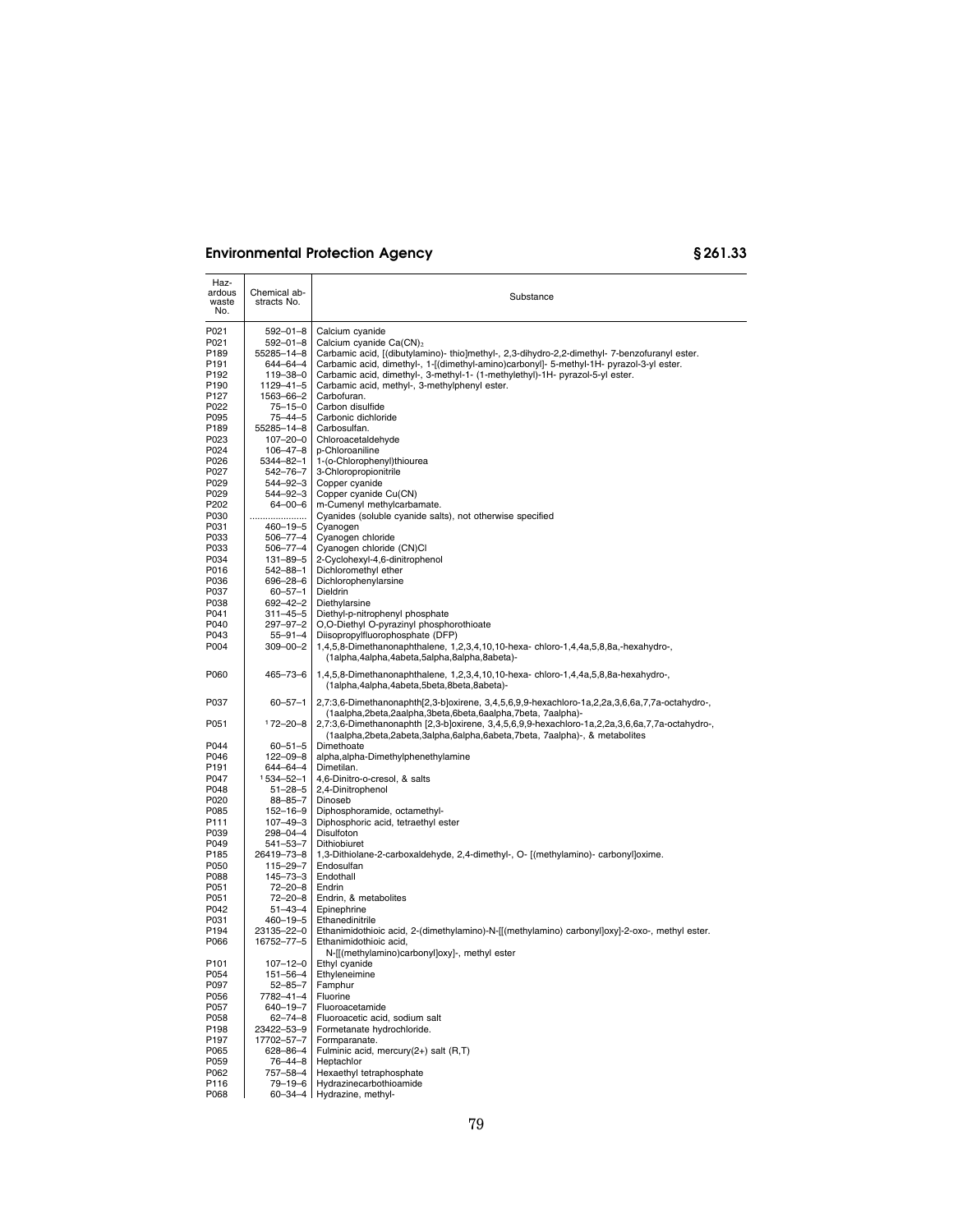| Haz-<br>ardous<br>waste<br>No. | Chemical ab-<br>stracts No. | Substance                                                                                                                                                                    |
|--------------------------------|-----------------------------|------------------------------------------------------------------------------------------------------------------------------------------------------------------------------|
| P021                           | 592-01-8                    | Calcium cyanide                                                                                                                                                              |
| P021                           | 592-01-8                    | Calcium cyanide $Ca(CN)2$                                                                                                                                                    |
| P189                           | 55285-14-8                  | Carbamic acid, [(dibutylamino)- thio]methyl-, 2,3-dihydro-2,2-dimethyl- 7-benzofuranyl ester.                                                                                |
| P191                           | 644-64-4                    | Carbamic acid, dimethyl-, 1-[(dimethyl-amino)carbonyl]- 5-methyl-1H- pyrazol-3-yl ester.                                                                                     |
| P <sub>192</sub>               | 119-38-0                    | Carbamic acid, dimethyl-, 3-methyl-1- (1-methylethyl)-1H- pyrazol-5-yl ester.                                                                                                |
| P <sub>190</sub>               | 1129-41-5                   | Carbamic acid, methyl-, 3-methylphenyl ester.                                                                                                                                |
| P127                           | 1563-66-2                   | Carbofuran.                                                                                                                                                                  |
| P022                           | $75 - 15 - 0$               | Carbon disulfide                                                                                                                                                             |
| P095                           | 75-44-5                     | Carbonic dichloride                                                                                                                                                          |
| P189                           | 55285-14-8                  | Carbosulfan.                                                                                                                                                                 |
| P023                           | $107 - 20 - 0$              | Chloroacetaldehyde                                                                                                                                                           |
| P024                           | 106-47-8                    | p-Chloroaniline                                                                                                                                                              |
| P026                           | 5344-82-1                   | 1-(o-Chlorophenyl)thiourea                                                                                                                                                   |
| P027                           | 542-76-7                    | 3-Chloropropionitrile                                                                                                                                                        |
| P029                           | 544–92–3                    | Copper cyanide                                                                                                                                                               |
| P029                           | 544–92–3                    | Copper cyanide Cu(CN)                                                                                                                                                        |
| P202                           | 64-00-6                     | m-Cumenyl methylcarbamate.                                                                                                                                                   |
| P030                           |                             | Cyanides (soluble cyanide salts), not otherwise specified                                                                                                                    |
| P031<br>P033                   | 460-19-5<br>506-77-4        | Cyanogen<br>Cyanogen chloride                                                                                                                                                |
| P033                           | 506–77–4                    | Cyanogen chloride (CN)Cl                                                                                                                                                     |
| P034                           | 131-89-5                    | 2-Cyclohexyl-4,6-dinitrophenol                                                                                                                                               |
| P016                           | 542–88–1                    | Dichloromethyl ether                                                                                                                                                         |
| P036                           | 696–28–6                    | Dichlorophenylarsine                                                                                                                                                         |
| P037                           | $60 - 57 - 1$               | Dieldrin                                                                                                                                                                     |
| P038                           | 692-42-2                    | Diethylarsine                                                                                                                                                                |
| P041                           | 311–45–5                    | Diethyl-p-nitrophenyl phosphate                                                                                                                                              |
| P040                           | 297-97-2                    | O,O-Diethyl O-pyrazinyl phosphorothioate                                                                                                                                     |
| P043                           | $55 - 91 - 4$               | Diisopropylfluorophosphate (DFP)                                                                                                                                             |
| P004                           | 309-00-2                    | 1,4,5,8-Dimethanonaphthalene, 1,2,3,4,10,10-hexa-chloro-1,4,4a,5,8,8a,-hexahydro-,<br>(1alpha,4alpha,4abeta,5alpha,8alpha,8abeta)-                                           |
| P060                           | 465–73–6                    | 1,4,5,8-Dimethanonaphthalene, 1,2,3,4,10,10-hexa-chloro-1,4,4a,5,8,8a-hexahydro-,<br>(1alpha,4alpha,4abeta,5beta,8beta,8abeta)-                                              |
| P037                           | $60 - 57 - 1$               | $2,7:3,6$ -Dimethanonaphth $[2,3$ -b]oxirene, $3,4,5,6,9,9$ -hexachloro-1a, $2,2a,3,6,6a,7,7a$ -octahydro-,<br>(1aalpha,2beta,2aalpha,3beta,6beta,6aalpha,7beta, 7aalpha)-   |
| P051                           | $172 - 20 - 8$              | 2,7:3,6-Dimethanonaphth [2,3-b]oxirene, 3,4,5,6,9,9-hexachloro-1a,2,2a,3,6,6a,7,7a-octahydro-,<br>(1aalpha,2beta,2abeta,3alpha,6alpha,6abeta,7beta, 7aalpha)-, & metabolites |
| P044                           | $60 - 51 - 5$               | Dimethoate                                                                                                                                                                   |
| P046                           | $122 - 09 - 8$              | alpha, alpha-Dimethylphenethylamine                                                                                                                                          |
| P191                           | 644-64-4                    | Dimetilan.                                                                                                                                                                   |
| P047                           | 1534-52-1                   | 4,6-Dinitro-o-cresol, & salts                                                                                                                                                |
| P048                           | $51 - 28 - 5$               | 2,4-Dinitrophenol                                                                                                                                                            |
| P020                           | 88-85-7                     | Dinoseb                                                                                                                                                                      |
| P085<br>P111                   | 152-16-9<br>107-49-3        | Diphosphoramide, octamethyl-<br>Diphosphoric acid, tetraethyl ester                                                                                                          |
| P039                           | 298–04–4                    | Disulfoton                                                                                                                                                                   |
| P049                           | 541-53-7                    | Dithiobiuret                                                                                                                                                                 |
| P185                           | 26419-73-8                  | 1,3-Dithiolane-2-carboxaldehyde, 2,4-dimethyl-, O- [(methylamino)- carbonyl]oxime.                                                                                           |
| P050                           | 115-29-7                    | Endosulfan                                                                                                                                                                   |
| P088                           | 145-73-3                    | Endothall                                                                                                                                                                    |
| P051                           | 72-20-8                     | Endrin                                                                                                                                                                       |
| P051                           | 72-20-8                     | Endrin, & metabolites                                                                                                                                                        |
| P042                           | $51 - 43 - 4$               | Epinephrine                                                                                                                                                                  |
| P031                           | 460–19–5                    | Ethanedinitrile                                                                                                                                                              |
| P194                           | 23135-22-0                  | Ethanimidothioic acid, 2-(dimethylamino)-N-[[(methylamino) carbonyl]oxy]-2-oxo-, methyl ester.                                                                               |
| P066                           | 16752-77-5                  | Ethanimidothioic acid,<br>N-[[(methylamino)carbonyl]oxy]-, methyl ester                                                                                                      |
| P101                           | $107 - 12 - 0$              | Ethyl cyanide                                                                                                                                                                |
| P054                           | 151-56-4                    | Ethyleneimine                                                                                                                                                                |
| P097                           | $52 - 85 - 7$               | Famphur<br>Fluorine                                                                                                                                                          |
| P056<br>P057                   | 7782-41-4<br>640-19-7       | Fluoroacetamide                                                                                                                                                              |
| P058                           | $62 - 74 - 8$               | Fluoroacetic acid, sodium salt                                                                                                                                               |
| P198                           | 23422-53-9                  | Formetanate hydrochloride.                                                                                                                                                   |
| P197                           | 17702-57-7                  | Formparanate.                                                                                                                                                                |
| P065                           | 628-86-4                    | Fulminic acid, mercury(2+) salt (R,T)                                                                                                                                        |
| P059                           | $76 - 44 - 8$               | Heptachlor                                                                                                                                                                   |
| P062                           | 757-58-4                    | Hexaethyl tetraphosphate                                                                                                                                                     |
| P116                           | 79-19-6                     | Hydrazinecarbothioamide                                                                                                                                                      |
| P068                           | $60 - 34 - 4$               | Hydrazine, methyl-                                                                                                                                                           |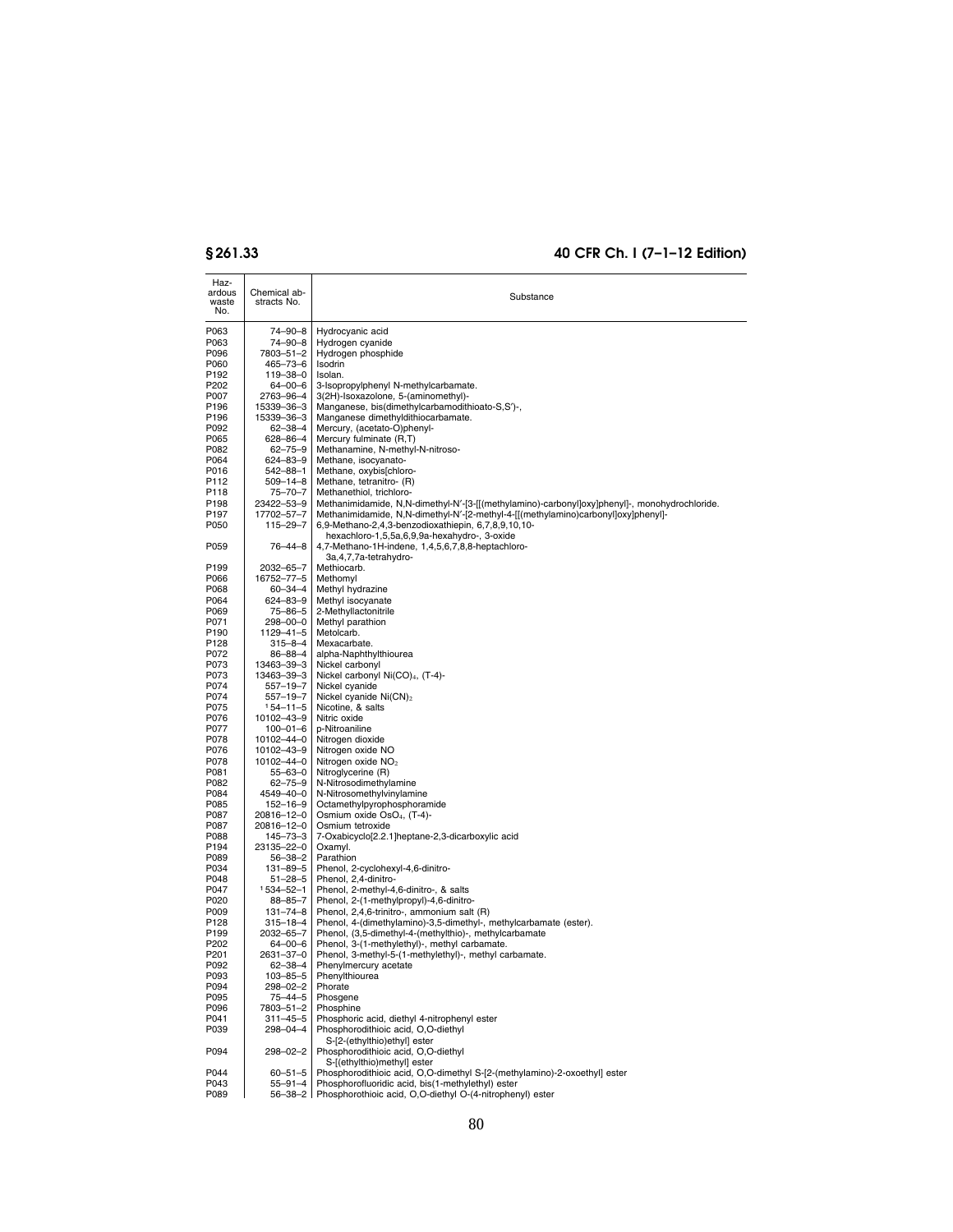| Haz-<br>ardous<br>waste<br>No. | Chemical ab-<br>stracts No.      | Substance                                                                                                                 |
|--------------------------------|----------------------------------|---------------------------------------------------------------------------------------------------------------------------|
| P063                           | 74-90-8                          | Hydrocyanic acid                                                                                                          |
| P063                           | 74-90-8                          | Hydrogen cyanide                                                                                                          |
| P096                           | 7803-51-2                        | Hydrogen phosphide                                                                                                        |
| P060<br>P192                   | 465-73-6<br>119-38-0             | Isodrin<br>Isolan.                                                                                                        |
| P202                           | 64-00-6                          | 3-Isopropylphenyl N-methylcarbamate.                                                                                      |
| P007                           | 2763-96-4                        | 3(2H)-Isoxazolone, 5-(aminomethyl)-                                                                                       |
| P196                           | 15339-36-3                       | Manganese, bis(dimethylcarbamodithioato-S,S')-,                                                                           |
| P196                           | 15339-36-3                       | Manganese dimethyldithiocarbamate.                                                                                        |
| P092                           | 62-38-4                          | Mercury, (acetato-O)phenyl-                                                                                               |
| P065<br>P082                   | 628-86-4<br>62-75-9              | Mercury fulminate (R,T)<br>Methanamine, N-methyl-N-nitroso-                                                               |
| P064                           | 624-83-9                         | Methane, isocyanato-                                                                                                      |
| P016                           | $542 - 88 - 1$                   | Methane, oxybis[chloro-                                                                                                   |
| P112                           | $509 - 14 - 8$                   | Methane, tetranitro- (R)                                                                                                  |
| P118<br>P198                   | 75-70-7<br>23422-53-9            | Methanethiol, trichloro-<br>Methanimidamide, N,N-dimethyl-N'-[3-[[(methylamino)-carbonyl]oxy]phenyl]-, monohydrochloride. |
| P197                           | 17702-57-7                       | Methanimidamide, N,N-dimethyl-N'-[2-methyl-4-[[(methylamino)carbonyl]oxy]phenyl]-                                         |
| P050                           | $115 - 29 - 7$                   | 6,9-Methano-2,4,3-benzodioxathiepin, 6,7,8,9,10,10-<br>hexachloro-1,5,5a,6,9,9a-hexahydro-, 3-oxide                       |
| P059                           | $76 - 44 - 8$                    | 4,7-Methano-1H-indene, 1,4,5,6,7,8,8-heptachloro-<br>3a, 4, 7, 7a-tetrahydro-                                             |
| P199                           | 2032-65-7                        | Methiocarb.                                                                                                               |
| P066                           | 16752–77–5                       | Methomyl                                                                                                                  |
| P068<br>P064                   | 60-34-4<br>624-83-9              | Methyl hydrazine<br>Methyl isocyanate                                                                                     |
| P069                           | 75-86-5                          | 2-Methyllactonitrile                                                                                                      |
| P071                           | 298-00-0                         | Methyl parathion                                                                                                          |
| P <sub>190</sub>               | 1129-41-5                        | Metolcarb.                                                                                                                |
| P128<br>P072                   | 315–8–4<br>86-88-4               | Mexacarbate.<br>alpha-Naphthylthiourea                                                                                    |
| P073                           | 13463-39-3                       | Nickel carbonyl                                                                                                           |
| P073                           | 13463-39-3                       | Nickel carbonyl Ni(CO) <sub>4</sub> , (T-4)-                                                                              |
| P074                           | 557-19-7                         | Nickel cyanide                                                                                                            |
| P074                           | $557 - 19 - 7$                   | Nickel cyanide Ni(CN) <sub>2</sub><br>Nicotine, & salts                                                                   |
| P075<br>P076                   | $154 - 11 - 5$<br>10102-43-9     | Nitric oxide                                                                                                              |
| P077                           | $100 - 01 - 6$                   | p-Nitroaniline                                                                                                            |
| P078                           | 10102-44-0                       | Nitrogen dioxide                                                                                                          |
| P076<br>P078                   | 10102-43-9<br>10102-44-0         | Nitrogen oxide NO<br>Nitrogen oxide NO <sub>2</sub>                                                                       |
| P081                           | 55-63-0                          | Nitroglycerine (R)                                                                                                        |
| P082                           | $62 - 75 - 9$                    | N-Nitrosodimethylamine                                                                                                    |
| P084                           | 4549-40-0                        | N-Nitrosomethylvinylamine                                                                                                 |
| P085                           | $152 - 16 - 9$                   | Octamethylpyrophosphoramide                                                                                               |
| P087<br>P087                   | 20816-12-0<br>20816-12-0         | Osmium oxide OsO <sub>4</sub> , (T-4)-<br>Osmium tetroxide                                                                |
| P088                           | 145-73-3                         | 7-Oxabicyclo[2.2.1]heptane-2,3-dicarboxylic acid                                                                          |
| P194                           | 23135-22-0                       | Oxamyl.                                                                                                                   |
| P089                           | 56-38-2                          | Parathion                                                                                                                 |
| P034                           | 131-89-5                         | Phenol, 2-cyclohexyl-4,6-dinitro-                                                                                         |
| P048<br>P047                   | $51 - 28 - 5$<br>$1534 - 52 - 1$ | Phenol, 2,4-dinitro-<br>Phenol, 2-methyl-4,6-dinitro-, & salts                                                            |
| P020                           | 88-85-7                          | Phenol, 2-(1-methylpropyl)-4,6-dinitro-                                                                                   |
| P009                           | $131 - 74 - 8$                   | Phenol. 2.4.6-trinitro-, ammonium salt (R)                                                                                |
| P128                           | $315 - 18 - 4$                   | Phenol, 4-(dimethylamino)-3,5-dimethyl-, methylcarbamate (ester).                                                         |
| P199<br>P202                   | 2032-65-7<br>64–00–6             | Phenol, (3,5-dimethyl-4-(methylthio)-, methylcarbamate<br>Phenol, 3-(1-methylethyl)-, methyl carbamate.                   |
| P201                           | 2631-37-0                        | Phenol, 3-methyl-5-(1-methylethyl)-, methyl carbamate.                                                                    |
| P092                           | $62 - 38 - 4$                    | Phenylmercury acetate                                                                                                     |
| P093                           | 103–85–5                         | Phenylthiourea                                                                                                            |
| P094<br>P095                   | 298-02-2<br>$75 - 44 - 5$        | Phorate<br>Phosgene                                                                                                       |
| P096                           | 7803-51-2                        | Phosphine                                                                                                                 |
| P041                           | $311 - 45 - 5$                   | Phosphoric acid, diethyl 4-nitrophenyl ester                                                                              |
| P039                           | 298-04-4                         | Phosphorodithioic acid, O,O-diethyl<br>S-[2-(ethylthio)ethyl] ester                                                       |
| P094                           | $298 - 02 - 2$                   | Phosphorodithioic acid, O,O-diethyl<br>S-[(ethylthio)methyl] ester                                                        |
| P044                           | $60 - 51 - 5$                    | Phosphorodithioic acid, O,O-dimethyl S-[2-(methylamino)-2-oxoethyl] ester                                                 |
| P043<br>P089                   | $55 - 91 - 4$<br>$56 - 38 - 2$   | Phosphorofluoridic acid, bis(1-methylethyl) ester<br>Phosphorothioic acid. O.O-diethyl O-(4-nitrophenyl) ester            |
|                                |                                  |                                                                                                                           |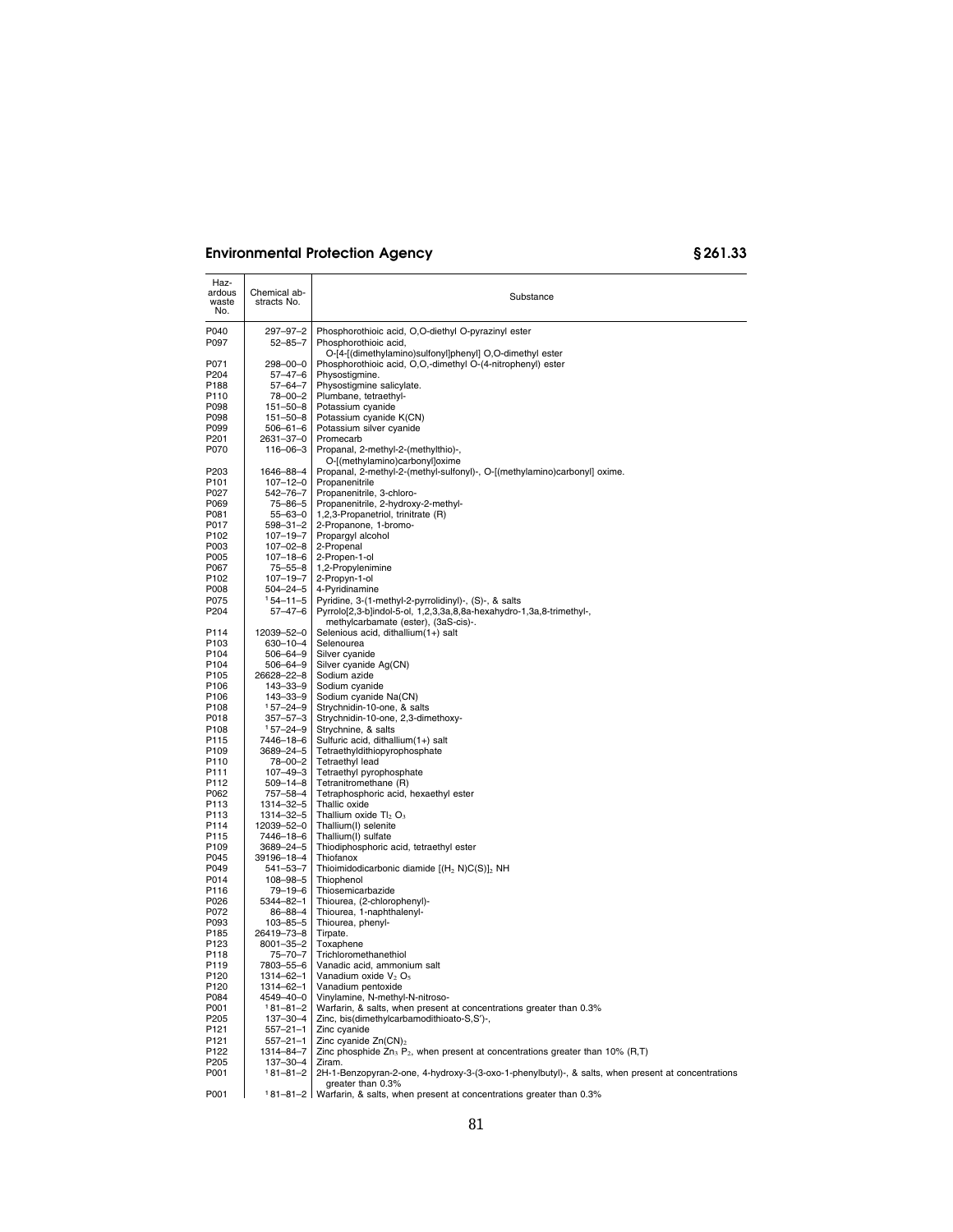| Haz-<br>ardous<br>waste<br>No. | Chemical ab-<br>stracts No. | Substance                                                                                          |
|--------------------------------|-----------------------------|----------------------------------------------------------------------------------------------------|
| P040                           | 297-97-2                    | Phosphorothioic acid, O,O-diethyl O-pyrazinyl ester                                                |
| P097                           | $52 - 85 - 7$               | Phosphorothioic acid,<br>O-[4-[(dimethylamino)sulfonyl]phenyl] O,O-dimethyl ester                  |
| P071                           | 298–00–0                    | Phosphorothioic acid, O,O,-dimethyl O-(4-nitrophenyl) ester                                        |
| P204                           | 57–47–6                     | Physostigmine.                                                                                     |
|                                |                             |                                                                                                    |
| P188                           | 57-64-7                     | Physostigmine salicylate.                                                                          |
| P110                           | 78-00-2                     | Plumbane, tetraethyl-                                                                              |
| P098                           | 151-50-8                    | Potassium cyanide                                                                                  |
| P098                           | 151-50-8                    | Potassium cyanide K(CN)                                                                            |
| P099                           | 506-61-6                    | Potassium silver cyanide                                                                           |
| P201                           | 2631-37-0<br>116-06-3       | Promecarb                                                                                          |
| P070                           |                             | Propanal, 2-methyl-2-(methylthio)-,<br>O-[(methylamino)carbonyl]oxime                              |
| P203                           | 1646–88–4                   | Propanal, 2-methyl-2-(methyl-sulfonyl)-, O-[(methylamino)carbonyl] oxime.                          |
| P101                           | $107 - 12 - 0$              | Propanenitrile                                                                                     |
| P027                           | 542–76–7                    | Propanenitrile, 3-chloro-                                                                          |
| P069                           | 75–86–5                     | Propanenitrile, 2-hydroxy-2-methyl-                                                                |
| P081                           | $55 - 63 - 0$               | 1,2,3-Propanetriol, trinitrate (R)                                                                 |
| P017                           | 598-31-2                    | 2-Propanone, 1-bromo-                                                                              |
| P102                           | $107 - 19 - 7$              | Propargyl alcohol                                                                                  |
| P003                           | 107-02-8                    | 2-Propenal                                                                                         |
| P005                           | $107 - 18 - 6$              | 2-Propen-1-ol                                                                                      |
| P067<br>P102                   | 75-55-8<br>$107 - 19 - 7$   | 1,2-Propylenimine<br>2-Propyn-1-ol                                                                 |
| P008                           | 504–24–5                    | 4-Pyridinamine                                                                                     |
| P075                           | 154-11-5                    | Pyridine, 3-(1-methyl-2-pyrrolidinyl)-, (S)-, & salts                                              |
| P204                           | $57 - 47 - 6$               | Pyrrolo[2,3-b]indol-5-ol, 1,2,3,3a,8,8a-hexahydro-1,3a,8-trimethyl-,                               |
| P114                           | 12039-52-0                  | methylcarbamate (ester), (3aS-cis)-.<br>Selenious acid, dithallium(1+) salt                        |
| P103                           | 630-10-4                    | Selenourea                                                                                         |
| P <sub>104</sub>               | 506–64–9                    | Silver cyanide                                                                                     |
| P104                           | 506–64–9                    | Silver cyanide Ag(CN)                                                                              |
| P105                           | 26628–22–8                  | Sodium azide                                                                                       |
| P106                           | 143-33-9                    | Sodium cyanide                                                                                     |
| P106                           | 143-33-9                    | Sodium cyanide Na(CN)                                                                              |
| P108                           | 157-24-9                    | Strychnidin-10-one, & salts                                                                        |
| P018                           | 357–57–3                    | Strychnidin-10-one, 2,3-dimethoxy-                                                                 |
| P <sub>108</sub>               | $157 - 24 - 9$              | Strychnine, & salts                                                                                |
| P115                           | 7446–18–6                   | Sulfuric acid, dithallium(1+) salt                                                                 |
| P109                           | 3689-24-5                   | Tetraethyldithiopyrophosphate                                                                      |
| P110                           | 78-00-2                     | Tetraethyl lead                                                                                    |
| P111                           | $107 - 49 - 3$              | Tetraethyl pyrophosphate                                                                           |
| P112                           | $509 - 14 - 8$              | Tetranitromethane (R)                                                                              |
| P062                           | 757-58-4                    | Tetraphosphoric acid, hexaethyl ester                                                              |
| P113                           | 1314-32-5                   | Thallic oxide                                                                                      |
| P113                           | 1314-32-5                   | Thallium oxide $TI_2$ O <sub>3</sub>                                                               |
| P114                           | 12039-52-0                  | Thallium(I) selenite                                                                               |
| P115                           | 7446-18-6                   | Thallium(I) sulfate                                                                                |
| P109                           | 3689-24-5                   | Thiodiphosphoric acid, tetraethyl ester                                                            |
| P045                           | 39196–18–4                  | Thiofanox                                                                                          |
| P049                           | 541–53–7                    | Thioimidodicarbonic diamide $[(H_2 N)C(S)]_2 NH$                                                   |
| P014                           | 108-98-5                    | Thiophenol                                                                                         |
| P116                           | 79–19–6                     | Thiosemicarbazide                                                                                  |
| P026                           | 5344-82-1                   | Thiourea, (2-chlorophenyl)-                                                                        |
| P072                           | 86-88-4                     | Thiourea, 1-naphthalenyl-                                                                          |
| P093                           | 103-85-5                    | Thiourea, phenyl-                                                                                  |
| P185<br>P123                   | 26419–73–8                  | Tirpate.<br>Toxaphene                                                                              |
| P118                           | 8001-35-2<br>75-70-7        | Trichloromethanethiol                                                                              |
|                                | 7803-55-6                   |                                                                                                    |
| P119<br>P120                   | 1314-62-1                   | Vanadic acid, ammonium salt<br>Vanadium oxide V <sub>2</sub> O <sub>5</sub>                        |
| P120                           | 1314–62–1                   | Vanadium pentoxide                                                                                 |
| P084                           | 4549–40–0                   | Vinylamine, N-methyl-N-nitroso-                                                                    |
| P001                           | $181 - 81 - 2$              | Warfarin, & salts, when present at concentrations greater than 0.3%                                |
| P205                           | 137-30-4                    | Zinc, bis(dimethylcarbamodithioato-S,S')-,                                                         |
| P121                           | 557–21–1                    | Zinc cyanide                                                                                       |
| P121                           | $557 - 21 - 1$              | Zinc cyanide $Zn(CN)_2$                                                                            |
| P122                           | 1314-84-7                   | Zinc phosphide $Zn_3$ P <sub>2</sub> , when present at concentrations greater than 10% (R,T)       |
| P205                           | 137-30-4                    | Ziram.                                                                                             |
| P001                           | $181 - 81 - 2$              | 2H-1-Benzopyran-2-one, 4-hydroxy-3-(3-oxo-1-phenylbutyl)-, & salts, when present at concentrations |
|                                |                             | greater than 0.3%<br>181-81-2 Warfarin, & salts, when present at concentrations greater than 0.3%  |
| P001                           |                             |                                                                                                    |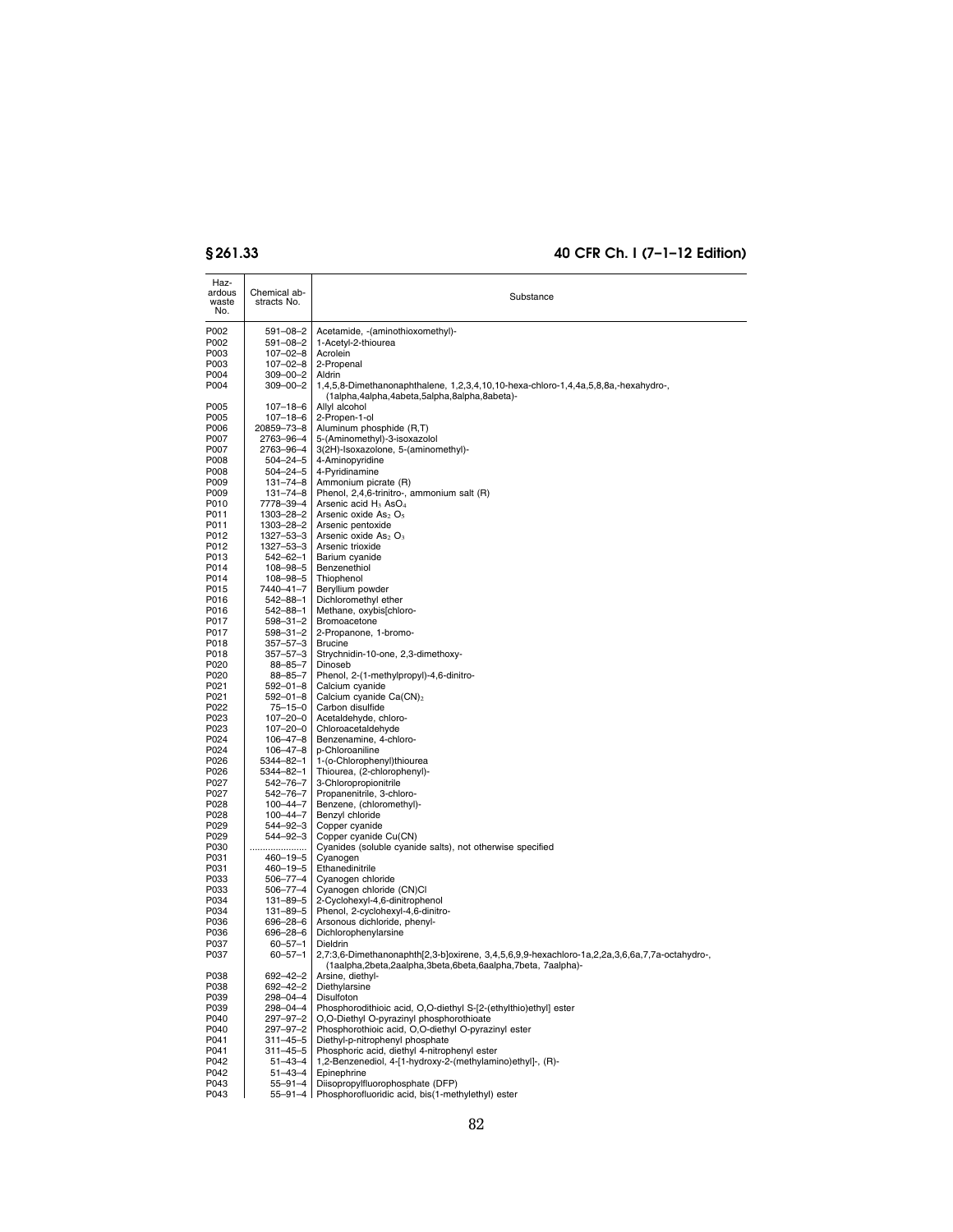| Haz-<br>ardous<br>waste<br>No. | Chemical ab-<br>stracts No.      | Substance                                                                                                                                                    |
|--------------------------------|----------------------------------|--------------------------------------------------------------------------------------------------------------------------------------------------------------|
| P002                           | $591 - 08 - 2$                   | Acetamide, -(aminothioxomethyl)-                                                                                                                             |
| P002                           | $591 - 08 - 2$                   | 1-Acetyl-2-thiourea                                                                                                                                          |
| P003                           | $107 - 02 - 8$                   | Acrolein                                                                                                                                                     |
| P003<br>P004                   | $107 - 02 - 8$<br>$309 - 00 - 2$ | 2-Propenal<br>Aldrin                                                                                                                                         |
| P004                           | $309 - 00 - 2$                   | 1,4,5,8-Dimethanonaphthalene, 1,2,3,4,10,10-hexa-chloro-1,4,4a,5,8,8a,-hexahydro-,                                                                           |
|                                |                                  | (1alpha,4alpha,4abeta,5alpha,8alpha,8abeta)-                                                                                                                 |
| P005<br>P005                   | $107 - 18 - 6$<br>$107 - 18 - 6$ | Allyl alcohol<br>2-Propen-1-ol                                                                                                                               |
| P006                           | 20859-73-8                       | Aluminum phosphide (R,T)                                                                                                                                     |
| P007                           | 2763-96-4                        | 5-(Aminomethyl)-3-isoxazolol                                                                                                                                 |
| P007                           | 2763-96-4                        | 3(2H)-Isoxazolone, 5-(aminomethyl)-                                                                                                                          |
| P008<br>P008                   | $504 - 24 - 5$<br>$504 - 24 - 5$ | 4-Aminopyridine<br>4-Pyridinamine                                                                                                                            |
| P009                           | 131-74-8                         | Ammonium picrate (R)                                                                                                                                         |
| P009                           | $131 - 74 - 8$                   | Phenol, 2,4,6-trinitro-, ammonium salt (R)                                                                                                                   |
| P010<br>P011                   | 7778-39-4<br>1303-28-2           | Arsenic acid H <sub>3</sub> AsO <sub>4</sub>                                                                                                                 |
| P011                           | 1303-28-2                        | Arsenic oxide $As2 O5Arsenic pentoxide$                                                                                                                      |
| P012                           | 1327-53-3                        | Arsenic oxide $As2 O3$                                                                                                                                       |
| P012                           | 1327-53-3                        | Arsenic trioxide                                                                                                                                             |
| P013<br>P014                   | $542 - 62 - 1$<br>108-98-5       | Barium cyanide<br>Benzenethiol                                                                                                                               |
| P014                           | 108-98-5                         | Thiophenol                                                                                                                                                   |
| P015                           | 7440–41–7                        | Beryllium powder                                                                                                                                             |
| P016                           | $542 - 88 - 1$                   | Dichloromethyl ether                                                                                                                                         |
| P016<br>P017                   | $542 - 88 - 1$<br>$598 - 31 - 2$ | Methane, oxybis[chloro-<br>Bromoacetone                                                                                                                      |
| P017                           | $598 - 31 - 2$                   | 2-Propanone, 1-bromo-                                                                                                                                        |
| P018                           | $357 - 57 - 3$                   | <b>Brucine</b>                                                                                                                                               |
| P018<br>P020                   | $357 - 57 - 3$<br>$88 - 85 - 7$  | Strychnidin-10-one, 2,3-dimethoxy-<br>Dinoseb                                                                                                                |
| P020                           | 88-85-7                          | Phenol, 2-(1-methylpropyl)-4,6-dinitro-                                                                                                                      |
| P021                           | $592 - 01 - 8$                   | Calcium cyanide                                                                                                                                              |
| P021<br>P022                   | $592 - 01 - 8$                   | Calcium cyanide $Ca(CN)2$<br>Carbon disulfide                                                                                                                |
| P023                           | 75-15-0<br>$107 - 20 - 0$        | Acetaldehyde, chloro-                                                                                                                                        |
| P023                           | $107 - 20 - 0$                   | Chloroacetaldehyde                                                                                                                                           |
| P024<br>P024                   | $106 - 47 - 8$<br>106-47-8       | Benzenamine, 4-chloro-<br>p-Chloroaniline                                                                                                                    |
| P026                           | 5344-82-1                        | 1-(o-Chlorophenyl)thiourea                                                                                                                                   |
| P026                           | 5344-82-1                        | Thiourea, (2-chlorophenyl)-                                                                                                                                  |
| P027                           | 542-76-7                         | 3-Chloropropionitrile                                                                                                                                        |
| P027<br>P028                   | 542-76-7<br>$100 - 44 - 7$       | Propanenitrile, 3-chloro-<br>Benzene, (chloromethyl)-                                                                                                        |
| P028                           | $100 - 44 - 7$                   | Benzyl chloride                                                                                                                                              |
| P029                           | $544 - 92 - 3$                   | Copper cyanide                                                                                                                                               |
| P029<br>P030                   | 544-92-3<br>.                    | Copper cyanide Cu(CN)<br>Cyanides (soluble cyanide salts), not otherwise specified                                                                           |
| P031                           | 460-19-5                         | Cyanogen                                                                                                                                                     |
| P031                           | 460-19-5                         | Ethanedinitrile                                                                                                                                              |
| P033<br>P033                   | $506 - 77 - 4$<br>$506 - 77 - 4$ | Cyanogen chloride<br>Cyanogen chloride (CN)Cl                                                                                                                |
| P034                           | 131-89-5                         | 2-Cyclohexyl-4,6-dinitrophenol                                                                                                                               |
| P034                           | $131 - 89 - 5$                   | Phenol, 2-cyclohexyl-4,6-dinitro-                                                                                                                            |
| P036<br>P036                   | $696 - 28 - 6$<br>$696 - 28 - 6$ | Arsonous dichloride, phenyl-<br>Dichlorophenylarsine                                                                                                         |
| P037                           | $60 - 57 - 1$                    | Dieldrin                                                                                                                                                     |
| P037                           | $60 - 57 - 1$                    | 2,7:3,6-Dimethanonaphth[2,3-b]oxirene, 3,4,5,6,9,9-hexachloro-1a,2,2a,3,6,6a,7,7a-octahydro-,<br>(1aalpha,2beta,2aalpha,3beta,6beta,6aalpha,7beta, 7aalpha)- |
| P038                           | $692 - 42 - 2$                   | Arsine, diethyl-                                                                                                                                             |
| P038<br>P039                   | 692-42-2<br>$298 - 04 - 4$       | Diethylarsine<br>Disulfoton                                                                                                                                  |
| P039                           | 298-04-4                         | Phosphorodithioic acid, O,O-diethyl S-[2-(ethylthio)ethyl] ester                                                                                             |
| P040                           | $297 - 97 - 2$                   | O,O-Diethyl O-pyrazinyl phosphorothioate                                                                                                                     |
| P040                           | 297-97-2                         | Phosphorothioic acid, O,O-diethyl O-pyrazinyl ester                                                                                                          |
| P041<br>P041                   | $311 - 45 - 5$<br>$311 - 45 - 5$ | Diethyl-p-nitrophenyl phosphate<br>Phosphoric acid, diethyl 4-nitrophenyl ester                                                                              |
| P042                           | $51 - 43 - 4$                    | 1,2-Benzenediol, 4-[1-hydroxy-2-(methylamino)ethyl]-, (R)-                                                                                                   |
| P042                           | $51 - 43 - 4$                    | Epinephrine                                                                                                                                                  |
| P043<br>P043                   | $55 - 91 - 4$<br>$55 - 91 - 4$   | Diisopropylfluorophosphate (DFP)<br>Phosphorofluoridic acid, bis(1-methylethyl) ester                                                                        |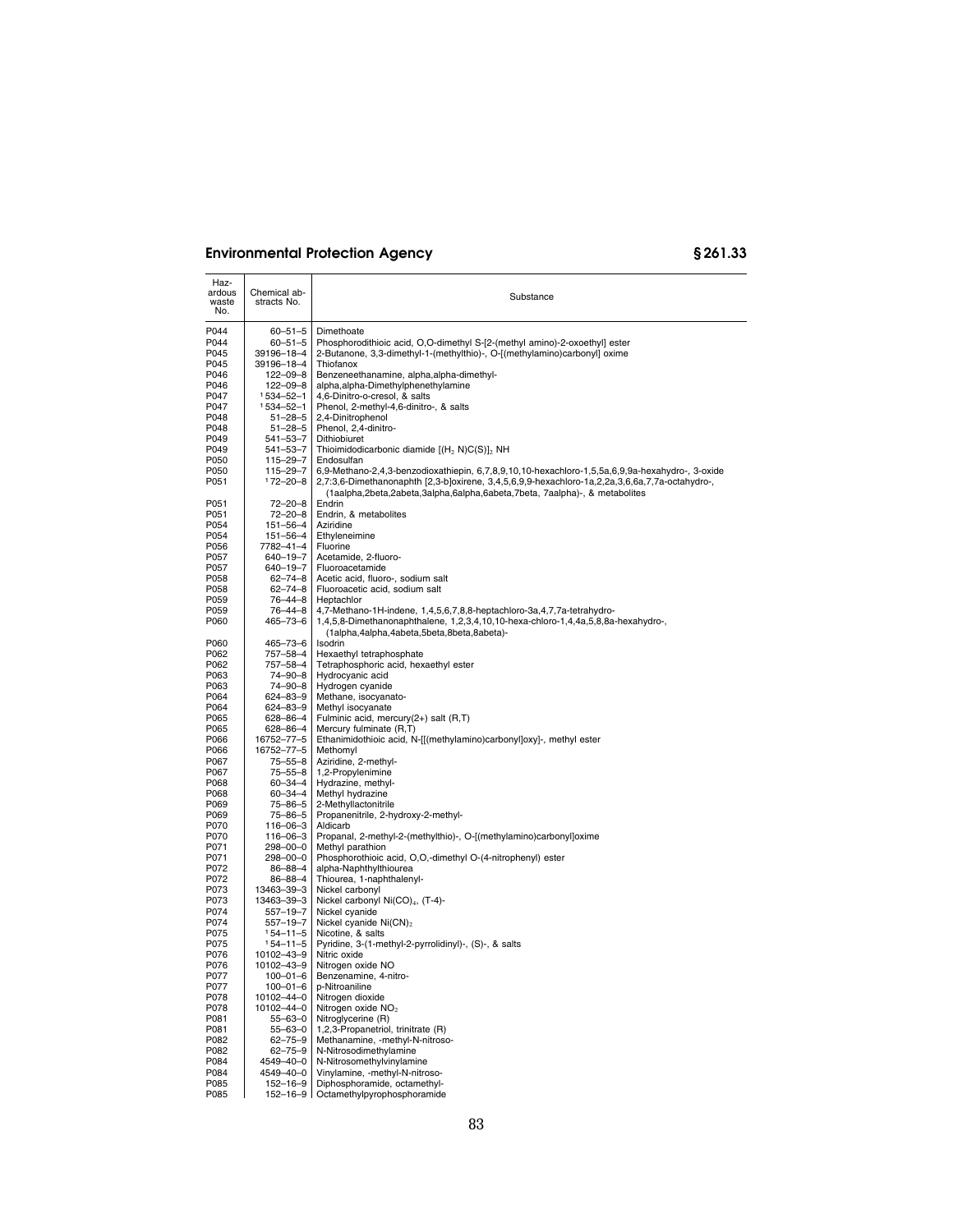| Haz-<br>ardous<br>waste<br>No. | Chemical ab-<br>stracts No.      | Substance                                                                                                                                                                                                                                                                       |
|--------------------------------|----------------------------------|---------------------------------------------------------------------------------------------------------------------------------------------------------------------------------------------------------------------------------------------------------------------------------|
| P044                           | $60 - 51 - 5$                    | Dimethoate                                                                                                                                                                                                                                                                      |
| P044                           | $60 - 51 - 5$                    | Phosphorodithioic acid, O,O-dimethyl S-[2-(methyl amino)-2-oxoethyl] ester                                                                                                                                                                                                      |
| P045                           | 39196-18-4                       | 2-Butanone, 3,3-dimethyl-1-(methylthio)-, O-[(methylamino)carbonyl] oxime                                                                                                                                                                                                       |
| P045                           | 39196-18-4                       | Thiofanox                                                                                                                                                                                                                                                                       |
| P046                           | $122 - 09 - 8$                   | Benzeneethanamine, alpha, alpha-dimethyl-                                                                                                                                                                                                                                       |
| P046<br>P047                   | 122-09-8<br>1534-52-1            | alpha, alpha-Dimethylphenethylamine<br>4,6-Dinitro-o-cresol, & salts                                                                                                                                                                                                            |
| P047                           | 1534-52-1                        | Phenol, 2-methyl-4,6-dinitro-, & salts                                                                                                                                                                                                                                          |
| P048                           | $51 - 28 - 5$                    | 2,4-Dinitrophenol                                                                                                                                                                                                                                                               |
| P048                           | $51 - 28 - 5$                    | Phenol, 2,4-dinitro-                                                                                                                                                                                                                                                            |
| P049                           | $541 - 53 - 7$                   | Dithiobiuret                                                                                                                                                                                                                                                                    |
| P049                           | $541 - 53 - 7$                   | Thioimidodicarbonic diamide [(H <sub>2</sub> N)C(S)] <sub>2</sub> NH                                                                                                                                                                                                            |
| P050                           | $115 - 29 - 7$                   | Endosulfan                                                                                                                                                                                                                                                                      |
| P050<br>P051                   | $115 - 29 - 7$<br>$172 - 20 - 8$ | 6,9-Methano-2,4,3-benzodioxathiepin, 6,7,8,9,10,10-hexachloro-1,5,5a,6,9,9a-hexahydro-, 3-oxide<br>2,7:3,6-Dimethanonaphth [2,3-b]oxirene, 3,4,5,6,9,9-hexachloro-1a,2,2a,3,6,6a,7,7a-octahydro-,<br>(1aalpha,2beta,2abeta,3alpha,6alpha,6abeta,7beta, 7aalpha)-, & metabolites |
| P051                           | 72-20-8                          | Endrin                                                                                                                                                                                                                                                                          |
| P051                           | 72-20-8                          | Endrin, & metabolites                                                                                                                                                                                                                                                           |
| P054                           | $151 - 56 - 4$                   | Aziridine                                                                                                                                                                                                                                                                       |
| P054                           | $151 - 56 - 4$                   | Ethyleneimine                                                                                                                                                                                                                                                                   |
| P056<br>P057                   | 7782-41-4<br>640-19-7            | Fluorine<br>Acetamide, 2-fluoro-                                                                                                                                                                                                                                                |
| P057                           | 640-19-7                         | Fluoroacetamide                                                                                                                                                                                                                                                                 |
| P058                           | $62 - 74 - 8$                    | Acetic acid, fluoro-, sodium salt                                                                                                                                                                                                                                               |
| P058                           | $62 - 74 - 8$                    | Fluoroacetic acid, sodium salt                                                                                                                                                                                                                                                  |
| P059                           | 76-44-8                          | Heptachlor                                                                                                                                                                                                                                                                      |
| P059<br>P060                   | 76-44-8<br>465-73-6              | 4,7-Methano-1H-indene, 1,4,5,6,7,8,8-heptachloro-3a,4,7,7a-tetrahydro-<br>1,4,5,8-Dimethanonaphthalene, 1,2,3,4,10,10-hexa-chloro-1,4,4a,5,8,8a-hexahydro-,<br>(1alpha,4alpha,4abeta,5beta,8beta,8abeta)-                                                                       |
| P060                           | 465-73-6                         | Isodrin                                                                                                                                                                                                                                                                         |
| P062                           | 757-58-4                         | Hexaethyl tetraphosphate                                                                                                                                                                                                                                                        |
| P062                           | 757-58-4                         | Tetraphosphoric acid, hexaethyl ester                                                                                                                                                                                                                                           |
| P063                           | 74-90-8                          | Hydrocyanic acid                                                                                                                                                                                                                                                                |
| P063                           | $74 - 90 - 8$                    | Hydrogen cyanide                                                                                                                                                                                                                                                                |
| P064<br>P064                   | 624-83-9<br>624-83-9             | Methane, isocyanato-<br>Methyl isocyanate                                                                                                                                                                                                                                       |
| P065                           | 628-86-4                         | Fulminic acid, mercury(2+) salt (R,T)                                                                                                                                                                                                                                           |
| P065                           | 628-86-4                         | Mercury fulminate (R,T)                                                                                                                                                                                                                                                         |
| P066                           | 16752-77-5                       | Ethanimidothioic acid, N-[[(methylamino)carbonyl]oxy]-, methyl ester                                                                                                                                                                                                            |
| P066                           | 16752–77–5                       | Methomyl                                                                                                                                                                                                                                                                        |
| P067                           | 75-55-8                          | Aziridine, 2-methyl-                                                                                                                                                                                                                                                            |
| P067                           | $75 - 55 - 8$                    | 1,2-Propylenimine                                                                                                                                                                                                                                                               |
| P068<br>P068                   | $60 - 34 - 4$<br>$60 - 34 - 4$   | Hydrazine, methyl-                                                                                                                                                                                                                                                              |
| P069                           | 75-86-5                          | Methyl hydrazine<br>2-Methyllactonitrile                                                                                                                                                                                                                                        |
| P069                           | 75-86-5                          | Propanenitrile, 2-hydroxy-2-methyl-                                                                                                                                                                                                                                             |
| P070                           | 116-06-3                         | Aldicarb                                                                                                                                                                                                                                                                        |
| P070                           | $116 - 06 - 3$                   | Propanal, 2-methyl-2-(methylthio)-, O-[(methylamino)carbonyl]oxime                                                                                                                                                                                                              |
| P071                           | 298-00-0                         | Methyl parathion                                                                                                                                                                                                                                                                |
| P071                           | $298 - 00 - 0$                   | Phosphorothioic acid, O,O,-dimethyl O-(4-nitrophenyl) ester                                                                                                                                                                                                                     |
| P072                           | 86-88-4                          | alpha-Naphthylthiourea                                                                                                                                                                                                                                                          |
| P072<br>P073                   | 86-88-4<br>13463-39-3            | Thiourea, 1-naphthalenyl-<br>Nickel carbonyl                                                                                                                                                                                                                                    |
| P073                           | 13463-39-3                       | Nickel carbonyl Ni(CO) <sub>4</sub> , (T-4)-                                                                                                                                                                                                                                    |
| P074                           | $557 - 19 - 7$                   | Nickel cyanide                                                                                                                                                                                                                                                                  |
| P074                           | $557 - 19 - 7$                   | Nickel cyanide Ni(CN) <sub>2</sub>                                                                                                                                                                                                                                              |
| P075                           | 154-11-5                         | Nicotine, & salts                                                                                                                                                                                                                                                               |
| P075                           | $154 - 11 - 5$                   | Pyridine, 3-(1-methyl-2-pyrrolidinyl)-, (S)-, & salts                                                                                                                                                                                                                           |
| P076                           | 10102-43-9                       | Nitric oxide                                                                                                                                                                                                                                                                    |
| P076<br>P077                   | 10102-43-9<br>$100 - 01 - 6$     | Nitrogen oxide NO<br>Benzenamine, 4-nitro-                                                                                                                                                                                                                                      |
| P077                           | $100 - 01 - 6$                   | p-Nitroaniline                                                                                                                                                                                                                                                                  |
| P078                           | 10102-44-0                       | Nitrogen dioxide                                                                                                                                                                                                                                                                |
| P078                           | 10102-44-0                       | Nitrogen oxide NO <sub>2</sub>                                                                                                                                                                                                                                                  |
| P081                           | 55-63-0                          | Nitroglycerine (R)                                                                                                                                                                                                                                                              |
| P081                           | 55-63-0                          | 1,2,3-Propanetriol, trinitrate (R)                                                                                                                                                                                                                                              |
| P082                           | $62 - 75 - 9$                    | Methanamine, -methyl-N-nitroso-                                                                                                                                                                                                                                                 |
| P082                           | $62 - 75 - 9$                    | N-Nitrosodimethylamine                                                                                                                                                                                                                                                          |
| P084<br>P084                   | 4549-40-0<br>4549-40-0           | N-Nitrosomethylvinylamine<br>Vinylamine, -methyl-N-nitroso-                                                                                                                                                                                                                     |
| P085                           | $152 - 16 - 9$                   | Diphosphoramide, octamethyl-                                                                                                                                                                                                                                                    |
| P085                           | $152 - 16 - 9$                   | Octamethylpyrophosphoramide                                                                                                                                                                                                                                                     |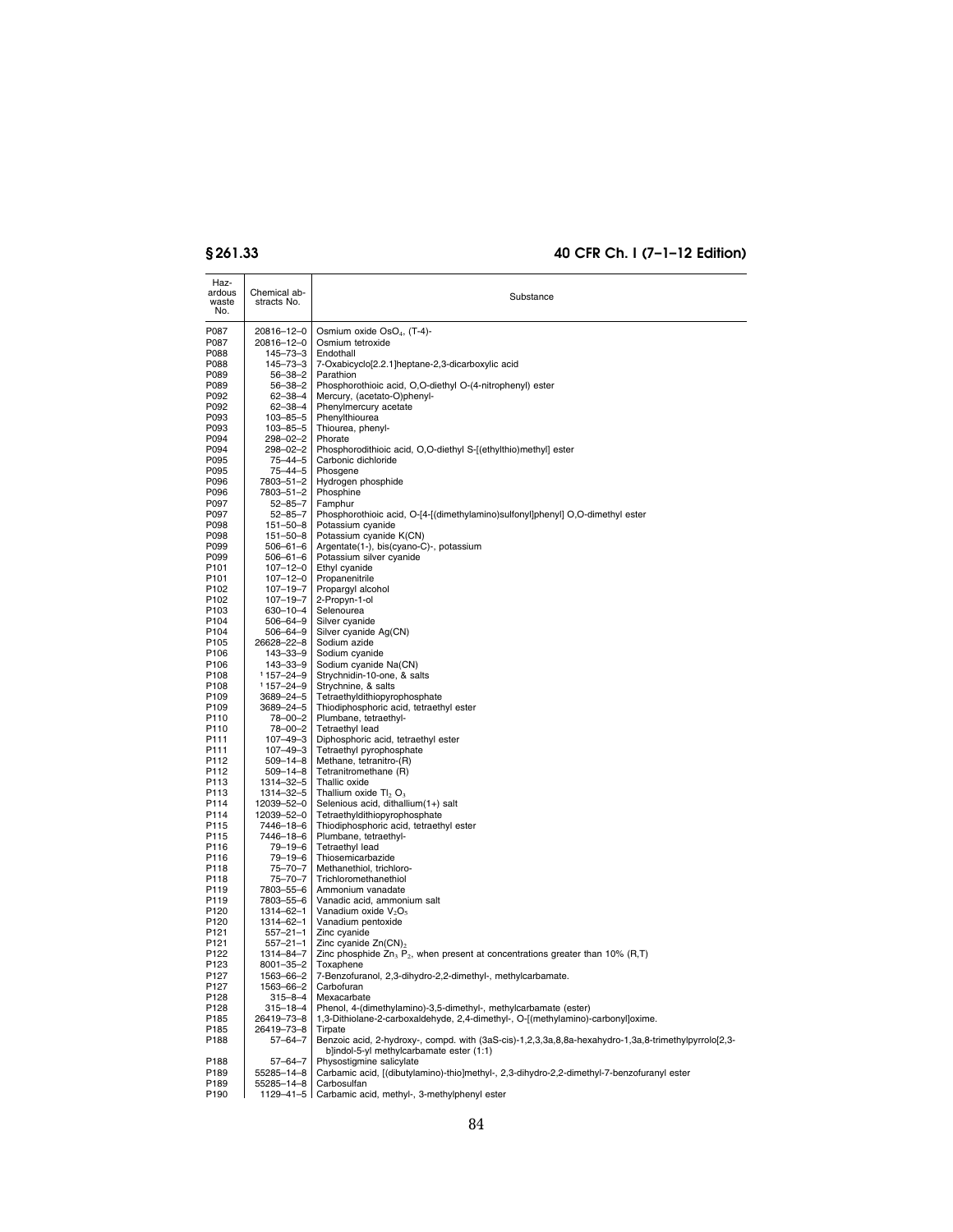| Haz-<br>ardous<br>waste<br>No. | Chemical ab-<br>stracts No.      | Substance                                                                                                                                            |
|--------------------------------|----------------------------------|------------------------------------------------------------------------------------------------------------------------------------------------------|
| P087                           | 20816-12-0                       | Osmium oxide OsO <sub>4</sub> , (T-4)-                                                                                                               |
| P087                           | 20816-12-0                       | Osmium tetroxide                                                                                                                                     |
| P088                           | 145-73-3                         | Endothall                                                                                                                                            |
| P088                           | 145-73-3                         | 7-Oxabicyclo[2.2.1]heptane-2,3-dicarboxylic acid<br>Parathion                                                                                        |
| P089<br>P089                   | 56-38-2<br>56-38-2               | Phosphorothioic acid, O,O-diethyl O-(4-nitrophenyl) ester                                                                                            |
| P092                           | 62-38-4                          | Mercury, (acetato-O)phenyl-                                                                                                                          |
| P092                           | 62-38-4                          | Phenylmercury acetate                                                                                                                                |
| P093                           | $103 - 85 - 5$                   | Phenylthiourea                                                                                                                                       |
| P093                           | $103 - 85 - 5$                   | Thiourea, phenyl-                                                                                                                                    |
| P094<br>P094                   | 298-02-2<br>298-02-2             | Phorate<br>Phosphorodithioic acid, O,O-diethyl S-[(ethylthio)methyl] ester                                                                           |
| P095                           | 75–44–5                          | Carbonic dichloride                                                                                                                                  |
| P095                           | 75–44–5                          | Phosgene                                                                                                                                             |
| P096                           | 7803-51-2                        | Hydrogen phosphide                                                                                                                                   |
| P096                           | 7803-51-2                        | Phosphine                                                                                                                                            |
| P097<br>P097                   | 52–85–7<br>52-85-7               | Famphur<br>Phosphorothioic acid, O-[4-[(dimethylamino)sulfonyl]phenyl] O,O-dimethyl ester                                                            |
| P098                           | $151 - 50 - 8$                   | Potassium cyanide                                                                                                                                    |
| P098                           | $151 - 50 - 8$                   | Potassium cyanide K(CN)                                                                                                                              |
| P099                           | $506 - 61 - 6$                   | Argentate(1-), bis(cyano-C)-, potassium                                                                                                              |
| P099                           | $506 - 61 - 6$                   | Potassium silver cyanide                                                                                                                             |
| P101<br>P <sub>101</sub>       | $107 - 12 - 0$<br>$107 - 12 - 0$ | Ethyl cyanide<br>Propanenitrile                                                                                                                      |
| P <sub>102</sub>               | $107 - 19 - 7$                   | Propargyl alcohol                                                                                                                                    |
| P <sub>102</sub>               | $107 - 19 - 7$                   | 2-Propyn-1-ol                                                                                                                                        |
| P <sub>103</sub>               | 630-10-4                         | Selenourea                                                                                                                                           |
| P104                           | $506 - 64 - 9$                   | Silver cyanide                                                                                                                                       |
| P104<br>P <sub>105</sub>       | $506 - 64 - 9$<br>26628-22-8     | Silver cyanide Ag(CN)<br>Sodium azide                                                                                                                |
| P106                           | 143-33-9                         | Sodium cyanide                                                                                                                                       |
| P <sub>106</sub>               | 143-33-9                         | Sodium cyanide Na(CN)                                                                                                                                |
| P108                           | 1157-24-9                        | Strychnidin-10-one, & salts                                                                                                                          |
| P108                           | $1157 - 24 - 9$                  | Strychnine, & salts                                                                                                                                  |
| P109<br>P <sub>109</sub>       | 3689-24-5<br>3689-24-5           | Tetraethyldithiopyrophosphate<br>Thiodiphosphoric acid, tetraethyl ester                                                                             |
| P110                           | 78-00-2                          | Plumbane, tetraethyl-                                                                                                                                |
| P110                           | 78-00-2                          | Tetraethyl lead                                                                                                                                      |
| P111                           | $107 - 49 - 3$                   | Diphosphoric acid, tetraethyl ester                                                                                                                  |
| P111<br>P112                   | 107-49-3<br>$509 - 14 - 8$       | Tetraethyl pyrophosphate<br>Methane, tetranitro-(R)                                                                                                  |
| P112                           | $509 - 14 - 8$                   | Tetranitromethane (R)                                                                                                                                |
| P113                           | 1314-32-5                        | Thallic oxide                                                                                                                                        |
| P113                           | 1314-32-5                        | Thallium oxide Tl <sub>2</sub> O <sub>3</sub>                                                                                                        |
| P114<br>P114                   | 12039-52-0                       | Selenious acid, dithallium(1+) salt                                                                                                                  |
| P115                           | 12039-52-0<br>7446-18-6          | Tetraethyldithiopyrophosphate<br>Thiodiphosphoric acid, tetraethyl ester                                                                             |
| P115                           | 7446-18-6                        | Plumbane, tetraethyl-                                                                                                                                |
| P116                           | $79 - 19 - 6$                    | Tetraethyl lead                                                                                                                                      |
| P116                           | 79-19-6                          | Thiosemicarbazide                                                                                                                                    |
| P118                           | 75–70–7                          | Methanethiol, trichloro-<br>Trichloromethanethiol                                                                                                    |
| P118<br>P119                   | 75–70–7<br>7803-55-6             | Ammonium vanadate                                                                                                                                    |
| P119                           | 7803-55-6                        | Vanadic acid, ammonium salt                                                                                                                          |
| P120                           | 1314-62-1                        | Vanadium oxide $V_2O_5$                                                                                                                              |
| P120                           | 1314-62-1                        | Vanadium pentoxide                                                                                                                                   |
| P121                           | $557 - 21 - 1$                   | Zinc cyanide                                                                                                                                         |
| P121<br>P <sub>122</sub>       | $557 - 21 - 1$<br>1314-84-7      | Zinc cyanide $Zn(CN)_2$<br>Zinc phosphide $Zn_3$ P <sub>2</sub> , when present at concentrations greater than 10% (R,T)                              |
| P123                           | 8001-35-2                        | Toxaphene                                                                                                                                            |
| P127                           | 1563-66-2                        | 7-Benzofuranol, 2,3-dihydro-2,2-dimethyl-, methylcarbamate.                                                                                          |
| P127                           | 1563-66-2                        | Carbofuran                                                                                                                                           |
| P128                           | 315-8-4                          | Mexacarbate                                                                                                                                          |
| P128<br>P185                   | $315 - 18 - 4$<br>26419-73-8     | Phenol, 4-(dimethylamino)-3,5-dimethyl-, methylcarbamate (ester)<br>1,3-Dithiolane-2-carboxaldehyde, 2,4-dimethyl-, O-[(methylamino)-carbonyl]oxime. |
| P185                           | 26419-73-8                       | Tirpate                                                                                                                                              |
| P188                           | 57-64-7                          | Benzoic acid, 2-hydroxy-, compd. with (3aS-cis)-1,2,3,3a,8,8a-hexahydro-1,3a,8-trimethylpyrrolo[2,3-                                                 |
|                                |                                  | b]indol-5-yl methylcarbamate ester (1:1)                                                                                                             |
| P188<br>P189                   | $57 - 64 - 7$<br>55285-14-8      | Physostigmine salicylate<br>Carbamic acid, [(dibutylamino)-thio]methyl-, 2,3-dihydro-2,2-dimethyl-7-benzofuranyl ester                               |
| P189                           | 55285-14-8                       | Carbosulfan                                                                                                                                          |
| P190                           |                                  | 1129-41-5   Carbamic acid, methyl-, 3-methylphenyl ester                                                                                             |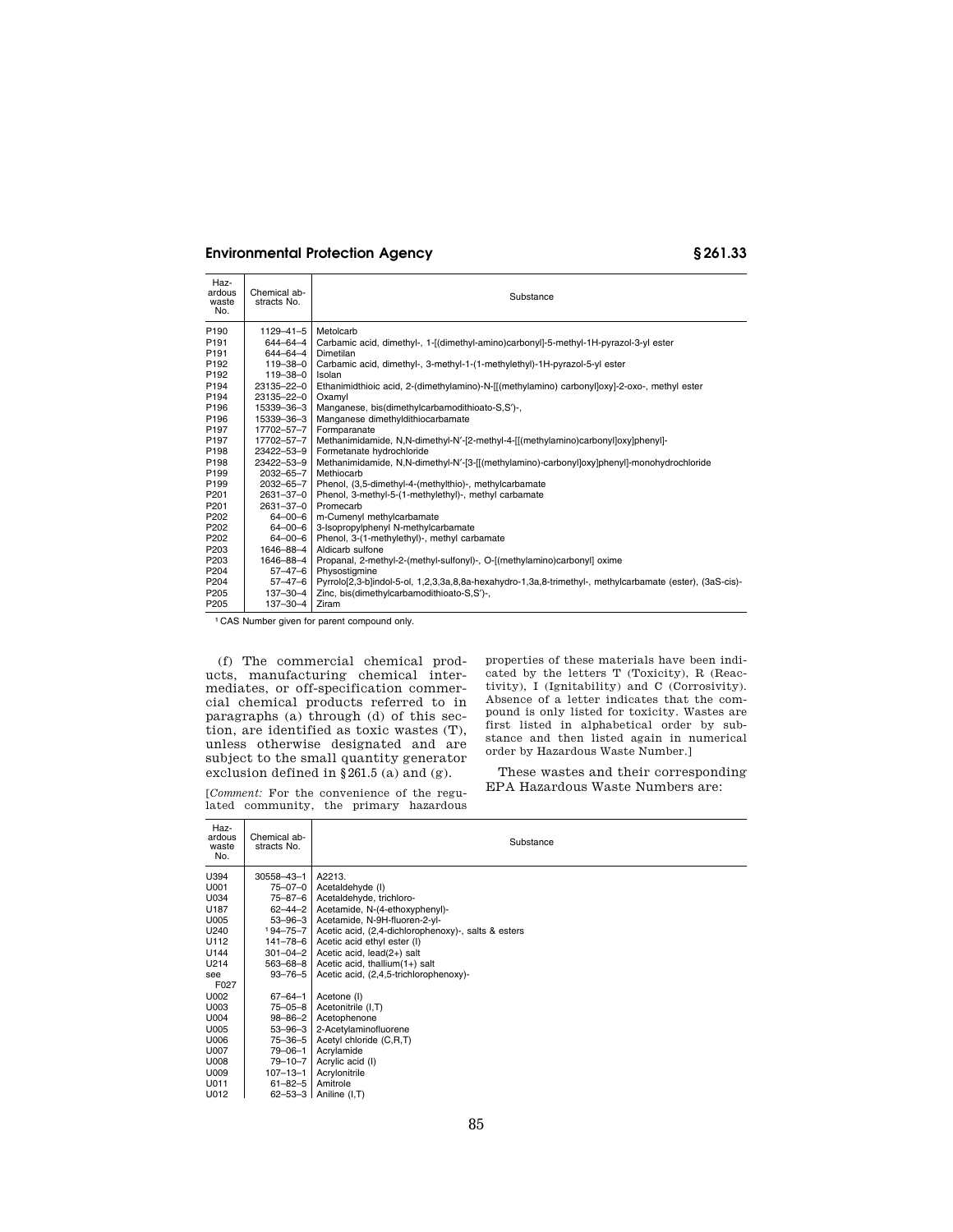| Haz-<br>ardous<br>waste<br>No. | Chemical ab-<br>stracts No. | Substance                                                                                                |
|--------------------------------|-----------------------------|----------------------------------------------------------------------------------------------------------|
| P <sub>190</sub>               | 1129-41-5                   | Metolcarb                                                                                                |
| P <sub>191</sub>               | 644-64-4                    | Carbamic acid, dimethyl-, 1-[(dimethyl-amino)carbonyl]-5-methyl-1H-pyrazol-3-yl ester                    |
| P <sub>191</sub>               | 644-64-4                    | Dimetilan                                                                                                |
| P <sub>192</sub>               | 119-38-0                    | Carbamic acid, dimethyl-, 3-methyl-1-(1-methylethyl)-1H-pyrazol-5-yl ester                               |
| P <sub>192</sub>               | 119-38-0                    | Isolan                                                                                                   |
| P <sub>194</sub>               | 23135-22-0                  | Ethanimidthioic acid, 2-(dimethylamino)-N-[[(methylamino) carbonyl]oxy]-2-oxo-, methyl ester             |
| P <sub>194</sub>               | 23135-22-0                  | Oxamyl                                                                                                   |
| P196                           | 15339-36-3                  | Manganese, bis(dimethylcarbamodithioato-S,S')-,                                                          |
| P <sub>196</sub>               | 15339-36-3                  | Manganese dimethyldithiocarbamate                                                                        |
| P <sub>197</sub>               | 17702-57-7                  | Formparanate                                                                                             |
| P <sub>197</sub>               | 17702-57-7                  | Methanimidamide, N,N-dimethyl-N'-[2-methyl-4-[[(methylamino)carbonyl]oxy]phenyl]-                        |
| P <sub>198</sub>               | 23422-53-9                  | Formetanate hydrochloride                                                                                |
| P198                           | 23422-53-9                  | Methanimidamide, N,N-dimethyl-N'-[3-[[(methylamino)-carbonyl]oxy]phenyl]-monohydrochloride               |
| P <sub>199</sub>               | 2032-65-7                   | Methiocarb                                                                                               |
| P <sub>199</sub>               | $2032 - 65 - 7$             | Phenol, (3,5-dimethyl-4-(methylthio)-, methylcarbamate                                                   |
| P <sub>201</sub>               | 2631-37-0                   | Phenol, 3-methyl-5-(1-methylethyl)-, methyl carbamate                                                    |
| P201                           | 2631-37-0                   | Promecarb                                                                                                |
| P <sub>202</sub>               | $64 - 00 - 6$               | m-Cumenyl methylcarbamate                                                                                |
| P <sub>202</sub>               | $64 - 00 - 6$               | 3-Isopropylphenyl N-methylcarbamate                                                                      |
| P <sub>202</sub>               | $64 - 00 - 6$               | Phenol, 3-(1-methylethyl)-, methyl carbamate                                                             |
| P203                           | 1646-88-4                   | Aldicarb sulfone                                                                                         |
| P203                           | 1646-88-4                   | Propanal, 2-methyl-2-(methyl-sulfonyl)-, O-[(methylamino)carbonyl] oxime                                 |
| P204                           | $57 - 47 - 6$               | Physostigmine                                                                                            |
| P <sub>204</sub>               | $57 - 47 - 6$               | Pyrrolo[2,3-b]indol-5-ol, 1,2,3,3a,8,8a-hexahydro-1,3a,8-trimethyl-, methylcarbamate (ester), (3aS-cis)- |
| P205                           | $137 - 30 - 4$              | Zinc, bis(dimethylcarbamodithioato-S,S')-,                                                               |
| P205                           | 137-30-4                    | Ziram                                                                                                    |

1 CAS Number given for parent compound only.

(f) The commercial chemical products, manufacturing chemical intermediates, or off-specification commercial chemical products referred to in paragraphs (a) through (d) of this section, are identified as toxic wastes (T), unless otherwise designated and are subject to the small quantity generator exclusion defined in  $\S 261.5$  (a) and (g).

[*Comment:* For the convenience of the regulated community, the primary hazardous properties of these materials have been indicated by the letters T (Toxicity), R (Reactivity), I (Ignitability) and C (Corrosivity). Absence of a letter indicates that the compound is only listed for toxicity. Wastes are first listed in alphabetical order by substance and then listed again in numerical order by Hazardous Waste Number.]

These wastes and their corresponding EPA Hazardous Waste Numbers are:

| Haz-<br>ardous<br>waste<br>No. | Chemical ab-<br>stracts No. | Substance                                           |
|--------------------------------|-----------------------------|-----------------------------------------------------|
| U394                           | 30558-43-1                  | A2213.                                              |
| U001                           | $75 - 07 - 0$               | Acetaldehyde (I)                                    |
| U034                           | 75-87-6                     | Acetaldehyde, trichloro-                            |
| U187                           | $62 - 44 - 2$               | Acetamide, N-(4-ethoxyphenyl)-                      |
| U005                           | $53 - 96 - 3$               | Acetamide, N-9H-fluoren-2-yl-                       |
| U240                           | $194 - 75 - 7$              | Acetic acid, (2,4-dichlorophenoxy)-, salts & esters |
| U112                           | 141-78-6                    | Acetic acid ethyl ester (I)                         |
| U144                           | $301 - 04 - 2$              | Acetic acid, lead(2+) salt                          |
| U214                           | 563-68-8                    | Acetic acid, thallium $(1+)$ salt                   |
| see                            | $93 - 76 - 5$               | Acetic acid, (2,4,5-trichlorophenoxy)-              |
| F027                           |                             |                                                     |
| U002                           | $67 - 64 - 1$               | Acetone (I)                                         |
| U003                           | $75 - 05 - 8$               | Acetonitrile (I,T)                                  |
| U004                           | $98 - 86 - 2$               | Acetophenone                                        |
| U005                           | $53 - 96 - 3$               | 2-Acetylaminofluorene                               |
| U006                           | 75-36-5                     | Acetyl chloride (C,R,T)                             |
| U007                           | $79 - 06 - 1$               | Acrylamide                                          |
| U008                           | $79 - 10 - 7$               | Acrylic acid (I)                                    |
| U009                           | 107-13-1                    | Acrylonitrile                                       |
| U011                           | $61 - 82 - 5$               | Amitrole                                            |
| U012                           | $62 - 53 - 3$               | Aniline (I,T)                                       |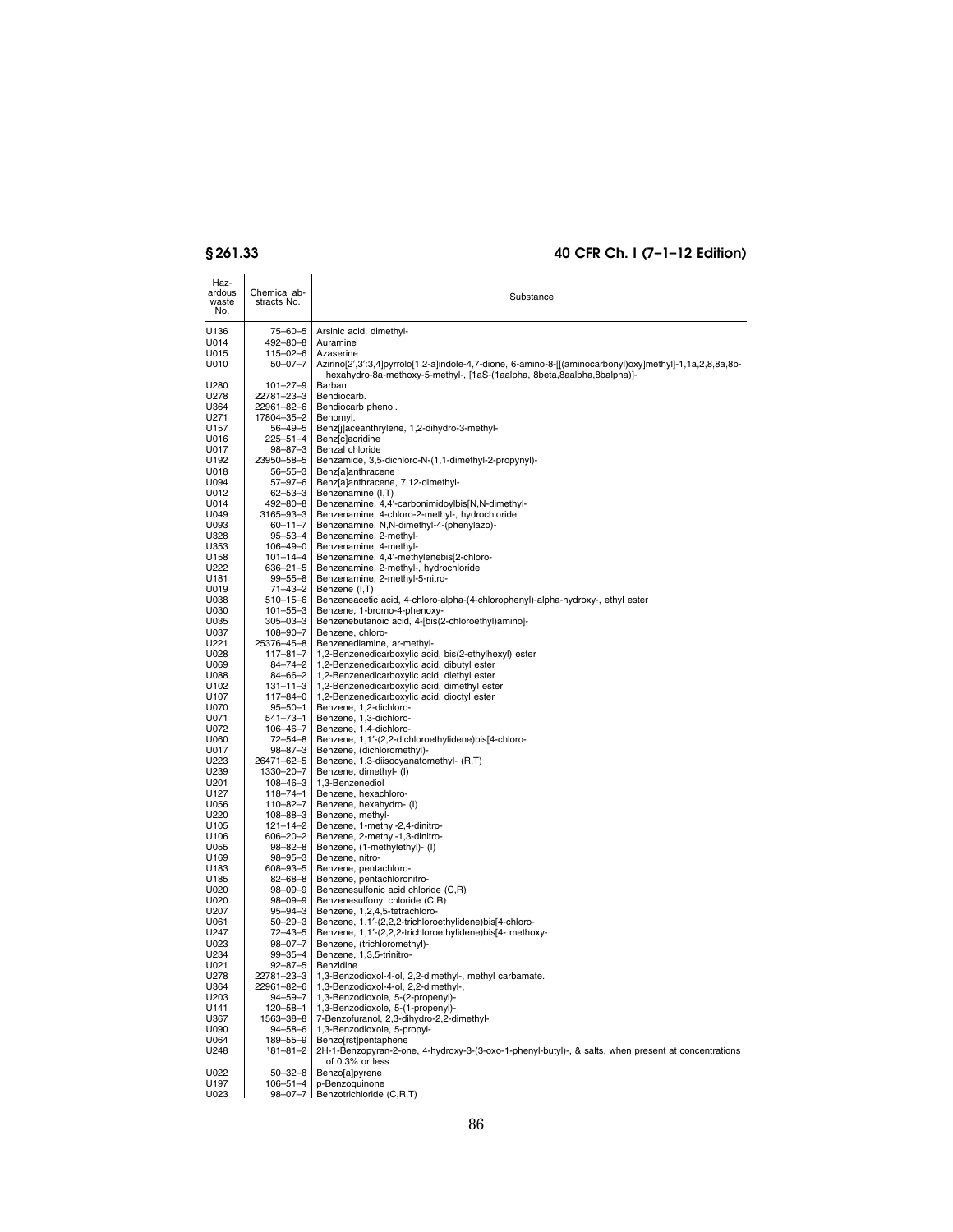| Haz-<br>ardous<br>waste<br>No. | Chemical ab-<br>stracts No. | Substance                                                                                                                                                                           |
|--------------------------------|-----------------------------|-------------------------------------------------------------------------------------------------------------------------------------------------------------------------------------|
| U136                           | 75-60-5                     | Arsinic acid, dimethyl-                                                                                                                                                             |
| U014                           | 492-80-8                    | Auramine                                                                                                                                                                            |
| U015                           | 115-02-6                    | Azaserine                                                                                                                                                                           |
| U010                           | $50 - 07 - 7$               | Azirino[2',3':3,4]pyrrolo[1,2-a]indole-4,7-dione, 6-amino-8-[[(aminocarbonyl)oxy]methyl]-1,1a,2,8,8a,8b-<br>hexahydro-8a-methoxy-5-methyl-, [1aS-(1aalpha, 8beta,8aalpha,8balpha)]- |
| U280                           | $101 - 27 - 9$              | Barban.                                                                                                                                                                             |
| U278<br>U364                   | 22781-23-3<br>22961-82-6    | Bendiocarb.<br>Bendiocarb phenol.                                                                                                                                                   |
| U271                           | 17804-35-2                  | Benomyl.                                                                                                                                                                            |
| U157                           | 56–49–5                     | Benz[j]aceanthrylene, 1,2-dihydro-3-methyl-                                                                                                                                         |
| U016                           | 225-51-4                    | Benz[c]acridine<br>Benzal chloride                                                                                                                                                  |
| U017<br>U192                   | 98-87-3<br>23950-58-5       | Benzamide, 3,5-dichloro-N-(1,1-dimethyl-2-propynyl)-                                                                                                                                |
| U018                           | 56–55–3                     | Benz[a]anthracene                                                                                                                                                                   |
| U094                           | 57–97–6                     | Benz[a]anthracene, 7,12-dimethyl-                                                                                                                                                   |
| U012                           | 62–53–3                     | Benzenamine (I,T)                                                                                                                                                                   |
| U014<br>U049                   | 492–80–8<br>3165-93-3       | Benzenamine, 4,4'-carbonimidoylbis[N,N-dimethyl-<br>Benzenamine, 4-chloro-2-methyl-, hydrochloride                                                                                  |
| U093                           | $60 - 11 - 7$               | Benzenamine, N,N-dimethyl-4-(phenylazo)-                                                                                                                                            |
| U328                           | 95–53–4                     | Benzenamine, 2-methyl-                                                                                                                                                              |
| U353                           | $106 - 49 - 0$              | Benzenamine, 4-methyl-                                                                                                                                                              |
| U158<br>U222                   | $101 - 14 - 4$<br>636–21–5  | Benzenamine, 4,4'-methylenebis[2-chloro-<br>Benzenamine, 2-methyl-, hydrochloride                                                                                                   |
| U181                           | $99 - 55 - 8$               | Benzenamine, 2-methyl-5-nitro-                                                                                                                                                      |
| U019                           | 71-43-2                     | Benzene (I,T)                                                                                                                                                                       |
| U038                           | 510–15–6                    | Benzeneacetic acid, 4-chloro-alpha-(4-chlorophenyl)-alpha-hydroxy-, ethyl ester                                                                                                     |
| U030                           | $101 - 55 - 3$              | Benzene, 1-bromo-4-phenoxy-<br>Benzenebutanoic acid, 4-[bis(2-chloroethyl)amino]-                                                                                                   |
| U035<br>U037                   | 305–03–3<br>108-90-7        | Benzene, chloro-                                                                                                                                                                    |
| U221                           | 25376-45-8                  | Benzenediamine, ar-methyl-                                                                                                                                                          |
| U028                           | $117 - 81 - 7$              | 1,2-Benzenedicarboxylic acid, bis(2-ethylhexyl) ester                                                                                                                               |
| U069                           | 84-74-2                     | 1,2-Benzenedicarboxylic acid, dibutyl ester                                                                                                                                         |
| U088<br>U102                   | 84-66-2<br>$131 - 11 - 3$   | 1,2-Benzenedicarboxylic acid, diethyl ester<br>1,2-Benzenedicarboxylic acid, dimethyl ester                                                                                         |
| U107                           | 117-84-0                    | 1,2-Benzenedicarboxylic acid, dioctyl ester                                                                                                                                         |
| U070                           | $95 - 50 - 1$               | Benzene, 1,2-dichloro-                                                                                                                                                              |
| U071                           | 541–73–1                    | Benzene, 1,3-dichloro-                                                                                                                                                              |
| U072<br>U060                   | 106-46-7<br>72-54-8         | Benzene, 1,4-dichloro-<br>Benzene, 1,1'-(2,2-dichloroethylidene)bis[4-chloro-                                                                                                       |
| U017                           | 98–87–3                     | Benzene, (dichloromethyl)-                                                                                                                                                          |
| U223                           | 26471-62-5                  | Benzene, 1,3-diisocyanatomethyl- (R,T)                                                                                                                                              |
| U239                           | 1330-20-7                   | Benzene, dimethyl- (I)                                                                                                                                                              |
| U201<br>U127                   | 108-46-3<br>118–74–1        | 1,3-Benzenediol<br>Benzene, hexachloro-                                                                                                                                             |
| U056                           | 110-82-7                    | Benzene, hexahydro- (I)                                                                                                                                                             |
| U220                           | 108-88-3                    | Benzene, methyl-                                                                                                                                                                    |
| U105<br>U106                   | 121-14-2                    | Benzene, 1-methyl-2,4-dinitro-                                                                                                                                                      |
| U055                           | 606–20–2<br>98-82-8         | Benzene, 2-methyl-1,3-dinitro-<br>Benzene, (1-methylethyl)- (I)                                                                                                                     |
| U169                           | 98–95–3                     | Benzene, nitro-                                                                                                                                                                     |
| U183                           | 608–93–5                    | Benzene, pentachloro-                                                                                                                                                               |
| U185<br>U020                   | $82 - 68 - 8$<br>98-09-9    | Benzene, pentachloronitro-<br>Benzenesulfonic acid chloride (C,R)                                                                                                                   |
| U020                           | 98-09-9                     | Benzenesulfonyl chloride (C,R)                                                                                                                                                      |
| U207                           | 95–94–3                     | Benzene, 1,2,4,5-tetrachloro-                                                                                                                                                       |
| U061                           | $50 - 29 - 3$               | Benzene, 1,1'-(2,2,2-trichloroethylidene)bis[4-chloro-                                                                                                                              |
| U247<br>U023                   | 72–43–5<br>$98 - 07 - 7$    | Benzene, 1,1'-(2,2,2-trichloroethylidene)bis[4- methoxy-                                                                                                                            |
| U234                           | 99-35-4                     | Benzene, (trichloromethyl)-<br>Benzene, 1,3,5-trinitro-                                                                                                                             |
| U021                           | $92 - 87 - 5$               | Benzidine                                                                                                                                                                           |
| U278                           | 22781-23-3                  | 1,3-Benzodioxol-4-ol, 2,2-dimethyl-, methyl carbamate.                                                                                                                              |
| U364<br>U203                   | 22961-82-6                  | 1,3-Benzodioxol-4-ol, 2,2-dimethyl-,<br>1,3-Benzodioxole, 5-(2-propenyl)-                                                                                                           |
| U141                           | $94 - 59 - 7$<br>120-58-1   | 1,3-Benzodioxole, 5-(1-propenyl)-                                                                                                                                                   |
| U367                           | 1563-38-8                   | 7-Benzofuranol, 2,3-dihydro-2,2-dimethyl-                                                                                                                                           |
| U090                           | 94-58-6                     | 1,3-Benzodioxole, 5-propyl-                                                                                                                                                         |
| U064                           | 189-55-9                    | Benzolrstlpentaphene<br>2H-1-Benzopyran-2-one, 4-hydroxy-3-(3-oxo-1-phenyl-butyl)-, & salts, when present at concentrations                                                         |
| U248                           | $181 - 81 - 2$              | of 0.3% or less                                                                                                                                                                     |
| U022<br>U197                   | $50 - 32 - 8$<br>106-51-4   | Benzo[a]pyrene<br>p-Benzoquinone                                                                                                                                                    |
| U023                           |                             | 98-07-7 Benzotrichloride (C,R,T)                                                                                                                                                    |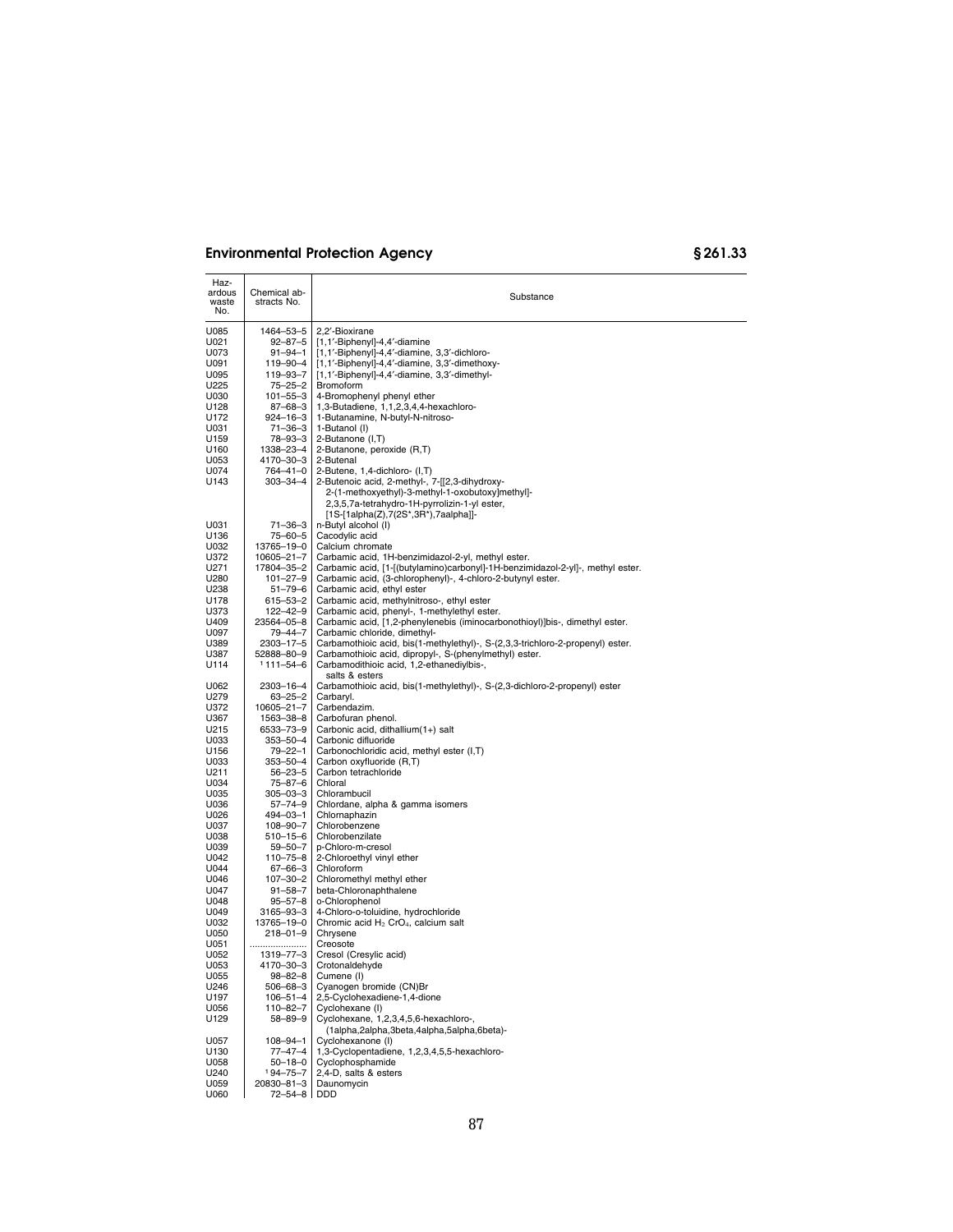| Haz-<br>ardous<br>waste<br>No. | Chemical ab-<br>stracts No. | Substance                                                                                                   |
|--------------------------------|-----------------------------|-------------------------------------------------------------------------------------------------------------|
| U085                           | 1464-53-5                   | 2,2'-Bioxirane                                                                                              |
| U021                           | $92 - 87 - 5$               | [1,1'-Biphenyl]-4,4'-diamine                                                                                |
| U073                           | 91-94-1                     | [1,1'-Biphenyl]-4,4'-diamine, 3,3'-dichloro-                                                                |
| U091                           | 119–90–4                    | [1,1'-Biphenyl]-4,4'-diamine, 3,3'-dimethoxy-                                                               |
| U095                           | 119-93-7                    | [1,1'-Biphenyl]-4,4'-diamine, 3,3'-dimethyl-                                                                |
| U225                           | 75–25–2                     | Bromoform                                                                                                   |
| U030                           | $101 - 55 - 3$              | 4-Bromophenyl phenyl ether                                                                                  |
| U128                           | $87 - 68 - 3$               | 1,3-Butadiene, 1,1,2,3,4,4-hexachloro-                                                                      |
| U172                           | 924-16-3                    | 1-Butanamine, N-butyl-N-nitroso-                                                                            |
| U031                           | $71 - 36 - 3$               | 1-Butanol (I)                                                                                               |
| U159<br>U160                   | 78-93-3<br>1338-23-4        | 2-Butanone (I,T)<br>2-Butanone, peroxide (R,T)                                                              |
| U053                           | 4170–30–3                   | 2-Butenal                                                                                                   |
| U074                           | 764-41-0                    | 2-Butene, 1,4-dichloro- (I,T)                                                                               |
| U143                           | $303 - 34 - 4$              | 2-Butenoic acid, 2-methyl-, 7-[[2,3-dihydroxy-                                                              |
|                                |                             | 2-(1-methoxyethyl)-3-methyl-1-oxobutoxy]methyl]-                                                            |
|                                |                             | 2,3,5,7a-tetrahydro-1H-pyrrolizin-1-yl ester,                                                               |
|                                |                             | $[1S-[1alpha(Z),7(2S*,3R*)$ ,7aalpha]]-                                                                     |
| U031                           | $71 - 36 - 3$               | n-Butyl alcohol (I)                                                                                         |
| U136                           | 75-60-5                     | Cacodylic acid                                                                                              |
| U032                           | 13765-19-0                  | Calcium chromate                                                                                            |
| U372                           | 10605-21-7                  | Carbamic acid, 1H-benzimidazol-2-yl, methyl ester.                                                          |
| U271                           | 17804-35-2                  | Carbamic acid, [1-[(butylamino)carbonyl]-1H-benzimidazol-2-yl]-, methyl ester.                              |
| U280                           | $101 - 27 - 9$              | Carbamic acid, (3-chlorophenyl)-, 4-chloro-2-butynyl ester.                                                 |
| U238                           | $51 - 79 - 6$               | Carbamic acid, ethyl ester                                                                                  |
| U178                           | 615-53-2                    | Carbamic acid, methylnitroso-, ethyl ester                                                                  |
| U373                           | 122-42-9                    | Carbamic acid, phenyl-, 1-methylethyl ester.                                                                |
| U409                           | 23564-05-8<br>$79 - 44 - 7$ | Carbamic acid, [1,2-phenylenebis (iminocarbonothioyl)]bis-, dimethyl ester.<br>Carbamic chloride, dimethyl- |
| U097<br>U389                   | $2303 - 17 - 5$             | Carbamothioic acid, bis(1-methylethyl)-, S-(2,3,3-trichloro-2-propenyl) ester.                              |
| U387                           | 52888-80-9                  | Carbamothioic acid, dipropyl-, S-(phenylmethyl) ester.                                                      |
| U114                           | $1111 - 54 - 6$             | Carbamodithioic acid, 1,2-ethanediylbis-,                                                                   |
|                                |                             | salts & esters                                                                                              |
| U062                           | 2303-16-4                   | Carbamothioic acid, bis(1-methylethyl)-, S-(2,3-dichloro-2-propenyl) ester                                  |
| U279                           | $63 - 25 - 2$               | Carbaryl.                                                                                                   |
| U372                           | 10605-21-7                  | Carbendazim.                                                                                                |
| U367                           | 1563-38-8                   | Carbofuran phenol.                                                                                          |
| U215                           | 6533–73–9                   | Carbonic acid, dithallium(1+) salt                                                                          |
| U033                           | $353 - 50 - 4$              | Carbonic difluoride                                                                                         |
| U156                           | $79 - 22 - 1$               | Carbonochloridic acid, methyl ester (I,T)                                                                   |
| U033<br>U211                   | 353-50-4<br>$56 - 23 - 5$   | Carbon oxyfluoride (R,T)<br>Carbon tetrachloride                                                            |
| U034                           | 75-87-6                     | Chloral                                                                                                     |
| U035                           | $305 - 03 - 3$              | Chlorambucil                                                                                                |
| U036                           | $57 - 74 - 9$               | Chlordane, alpha & gamma isomers                                                                            |
| U026                           | 494-03-1                    | Chlornaphazin                                                                                               |
| U037                           | 108-90-7                    | Chlorobenzene                                                                                               |
| U038                           | $510 - 15 - 6$              | Chlorobenzilate                                                                                             |
| U039                           | 59-50-7                     | p-Chloro-m-cresol                                                                                           |
| U042                           | 110-75-8                    | 2-Chloroethyl vinyl ether                                                                                   |
| U044                           | 67-66-3                     | Chloroform                                                                                                  |
| U046                           | 107-30-2                    | Chloromethyl methyl ether                                                                                   |
| U047                           | $91 - 58 - 7$               | beta-Chloronaphthalene                                                                                      |
| U048                           | $95 - 57 - 8$               | o-Chlorophenol                                                                                              |
| U049                           | 3165-93-3                   | 4-Chloro-o-toluidine, hydrochloride                                                                         |
| U032                           | 13765-19-0                  | Chromic acid $H_2$ CrO <sub>4</sub> , calcium salt<br>Chrysene                                              |
| U050<br>U051                   | $218 - 01 - 9$<br>          | Creosote                                                                                                    |
| U052                           | 1319-77-3                   | Cresol (Cresylic acid)                                                                                      |
| U053                           | 4170-30-3                   | Crotonaldehyde                                                                                              |
| U055                           | 98-82-8                     | Cumene (I)                                                                                                  |
| U246                           | $506 - 68 - 3$              | Cyanogen bromide (CN)Br                                                                                     |
| U197                           | $106 - 51 - 4$              | 2,5-Cyclohexadiene-1,4-dione                                                                                |
| U056                           | 110-82-7                    | Cyclohexane (I)                                                                                             |
| U129                           | $58 - 89 - 9$               | Cyclohexane, 1,2,3,4,5,6-hexachloro-,<br>(1alpha,2alpha,3beta,4alpha,5alpha,6beta)-                         |
| U057                           | $108 - 94 - 1$              | Cyclohexanone (I)                                                                                           |
| U130                           | $77 - 47 - 4$               | 1,3-Cyclopentadiene, 1,2,3,4,5,5-hexachloro-                                                                |
| U058                           | $50 - 18 - 0$               | Cyclophosphamide                                                                                            |
| U240                           | 194-75-7                    | 2,4-D, salts & esters                                                                                       |
| U059                           | 20830-81-3                  | Daunomycin                                                                                                  |
| U060                           | 72-54-8 DDD                 |                                                                                                             |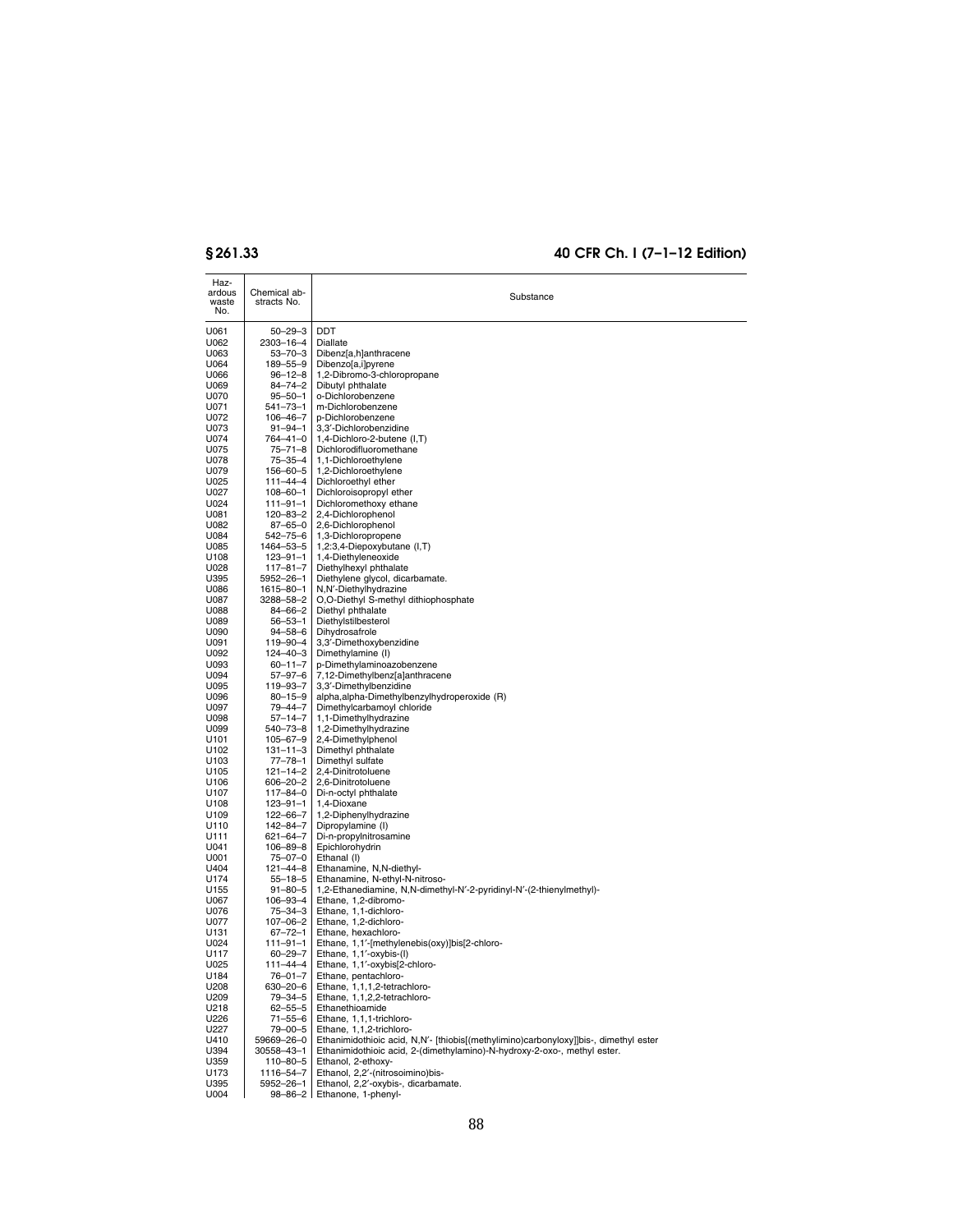| Haz-<br>ardous<br>waste<br>No. | Chemical ab-<br>stracts No.      | Substance                                                                                                                                                        |
|--------------------------------|----------------------------------|------------------------------------------------------------------------------------------------------------------------------------------------------------------|
| U061                           | $50 - 29 - 3$                    | <b>DDT</b>                                                                                                                                                       |
| U062                           | 2303-16-4                        | Diallate                                                                                                                                                         |
| U063                           | $53 - 70 - 3$                    | Dibenz[a,h]anthracene                                                                                                                                            |
| U064                           | 189-55-9                         | Dibenzo[a,i]pyrene                                                                                                                                               |
| U066                           | $96 - 12 - 8$                    | 1,2-Dibromo-3-chloropropane                                                                                                                                      |
| U069<br>U070                   | $84 - 74 - 2$<br>$95 - 50 - 1$   | Dibutyl phthalate<br>o-Dichlorobenzene                                                                                                                           |
| U071                           | $541 - 73 - 1$                   | m-Dichlorobenzene                                                                                                                                                |
| U072                           | 106-46-7                         | p-Dichlorobenzene                                                                                                                                                |
| U073                           | $91 - 94 - 1$                    | 3,3'-Dichlorobenzidine                                                                                                                                           |
| U074                           | $764 - 41 - 0$                   | 1,4-Dichloro-2-butene (I,T)                                                                                                                                      |
| U075<br>U078                   | $75 - 71 - 8$<br>$75 - 35 - 4$   | Dichlorodifluoromethane<br>1,1-Dichloroethylene                                                                                                                  |
| U079                           | 156-60-5                         | 1,2-Dichloroethylene                                                                                                                                             |
| U025                           | 111-44-4                         | Dichloroethyl ether                                                                                                                                              |
| U027                           | 108-60-1                         | Dichloroisopropyl ether                                                                                                                                          |
| U024                           | $111 - 91 - 1$                   | Dichloromethoxy ethane                                                                                                                                           |
| U081<br>U082                   | $120 - 83 - 2$<br>$87 - 65 - 0$  | 2,4-Dichlorophenol<br>2,6-Dichlorophenol                                                                                                                         |
| U084                           | $542 - 75 - 6$                   | 1,3-Dichloropropene                                                                                                                                              |
| U085                           | 1464-53-5                        | 1,2:3,4-Diepoxybutane (I,T)                                                                                                                                      |
| U108                           | $123 - 91 - 1$                   | 1,4-Diethyleneoxide                                                                                                                                              |
| U028                           | $117 - 81 - 7$                   | Diethylhexyl phthalate                                                                                                                                           |
| U395                           | $5952 - 26 - 1$                  | Diethylene glycol, dicarbamate.                                                                                                                                  |
| U086<br>U087                   | 1615-80-1<br>3288-58-2           | N,N'-Diethylhydrazine<br>O,O-Diethyl S-methyl dithiophosphate                                                                                                    |
| U088                           | $84 - 66 - 2$                    | Diethyl phthalate                                                                                                                                                |
| U089                           | $56 - 53 - 1$                    | Diethylstilbesterol                                                                                                                                              |
| U090                           | $94 - 58 - 6$                    | Dihydrosafrole                                                                                                                                                   |
| U091                           | 119-90-4                         | 3,3'-Dimethoxybenzidine                                                                                                                                          |
| U092<br>U093                   | $124 - 40 - 3$<br>$60 - 11 - 7$  | Dimethylamine (I)<br>p-Dimethylaminoazobenzene                                                                                                                   |
| U094                           | $57 - 97 - 6$                    | 7,12-Dimethylbenz[a]anthracene                                                                                                                                   |
| U095                           | 119-93-7                         | 3,3'-Dimethylbenzidine                                                                                                                                           |
| U096                           | $80 - 15 - 9$                    | alpha, alpha-Dimethylbenzylhydroperoxide (R)                                                                                                                     |
| U097                           | $79 - 44 - 7$                    | Dimethylcarbamoyl chloride                                                                                                                                       |
| U098<br>U099                   | $57 - 14 - 7$<br>540-73-8        | 1,1-Dimethylhydrazine<br>1,2-Dimethylhydrazine                                                                                                                   |
| U101                           | $105 - 67 - 9$                   | 2,4-Dimethylphenol                                                                                                                                               |
| U102                           | $131 - 11 - 3$                   | Dimethyl phthalate                                                                                                                                               |
| U <sub>103</sub>               | $77 - 78 - 1$                    | Dimethyl sulfate                                                                                                                                                 |
| U105                           | $121 - 14 - 2$                   | 2,4-Dinitrotoluene                                                                                                                                               |
| U106<br>U107                   | $606 - 20 - 2$<br>$117 - 84 - 0$ | 2,6-Dinitrotoluene<br>Di-n-octyl phthalate                                                                                                                       |
| U108                           | $123 - 91 - 1$                   | 1,4-Dioxane                                                                                                                                                      |
| U109                           | 122-66-7                         | 1,2-Diphenylhydrazine                                                                                                                                            |
| U110                           | 142-84-7                         | Dipropylamine (I)                                                                                                                                                |
| U111                           | $621 - 64 - 7$                   | Di-n-propylnitrosamine                                                                                                                                           |
| U041<br>U001                   | 106-89-8<br>$75 - 07 - 0$        | Epichlorohydrin<br>Ethanal (I)                                                                                                                                   |
| U404                           | $121 - 44 - 8$                   | Ethanamine, N,N-diethyl-                                                                                                                                         |
| U174                           | $55 - 18 - 5$                    | Ethanamine, N-ethyl-N-nitroso-                                                                                                                                   |
| U155                           | $91 - 80 - 5$                    | 1,2-Ethanediamine, N,N-dimethyl-N'-2-pyridinyl-N'-(2-thienylmethyl)-                                                                                             |
| U067                           | 106-93-4                         | Ethane, 1,2-dibromo-                                                                                                                                             |
| U076<br>U077                   | $75 - 34 - 3$<br>107-06-2        | Ethane, 1,1-dichloro-<br>Ethane, 1,2-dichloro-                                                                                                                   |
| U131                           | $67 - 72 - 1$                    | Ethane, hexachloro-                                                                                                                                              |
| U024                           | 111-91-1                         | Ethane, 1,1'-[methylenebis(oxy)]bis[2-chloro-                                                                                                                    |
| U117                           | $60 - 29 - 7$                    | Ethane, 1,1'-oxybis-(I)                                                                                                                                          |
| U025                           | $111 - 44 - 4$                   | Ethane, 1,1'-oxybis[2-chloro-                                                                                                                                    |
| U184<br>U208                   | 76-01-7<br>630-20-6              | Ethane, pentachloro-<br>Ethane, 1,1,1,2-tetrachloro-                                                                                                             |
| U209                           | 79-34-5                          | Ethane, 1,1,2,2-tetrachloro-                                                                                                                                     |
| U218                           | $62 - 55 - 5$                    | Ethanethioamide                                                                                                                                                  |
| U226                           | $71 - 55 - 6$                    | Ethane, 1,1,1-trichloro-                                                                                                                                         |
| U227                           | 79-00-5                          | Ethane, 1,1,2-trichloro-                                                                                                                                         |
| U410<br>U394                   | 59669-26-0<br>30558-43-1         | Ethanimidothioic acid, N,N'- [thiobis[(methylimino)carbonyloxy]]bis-, dimethyl ester<br>Ethanimidothioic acid, 2-(dimethylamino)-N-hydroxy-2-oxo-, methyl ester. |
| U359                           | 110-80-5                         | Ethanol, 2-ethoxy-                                                                                                                                               |
| U173                           | 1116-54-7                        | Ethanol, 2,2'-(nitrosoimino)bis-                                                                                                                                 |
| U395                           | 5952-26-1                        | Ethanol, 2,2'-oxybis-, dicarbamate.                                                                                                                              |
| U004                           |                                  | 98-86-2   Ethanone, 1-phenyl-                                                                                                                                    |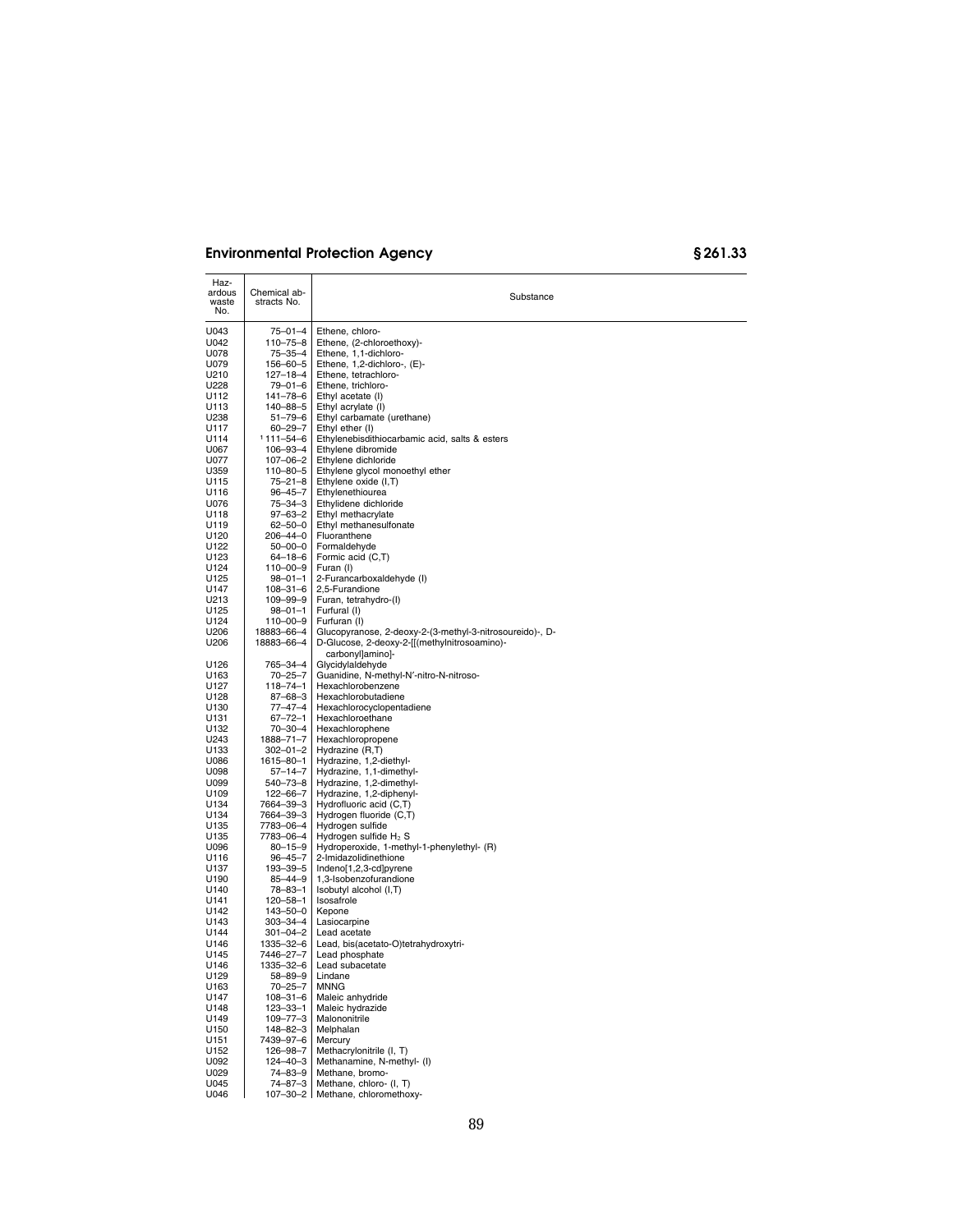| Haz-<br>ardous<br>waste<br>No. | Chemical ab-<br>stracts No.      | Substance                                                   |
|--------------------------------|----------------------------------|-------------------------------------------------------------|
| U043                           | $75 - 01 - 4$                    | Ethene, chloro-                                             |
| U042                           | $110 - 75 - 8$                   | Ethene, (2-chloroethoxy)-                                   |
| U078                           | $75 - 35 - 4$                    | Ethene, 1,1-dichloro-                                       |
| U079                           | 156-60-5                         | Ethene, 1,2-dichloro-, (E)-                                 |
| U210                           | $127 - 18 - 4$                   | Ethene, tetrachloro-                                        |
| U228                           | 79-01-6                          | Ethene, trichloro-                                          |
| U112                           | 141-78-6                         | Ethyl acetate (I)                                           |
| U113                           | 140-88-5                         | Ethyl acrylate (I)                                          |
| U238                           | $51 - 79 - 6$                    | Ethyl carbamate (urethane)                                  |
| U117                           | $60 - 29 - 7$                    | Ethyl ether (I)                                             |
| U114                           | $1111 - 54 - 6$                  | Ethylenebisdithiocarbamic acid, salts & esters              |
| U067                           | 106-93-4                         | Ethylene dibromide                                          |
| U077                           | 107-06-2                         | Ethylene dichloride                                         |
| U359<br>U115                   | 110-80-5<br>$75 - 21 - 8$        | Ethylene glycol monoethyl ether<br>Ethylene oxide (I,T)     |
| U116                           | $96 - 45 - 7$                    | Ethylenethiourea                                            |
| U076                           | 75-34-3                          | Ethylidene dichloride                                       |
| U118                           | $97 - 63 - 2$                    | Ethyl methacrylate                                          |
| U119                           | $62 - 50 - 0$                    | Ethyl methanesulfonate                                      |
| U120                           | 206-44-0                         | Fluoranthene                                                |
| U122                           | $50 - 00 - 0$                    | Formaldehyde                                                |
| U123                           | $64 - 18 - 6$                    | Formic acid (C,T)                                           |
| U124                           | 110-00-9                         | Furan (I)                                                   |
| U125                           | $98 - 01 - 1$                    | 2-Furancarboxaldehyde (I)                                   |
| U147                           | $108 - 31 - 6$                   | 2,5-Furandione                                              |
| U213                           | 109-99-9                         | Furan, tetrahydro-(I)                                       |
| U125                           | $98 - 01 - 1$                    | Furfural (I)                                                |
| U124                           | $110 - 00 - 9$                   | Furfuran (I)                                                |
| U206                           | 18883-66-4                       | Glucopyranose, 2-deoxy-2-(3-methyl-3-nitrosoureido)-, D-    |
| U206                           | 18883-66-4                       | D-Glucose, 2-deoxy-2-[[(methylnitrosoamino)-                |
| U126                           |                                  | carbonyllaminol-                                            |
| U163                           | 765-34-4<br>$70 - 25 - 7$        | Glycidylaldehyde<br>Guanidine, N-methyl-N'-nitro-N-nitroso- |
| U127                           | $118 - 74 - 1$                   | Hexachlorobenzene                                           |
| U128                           | $87 - 68 - 3$                    | Hexachlorobutadiene                                         |
| U130                           | $77 - 47 - 4$                    | Hexachlorocyclopentadiene                                   |
| U131                           | $67 - 72 - 1$                    | Hexachloroethane                                            |
| U132                           | 70-30-4                          | Hexachlorophene                                             |
| U243                           | 1888-71-7                        | Hexachloropropene                                           |
| U133                           | $302 - 01 - 2$                   | Hydrazine (R,T)                                             |
| U086                           | 1615-80-1                        | Hydrazine, 1,2-diethyl-                                     |
| U098                           | $57 - 14 - 7$                    | Hydrazine, 1,1-dimethyl-                                    |
| U099                           | 540–73–8                         | Hydrazine, 1,2-dimethyl-                                    |
| U109                           | $122 - 66 - 7$                   | Hydrazine, 1,2-diphenyl-                                    |
| U134                           | 7664-39-3                        | Hydrofluoric acid (C,T)                                     |
| U134<br>U135                   | 7664–39–3<br>7783-06-4           | Hydrogen fluoride (C,T)<br>Hydrogen sulfide                 |
| U135                           | 7783-06-4                        | Hydrogen sulfide $H_2$ S                                    |
| U096                           | $80 - 15 - 9$                    | Hydroperoxide, 1-methyl-1-phenylethyl- (R)                  |
| U116                           | $96 - 45 - 7$                    | 2-Imidazolidinethione                                       |
| U137                           | 193-39-5                         | Indeno[1,2,3-cd]pyrene                                      |
| U190                           | $85 - 44 - 9$                    | 1,3-Isobenzofurandione                                      |
| U140                           | 78-83-1                          | Isobutyl alcohol (I,T)                                      |
| U141                           | $120 - 58 - 1$                   | Isosafrole                                                  |
| U142                           | 143-50-0                         | Kepone                                                      |
| U143                           | 303-34-4                         | Lasiocarpine                                                |
| U144                           | 301-04-2                         | Lead acetate                                                |
| U146                           | 1335-32-6                        | Lead, bis(acetato-O)tetrahydroxytri-                        |
| U145                           | 7446–27–7                        | Lead phosphate                                              |
| U146                           | 1335-32-6                        | Lead subacetate                                             |
| U129                           | 58-89-9                          | Lindane                                                     |
| U163                           | $70 - 25 - 7$                    | <b>MNNG</b>                                                 |
| U147                           | $108 - 31 - 6$<br>$123 - 33 - 1$ | Maleic anhydride                                            |
| U148<br>U149                   | 109-77-3                         | Maleic hydrazide<br>Malononitrile                           |
| U150                           | 148-82-3                         | Melphalan                                                   |
| U151                           | 7439-97-6                        | Mercury                                                     |
| U152                           | 126-98-7                         | Methacrylonitrile (I, T)                                    |
| U092                           | $124 - 40 - 3$                   | Methanamine, N-methyl- (I)                                  |
| U029                           | 74-83-9                          | Methane, bromo-                                             |
| U045                           | 74-87-3                          | Methane, chloro- (I, T)                                     |
| U046                           | 107-30-2                         | Methane, chloromethoxy-                                     |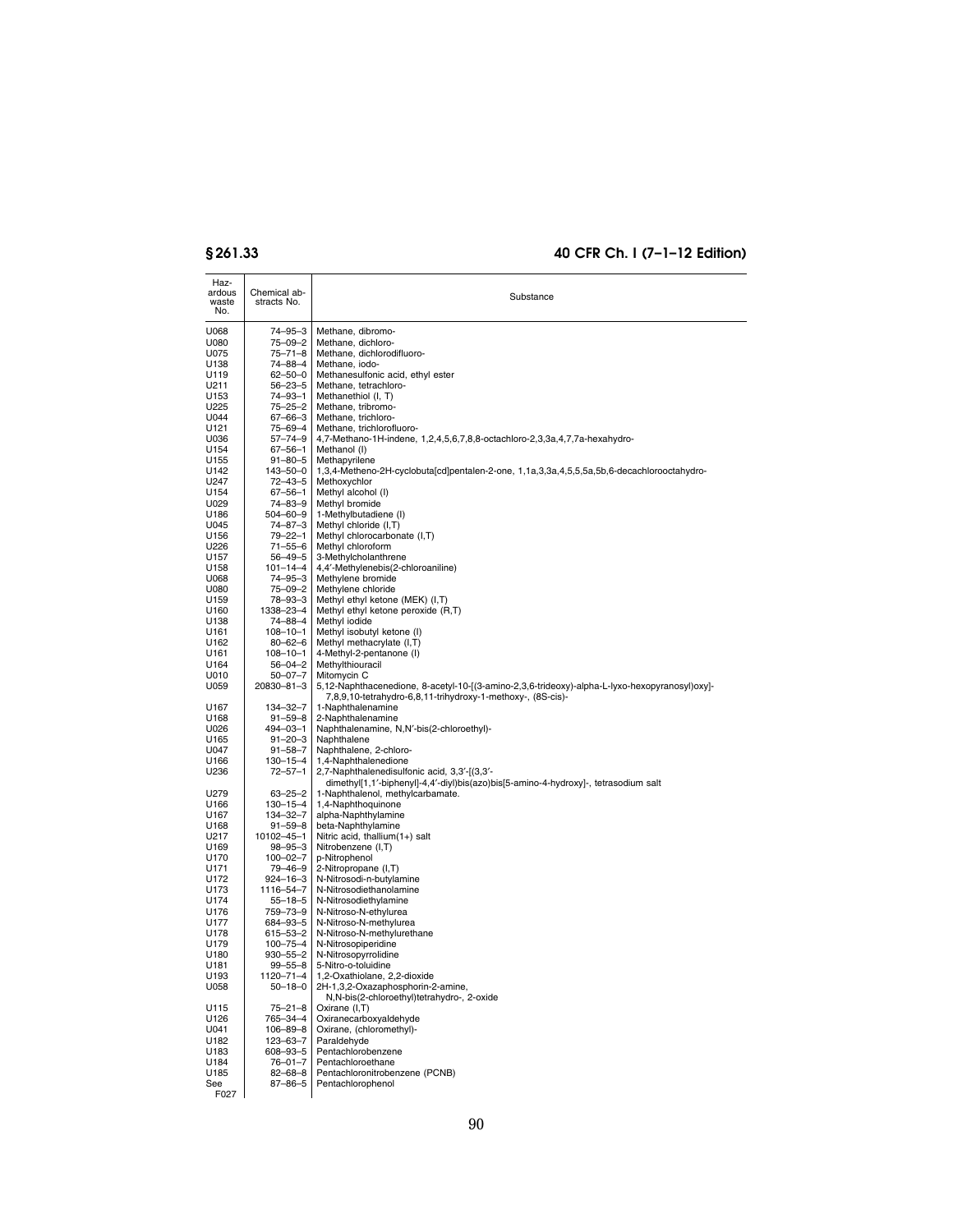$\overline{a}$ 

| Haz-<br>ardous<br>waste<br>No. | Chemical ab-<br>stracts No.     | Substance                                                                                                                                                    |
|--------------------------------|---------------------------------|--------------------------------------------------------------------------------------------------------------------------------------------------------------|
| U068                           | 74–95–3                         | Methane, dibromo-                                                                                                                                            |
| U080                           | $75 - 09 - 2$                   | Methane, dichloro-                                                                                                                                           |
| U075                           | $75 - 71 - 8$<br>74-88-4        | Methane, dichlorodifluoro-                                                                                                                                   |
| U138<br>U119                   | $62 - 50 - 0$                   | Methane, iodo-<br>Methanesulfonic acid, ethyl ester                                                                                                          |
| U211                           | $56 - 23 - 5$                   | Methane, tetrachloro-                                                                                                                                        |
| U153                           | 74-93-1                         | Methanethiol (I, T)                                                                                                                                          |
| U225                           | 75-25-2                         | Methane, tribromo-                                                                                                                                           |
| U044                           | 67-66-3                         | Methane, trichloro-                                                                                                                                          |
| U121<br>U036                   | 75-69-4<br>57-74-9              | Methane, trichlorofluoro-<br>4,7-Methano-1H-indene, 1,2,4,5,6,7,8,8-octachloro-2,3,3a,4,7,7a-hexahydro-                                                      |
| U154                           | 67-56-1                         | Methanol (I)                                                                                                                                                 |
| U155                           | $91 - 80 - 5$                   | Methapyrilene                                                                                                                                                |
| U142                           | 143-50-0                        | 1,3,4-Metheno-2H-cyclobuta[cd]pentalen-2-one, 1,1a,3,3a,4,5,5,5a,5b,6-decachlorooctahydro-                                                                   |
| U247                           | $72 - 43 - 5$                   | Methoxychlor                                                                                                                                                 |
| U154                           | 67-56-1                         | Methyl alcohol (I)                                                                                                                                           |
| U029<br>U186                   | 74-83-9<br>504-60-9             | Methyl bromide<br>1-Methylbutadiene (I)                                                                                                                      |
| U045                           | 74-87-3                         | Methyl chloride (I,T)                                                                                                                                        |
| U156                           | 79-22-1                         | Methyl chlorocarbonate (I,T)                                                                                                                                 |
| U226                           | 71-55-6                         | Methyl chloroform                                                                                                                                            |
| U157                           | $56 - 49 - 5$                   | 3-Methylcholanthrene                                                                                                                                         |
| U158<br>U068                   | $101 - 14 - 4$<br>$74 - 95 - 3$ | 4,4'-Methylenebis(2-chloroaniline)<br>Methylene bromide                                                                                                      |
| U080                           | 75-09-2                         | Methylene chloride                                                                                                                                           |
| U159                           | 78–93–3                         | Methyl ethyl ketone (MEK) (I,T)                                                                                                                              |
| U160                           | 1338-23-4                       | Methyl ethyl ketone peroxide (R,T)                                                                                                                           |
| U138                           | 74–88–4                         | Methyl iodide                                                                                                                                                |
| U161<br>U162                   | $108 - 10 - 1$<br>$80 - 62 - 6$ | Methyl isobutyl ketone (I)<br>Methyl methacrylate (I,T)                                                                                                      |
| U161                           | $108 - 10 - 1$                  | 4-Methyl-2-pentanone (I)                                                                                                                                     |
| U164                           | $56 - 04 - 2$                   | Methylthiouracil                                                                                                                                             |
| U010                           | $50 - 07 - 7$                   | Mitomycin C                                                                                                                                                  |
| U059                           | 20830-81-3                      | 5,12-Naphthacenedione, 8-acetyl-10-[(3-amino-2,3,6-trideoxy)-alpha-L-lyxo-hexopyranosyl)oxy]-<br>7,8,9,10-tetrahydro-6,8,11-trihydroxy-1-methoxy-, (8S-cis)- |
| U167                           | 134-32-7                        | 1-Naphthalenamine                                                                                                                                            |
| U168<br>U026                   | 91-59-8<br>494–03–1             | 2-Naphthalenamine<br>Naphthalenamine, N,N'-bis(2-chloroethyl)-                                                                                               |
| U165                           | $91 - 20 - 3$                   | Naphthalene                                                                                                                                                  |
| U047                           | $91 - 58 - 7$                   | Naphthalene, 2-chloro-                                                                                                                                       |
| U166                           | $130 - 15 - 4$                  | 1,4-Naphthalenedione                                                                                                                                         |
| U236                           | $72 - 57 - 1$                   | 2,7-Naphthalenedisulfonic acid, 3,3'-[(3,3'-<br>dimethyl[1,1'-biphenyl]-4,4'-diyl)bis(azo)bis[5-amino-4-hydroxy]-, tetrasodium salt                          |
| U279<br>U166                   | $63 - 25 - 2$<br>$130 - 15 - 4$ | 1-Naphthalenol, methylcarbamate.<br>1,4-Naphthoquinone                                                                                                       |
| U167                           | 134-32-7                        | alpha-Naphthylamine                                                                                                                                          |
| U168                           | 91-59-8                         | beta-Naphthylamine                                                                                                                                           |
| U217                           | 10102-45-1                      | Nitric acid, thallium(1+) salt                                                                                                                               |
| U169                           | 98-95-3                         | Nitrobenzene (I,T)                                                                                                                                           |
| U170<br>U171                   | $100 - 02 - 7$<br>79–46–9       | p-Nitrophenol<br>2-Nitropropane (I,T)                                                                                                                        |
| U172                           | 924-16-3                        | N-Nitrosodi-n-butylamine                                                                                                                                     |
| U173                           | 1116-54-7                       | N-Nitrosodiethanolamine                                                                                                                                      |
| U174                           | 55-18-5                         | N-Nitrosodiethylamine                                                                                                                                        |
| U176                           | 759-73-9                        | N-Nitroso-N-ethylurea                                                                                                                                        |
| U177<br>U178                   | 684-93-5<br>615-53-2            | N-Nitroso-N-methylurea<br>N-Nitroso-N-methylurethane                                                                                                         |
| U179                           | $100 - 75 - 4$                  | N-Nitrosopiperidine                                                                                                                                          |
| U180                           | 930–55–2                        | N-Nitrosopyrrolidine                                                                                                                                         |
| U181                           | $99 - 55 - 8$                   | 5-Nitro-o-toluidine                                                                                                                                          |
| U193<br>U058                   | 1120–71–4<br>$50 - 18 - 0$      | 1,2-Oxathiolane, 2,2-dioxide<br>2H-1,3,2-Oxazaphosphorin-2-amine,                                                                                            |
|                                |                                 | N,N-bis(2-chloroethyl)tetrahydro-, 2-oxide                                                                                                                   |
| U115<br>U126                   | 75-21-8<br>765–34–4             | Oxirane (I,T)<br>Oxiranecarboxyaldehyde                                                                                                                      |
| U041                           | 106-89-8                        | Oxirane, (chloromethyl)-                                                                                                                                     |
| U182                           | 123-63-7                        | Paraldehyde                                                                                                                                                  |
| U183                           | 608-93-5                        | Pentachlorobenzene                                                                                                                                           |
| U184                           | $76 - 01 - 7$                   | Pentachloroethane                                                                                                                                            |
| U185<br>See                    | $82 - 68 - 8$<br>87-86-5        | Pentachloronitrobenzene (PCNB)<br>Pentachlorophenol                                                                                                          |
| F027                           |                                 |                                                                                                                                                              |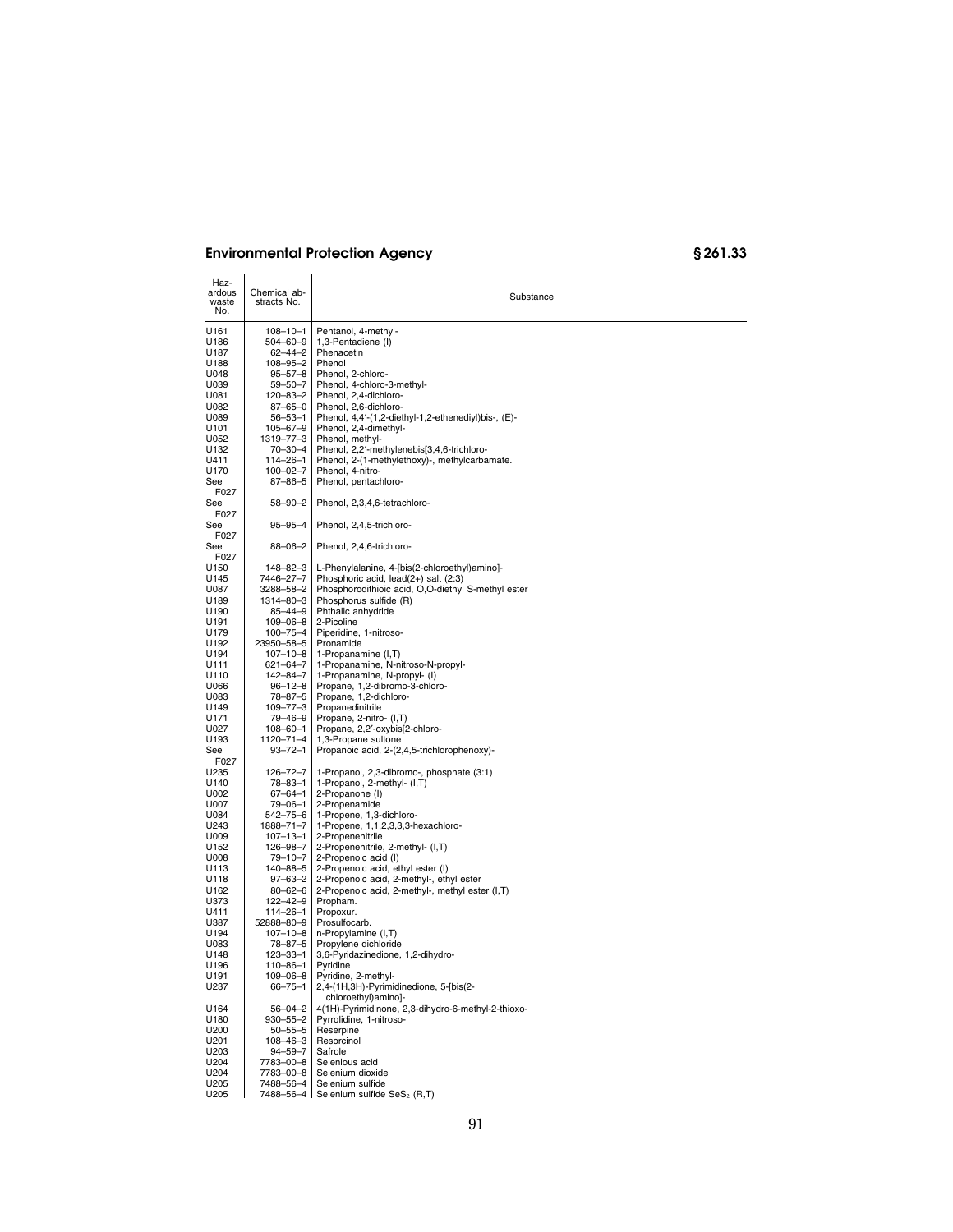| Haz-<br>ardous<br>waste<br>No. | Chemical ab-<br>stracts No. | Substance                                                                                  |
|--------------------------------|-----------------------------|--------------------------------------------------------------------------------------------|
| U161                           | $108 - 10 - 1$              | Pentanol, 4-methyl-                                                                        |
| U186                           | $504 - 60 - 9$              | 1,3-Pentadiene (I)                                                                         |
| U187                           | 62-44-2                     | Phenacetin                                                                                 |
| U188                           | 108-95-2                    | Phenol                                                                                     |
| U048                           | 95–57–8                     | Phenol, 2-chloro-                                                                          |
| U039                           | 59-50-7                     | Phenol, 4-chloro-3-methyl-                                                                 |
| U081                           | 120-83-2                    | Phenol, 2,4-dichloro-                                                                      |
| U082                           | $87 - 65 - 0$               | Phenol, 2,6-dichloro-                                                                      |
| U089                           | $56 - 53 - 1$               | Phenol, 4,4'-(1,2-diethyl-1,2-ethenediyl)bis-, (E)-                                        |
| U101                           | $105 - 67 - 9$              | Phenol, 2,4-dimethyl-                                                                      |
| U052                           | 1319-77-3<br>70-30-4        | Phenol, methyl-<br>Phenol, 2,2'-methylenebis[3,4,6-trichloro-                              |
| U132<br>U411                   | $114 - 26 - 1$              | Phenol, 2-(1-methylethoxy)-, methylcarbamate.                                              |
| U170                           | $100 - 02 - 7$              | Phenol, 4-nitro-                                                                           |
| See                            | 87-86-5                     | Phenol, pentachloro-                                                                       |
| F027                           |                             |                                                                                            |
| See                            | $58 - 90 - 2$               | Phenol, 2,3,4,6-tetrachloro-                                                               |
| F027                           |                             |                                                                                            |
| See                            | $95 - 95 - 4$               | Phenol, 2,4,5-trichloro-                                                                   |
| F027                           |                             |                                                                                            |
| See                            | 88-06-2                     | Phenol, 2,4,6-trichloro-                                                                   |
| F027                           |                             |                                                                                            |
| U150                           | 148-82-3                    | L-Phenylalanine, 4-[bis(2-chloroethyl)amino]-                                              |
| U145<br>U087                   | 7446-27-7<br>3288-58-2      | Phosphoric acid, lead(2+) salt (2:3)<br>Phosphorodithioic acid, O,O-diethyl S-methyl ester |
| U189                           | 1314–80–3                   | Phosphorus sulfide (R)                                                                     |
| U190                           | 85-44-9                     | Phthalic anhydride                                                                         |
| U191                           | $109 - 06 - 8$              | 2-Picoline                                                                                 |
| U179                           | 100-75-4                    | Piperidine, 1-nitroso-                                                                     |
| U192                           | 23950-58-5                  | Pronamide                                                                                  |
| U194                           | $107 - 10 - 8$              | 1-Propanamine (I,T)                                                                        |
| U111                           | 621-64-7                    | 1-Propanamine, N-nitroso-N-propyl-                                                         |
| U110                           | 142-84-7                    | 1-Propanamine, N-propyl- (I)                                                               |
| U066                           | $96 - 12 - 8$               | Propane, 1,2-dibromo-3-chloro-                                                             |
| U083                           | 78-87-5                     | Propane, 1,2-dichloro-                                                                     |
| U149<br>U171                   | 109–77–3<br>79-46-9         | Propanedinitrile<br>Propane, 2-nitro- (I,T)                                                |
| U027                           | $108 - 60 - 1$              | Propane, 2,2'-oxybis[2-chloro-                                                             |
| U193                           | 1120-71-4                   | 1,3-Propane sultone                                                                        |
| See                            | $93 - 72 - 1$               | Propanoic acid, 2-(2,4,5-trichlorophenoxy)-                                                |
| F027                           |                             |                                                                                            |
| U235                           | 126-72-7                    | 1-Propanol, 2,3-dibromo-, phosphate (3:1)                                                  |
| U140                           | 78–83–1                     | 1-Propanol, 2-methyl- (I,T)                                                                |
| U002                           | 67–64–1                     | 2-Propanone (I)                                                                            |
| U007                           | 79-06-1                     | 2-Propenamide                                                                              |
| U084                           | 542-75-6                    | 1-Propene, 1,3-dichloro-                                                                   |
| U243<br>U009                   | 1888-71-7<br>$107 - 13 - 1$ | 1-Propene, 1,1,2,3,3,3-hexachloro-<br>2-Propenenitrile                                     |
| U152                           | 126-98-7                    | 2-Propenenitrile, 2-methyl- (I,T)                                                          |
| U008                           | 79-10-7                     | 2-Propenoic acid (I)                                                                       |
| U113                           | 140-88-5                    | 2-Propenoic acid, ethyl ester (I)                                                          |
| U118                           | $97 - 63 - 2$               | 2-Propenoic acid, 2-methyl-, ethyl ester                                                   |
| U162                           | 80-62-6                     | 2-Propenoic acid, 2-methyl-, methyl ester (I,T)                                            |
| U373                           | 122–42–9                    | Propham.                                                                                   |
| U411                           | $114 - 26 - 1$              | Propoxur.                                                                                  |
| U387                           | 52888-80-9                  | Prosulfocarb.                                                                              |
| U194<br>U083                   | 107-10-8<br>78-87-5         | n-Propylamine (I,T)                                                                        |
| U148                           | 123-33-1                    | Propylene dichloride<br>3,6-Pyridazinedione, 1,2-dihydro-                                  |
| U196                           | 110-86-1                    | Pyridine                                                                                   |
| U191                           | 109-06-8                    | Pyridine, 2-methyl-                                                                        |
| U237                           | $66 - 75 - 1$               | 2,4-(1H,3H)-Pyrimidinedione, 5-[bis(2-<br>chloroethyl)amino]-                              |
| U164                           | $56 - 04 - 2$               | 4(1H)-Pyrimidinone, 2,3-dihydro-6-methyl-2-thioxo-                                         |
| U180                           | $930 - 55 - 2$              | Pyrrolidine, 1-nitroso-                                                                    |
| U200                           | $50 - 55 - 5$               | Reserpine                                                                                  |
| U201                           | 108-46-3                    | Resorcinol                                                                                 |
| U203                           | $94 - 59 - 7$               | Safrole                                                                                    |
| U204                           | 7783-00-8                   | Selenious acid<br>Selenium dioxide                                                         |
| U204<br>U205                   | 7783-00-8<br>7488-56-4      | Selenium sulfide                                                                           |
| U205                           | 7488–56–4∣                  | Selenium sulfide SeS <sub>2</sub> (R,T)                                                    |
|                                |                             |                                                                                            |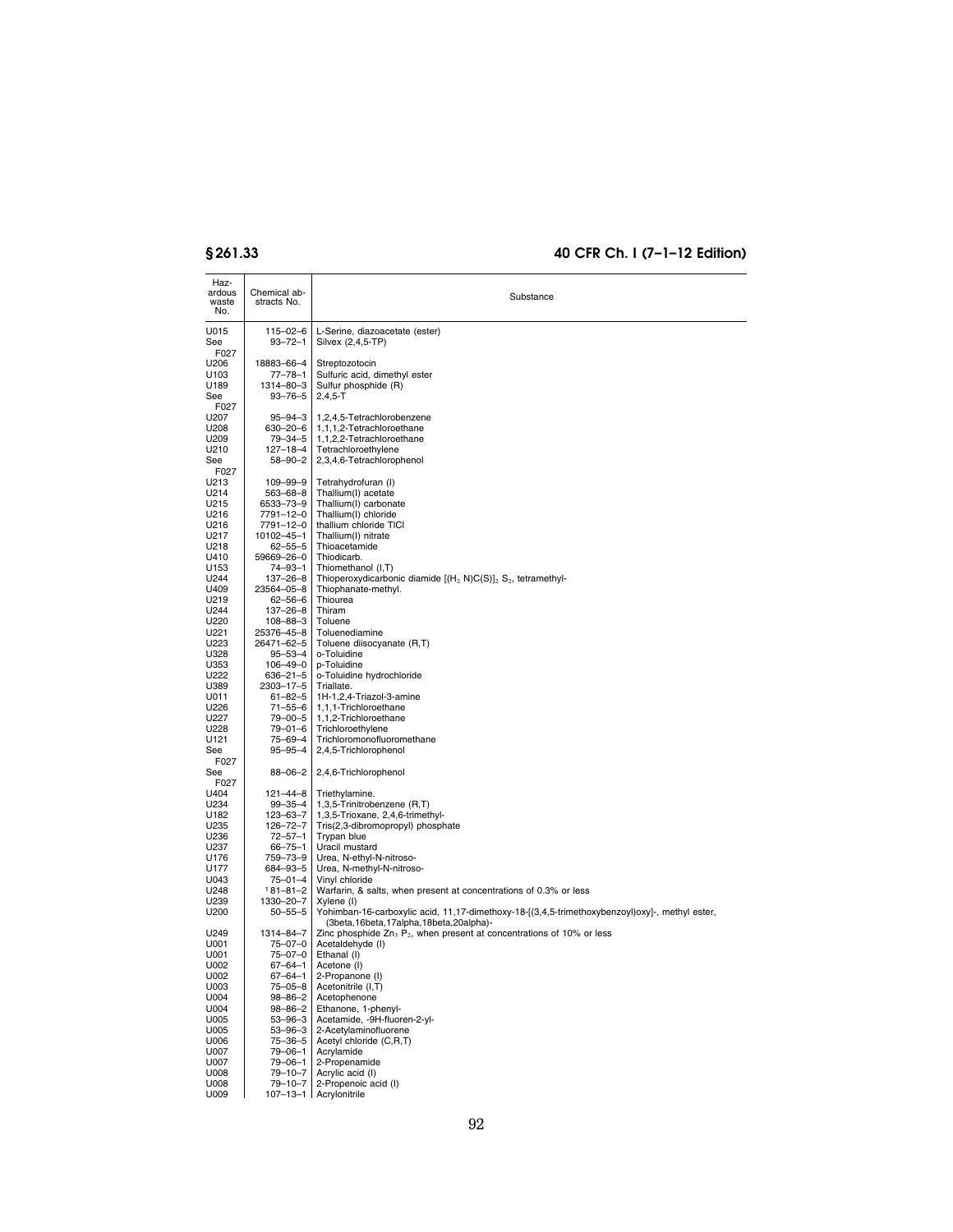| Haz-<br>ardous   | Chemical ab-                |                                                                                                   |
|------------------|-----------------------------|---------------------------------------------------------------------------------------------------|
| waste<br>No.     | stracts No.                 | Substance                                                                                         |
|                  |                             |                                                                                                   |
| U015             | 115-02-6                    | L-Serine, diazoacetate (ester)                                                                    |
| See<br>F027      | $93 - 72 - 1$               | Silvex (2,4,5-TP)                                                                                 |
| U206             | 18883-66-4                  | Streptozotocin                                                                                    |
| U <sub>103</sub> | 77–78–1                     | Sulfuric acid, dimethyl ester                                                                     |
| U189             | 1314-80-3                   | Sulfur phosphide (R)                                                                              |
| See<br>F027      | 93-76-5                     | $2,4,5-T$                                                                                         |
| U207             | $95 - 94 - 3$               | 1,2,4,5-Tetrachlorobenzene                                                                        |
| U208             | 630-20-6                    | 1,1,1,2-Tetrachloroethane                                                                         |
| U209<br>U210     | 79–34–5                     | 1,1,2,2-Tetrachloroethane<br>Tetrachloroethylene                                                  |
| See              | 127-18-4<br>58–90–2         | 2,3,4,6-Tetrachlorophenol                                                                         |
| F027             |                             |                                                                                                   |
| U213             | 109-99-9                    | Tetrahydrofuran (I)                                                                               |
| U214<br>U215     | 563-68-8                    | Thallium(I) acetate<br>Thallium(I) carbonate                                                      |
| U216             | 6533-73-9<br>7791-12-0      | Thallium(I) chloride                                                                              |
| U216             | 7791-12-0                   | thallium chloride TICI                                                                            |
| U217             | 10102-45-1                  | Thallium(I) nitrate                                                                               |
| U218<br>U410     | $62 - 55 - 5$<br>59669-26-0 | Thioacetamide<br>Thiodicarb.                                                                      |
| U153             | 74-93-1                     | Thiomethanol (I,T)                                                                                |
| U244             | 137-26-8                    | Thioperoxydicarbonic diamide $[(H_2 N)C(S)]_2 S_2$ , tetramethyl-                                 |
| U409             | 23564-05-8                  | Thiophanate-methyl.                                                                               |
| U219<br>U244     | 62-56-6<br>137-26-8         | Thiourea<br>Thiram                                                                                |
| U220             | 108-88-3                    | Toluene                                                                                           |
| U221             | 25376-45-8                  | Toluenediamine                                                                                    |
| U223<br>U328     | 26471-62-5<br>95–53–4       | Toluene diisocyanate (R,T)<br>o-Toluidine                                                         |
| U353             | 106-49-0                    | p-Toluidine                                                                                       |
| U222             | 636–21–5                    | o-Toluidine hydrochloride                                                                         |
| U389             | 2303-17-5                   | Triallate.                                                                                        |
| U011<br>U226     | $61 - 82 - 5$<br>71-55-6    | 1H-1,2,4-Triazol-3-amine<br>1,1,1-Trichloroethane                                                 |
| U227             | 79-00-5                     | 1,1,2-Trichloroethane                                                                             |
| U228             | 79–01–6                     | Trichloroethylene                                                                                 |
| U121<br>See      | 75-69-4<br>95-95-4          | Trichloromonofluoromethane<br>2,4,5-Trichlorophenol                                               |
| F027             |                             |                                                                                                   |
| See              | 88-06-2                     | 2,4,6-Trichlorophenol                                                                             |
| F027             |                             |                                                                                                   |
| U404<br>U234     | 121-44-8<br>99-35-4         | Triethylamine.<br>1,3,5-Trinitrobenzene (R,T)                                                     |
| U182             | 123-63-7                    | 1,3,5-Trioxane, 2,4,6-trimethyl-                                                                  |
| U235             | 126-72-7                    | Tris(2,3-dibromopropyl) phosphate                                                                 |
| U236<br>U237     | 72-57-1<br>66–75–1          | Trypan blue<br>Uracil mustard                                                                     |
| U176             | 759–73–9                    | Urea, N-ethyl-N-nitroso-                                                                          |
| U177             | 684–93–5                    | Urea, N-methyl-N-nitroso-                                                                         |
| U043<br>U248     | 75–01–4                     | Vinyl chloride<br>Warfarin, & salts, when present at concentrations of 0.3% or less               |
| U239             | 181-81-2<br>1330-20-7       | Xylene (I)                                                                                        |
| U200             | $50 - 55 - 5$               | Yohimban-16-carboxylic acid, 11,17-dimethoxy-18-[(3,4,5-trimethoxybenzoyl)oxy]-, methyl ester,    |
|                  |                             | (3beta,16beta,17alpha,18beta,20alpha)-                                                            |
| U249<br>U001     | 1314-84-7<br>$75 - 07 - 0$  | Zinc phosphide $Zn_3$ , $P_2$ , when present at concentrations of 10% or less<br>Acetaldehyde (I) |
| U001             | 75-07-0                     | Ethanal (I)                                                                                       |
| U002             | 67-64-1                     | Acetone (I)                                                                                       |
| U002             | 67–64–1                     | 2-Propanone (I)                                                                                   |
| U003<br>U004     | 75-05-8<br>$98 - 86 - 2$    | Acetonitrile (I,T)<br>Acetophenone                                                                |
| U004             | $98 - 86 - 2$               | Ethanone, 1-phenyl-                                                                               |
| U005             | $53 - 96 - 3$               | Acetamide, -9H-fluoren-2-yl-                                                                      |
| U005             | 53-96-3                     | 2-Acetylaminofluorene<br>Acetyl chloride (C,R,T)                                                  |
| U006<br>U007     | 75-36-5<br>79-06-1          | Acrylamide                                                                                        |
| U007             | 79-06-1                     | 2-Propenamide                                                                                     |
| U008             | 79-10-7                     | Acrylic acid (I)                                                                                  |
| U008<br>U009     | 79-10-7<br>$107 - 13 - 1$   | 2-Propenoic acid (I)<br>Acrylonitrile                                                             |
|                  |                             |                                                                                                   |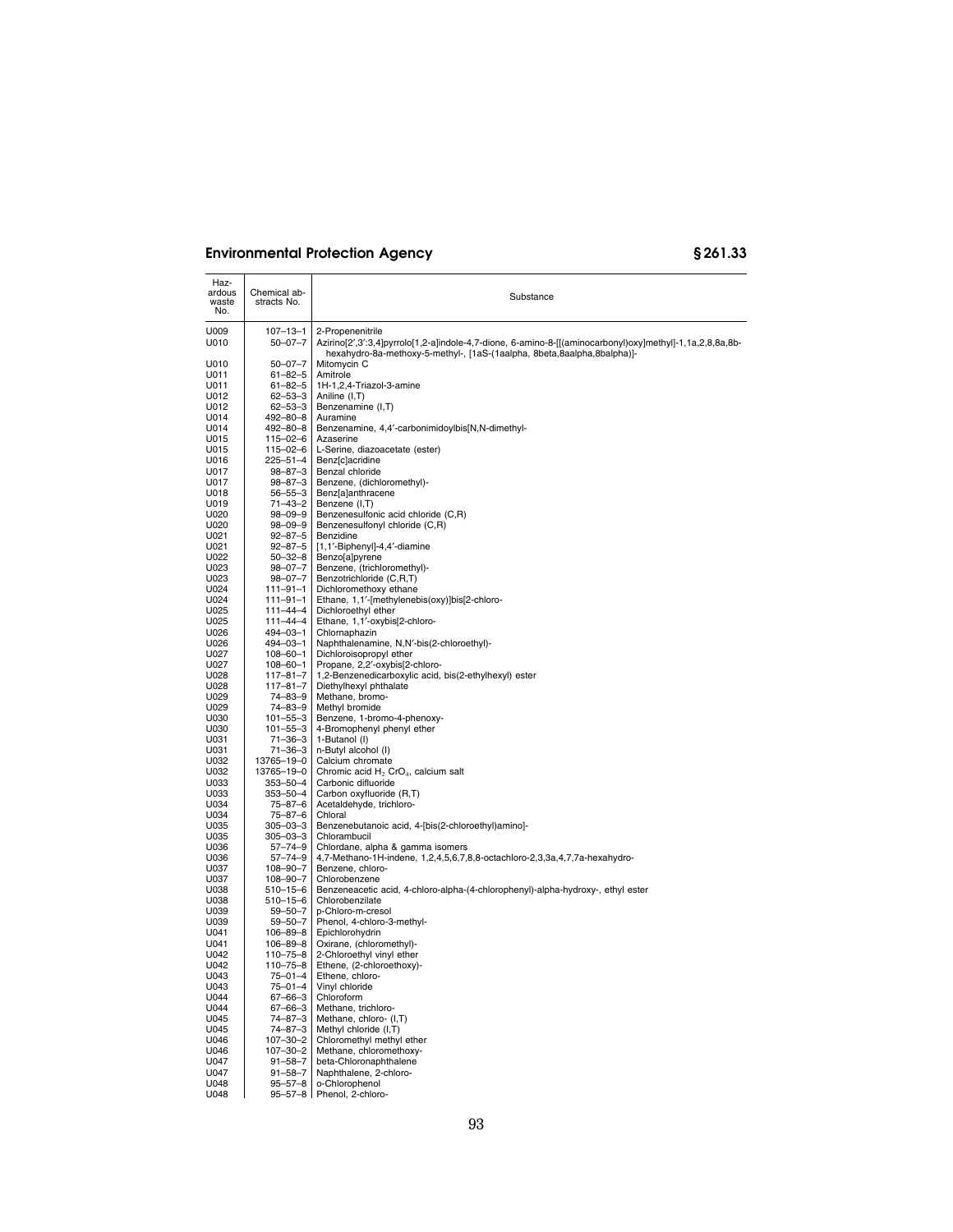| Haz-<br>ardous<br>waste<br>No. | Chemical ab-<br>stracts No.     | Substance                                                                                                                                                                           |
|--------------------------------|---------------------------------|-------------------------------------------------------------------------------------------------------------------------------------------------------------------------------------|
| U009                           | $107 - 13 - 1$                  | 2-Propenenitrile                                                                                                                                                                    |
| U010                           | $50 - 07 - 7$                   | Azirino[2',3':3,4]pyrrolo[1,2-a]indole-4,7-dione, 6-amino-8-[[(aminocarbonyl)oxy]methyl]-1,1a,2,8,8a,8b-<br>hexahydro-8a-methoxy-5-methyl-, [1aS-(1aalpha, 8beta,8aalpha,8balpha)]- |
| U010                           | $50 - 07 - 7$                   | Mitomycin C                                                                                                                                                                         |
| U011                           | $61 - 82 - 5$                   | Amitrole                                                                                                                                                                            |
| U011                           | $61 - 82 - 5$                   | 1H-1,2,4-Triazol-3-amine                                                                                                                                                            |
| U012                           | $62 - 53 - 3$                   | Aniline (I,T)                                                                                                                                                                       |
| U012                           | $62 - 53 - 3$                   | Benzenamine (I,T)                                                                                                                                                                   |
| U014                           | 492-80-8                        | Auramine                                                                                                                                                                            |
| U014                           | 492-80-8                        | Benzenamine, 4,4'-carbonimidoylbis[N,N-dimethyl-                                                                                                                                    |
| U015                           | $115 - 02 - 6$                  | Azaserine                                                                                                                                                                           |
| U015                           | 115-02-6                        | L-Serine, diazoacetate (ester)                                                                                                                                                      |
| U016<br>U017                   | 225-51-4<br>98-87-3             | Benz[c]acridine<br>Benzal chloride                                                                                                                                                  |
| U017                           | $98 - 87 - 3$                   | Benzene, (dichloromethyl)-                                                                                                                                                          |
| U018                           | $56 - 55 - 3$                   | Benz[a]anthracene                                                                                                                                                                   |
| U019                           | 71-43-2                         | Benzene (I,T)                                                                                                                                                                       |
| U020                           | 98-09-9                         | Benzenesulfonic acid chloride (C,R)                                                                                                                                                 |
| U020                           | $98 - 09 - 9$                   | Benzenesulfonyl chloride (C,R)                                                                                                                                                      |
| U021                           | $92 - 87 - 5$                   | Benzidine                                                                                                                                                                           |
| U021                           | $92 - 87 - 5$                   | [1,1'-Biphenyl]-4,4'-diamine                                                                                                                                                        |
| U022                           | $50 - 32 - 8$                   | Benzo[a]pyrene                                                                                                                                                                      |
| U023                           | 98-07-7                         | Benzene, (trichloromethyl)-                                                                                                                                                         |
| U023                           | $98 - 07 - 7$                   | Benzotrichloride (C,R,T)                                                                                                                                                            |
| U024                           | $111 - 91 - 1$                  | Dichloromethoxy ethane                                                                                                                                                              |
| U024                           | 111-91-1                        | Ethane, 1,1'-[methylenebis(oxy)]bis[2-chloro-                                                                                                                                       |
| U025                           | 111-44-4                        | Dichloroethyl ether                                                                                                                                                                 |
| U025<br>U026                   | $111 - 44 - 4$                  | Ethane, 1,1'-oxybis[2-chloro-                                                                                                                                                       |
| U026                           | 494-03-1<br>494-03-1            | Chlornaphazin<br>Naphthalenamine, N,N'-bis(2-chloroethyl)-                                                                                                                          |
| U027                           | $108 - 60 - 1$                  | Dichloroisopropyl ether                                                                                                                                                             |
| U027                           | $108 - 60 - 1$                  | Propane, 2,2'-oxybis[2-chloro-                                                                                                                                                      |
| U028                           | 117-81-7                        | 1,2-Benzenedicarboxylic acid, bis(2-ethylhexyl) ester                                                                                                                               |
| U028                           | $117 - 81 - 7$                  | Diethylhexyl phthalate                                                                                                                                                              |
| U029                           | 74-83-9                         | Methane, bromo-                                                                                                                                                                     |
| U029                           | 74-83-9                         | Methyl bromide                                                                                                                                                                      |
| U030                           | $101 - 55 - 3$                  | Benzene, 1-bromo-4-phenoxy-                                                                                                                                                         |
| U030                           | $101 - 55 - 3$                  | 4-Bromophenyl phenyl ether                                                                                                                                                          |
| U031                           | 71-36-3                         | 1-Butanol (I)                                                                                                                                                                       |
| U031                           | $71 - 36 - 3$                   | n-Butyl alcohol (I)                                                                                                                                                                 |
| U032<br>U032                   | 13765-19-0<br>13765-19-0        | Calcium chromate<br>Chromic acid H <sub>2</sub> CrO <sub>4</sub> , calcium salt                                                                                                     |
| U033                           | 353-50-4                        | Carbonic difluoride                                                                                                                                                                 |
| U033                           | 353-50-4                        | Carbon oxyfluoride (R,T)                                                                                                                                                            |
| U034                           | 75-87-6                         | Acetaldehyde, trichloro-                                                                                                                                                            |
| U034                           | 75-87-6                         | Chloral                                                                                                                                                                             |
| U035                           | $305 - 03 - 3$                  | Benzenebutanoic acid, 4-[bis(2-chloroethyl)amino]-                                                                                                                                  |
| U035                           | $305 - 03 - 3$                  | Chlorambucil                                                                                                                                                                        |
| U036                           | $57 - 74 - 9$                   | Chlordane, alpha & gamma isomers                                                                                                                                                    |
| U036                           | $57 - 74 - 9$                   | 4,7-Methano-1H-indene, 1,2,4,5,6,7,8,8-octachloro-2,3,3a,4,7,7a-hexahydro-                                                                                                          |
| U037                           | $108 - 90 - 7$                  | Benzene, chloro-                                                                                                                                                                    |
| U037                           | $108 - 90 - 7$                  | Chlorobenzene                                                                                                                                                                       |
| U038                           | 510-15-6                        | Benzeneacetic acid, 4-chloro-alpha-(4-chlorophenyl)-alpha-hydroxy-, ethyl ester                                                                                                     |
| U038<br>U039                   | $510 - 15 - 6$<br>$59 - 50 - 7$ | Chlorobenzilate<br>p-Chloro-m-cresol                                                                                                                                                |
| U039                           | $59 - 50 - 7$                   | Phenol, 4-chloro-3-methyl-                                                                                                                                                          |
| U041                           | 106-89-8                        | Epichlorohydrin                                                                                                                                                                     |
| U041                           | 106-89-8                        | Oxirane, (chloromethyl)-                                                                                                                                                            |
| U042                           | $110 - 75 - 8$                  | 2-Chloroethyl vinyl ether                                                                                                                                                           |
| U042                           | 110-75-8                        | Ethene, (2-chloroethoxy)-                                                                                                                                                           |
| U043                           | $75 - 01 - 4$                   | Ethene, chloro-                                                                                                                                                                     |
| U043                           | $75 - 01 - 4$                   | Vinyl chloride                                                                                                                                                                      |
| U044                           | $67 - 66 - 3$                   | Chloroform                                                                                                                                                                          |
| U044                           | $67 - 66 - 3$                   | Methane, trichloro-                                                                                                                                                                 |
| U045                           | 74-87-3                         | Methane, chloro- (I,T)                                                                                                                                                              |
| U045<br>U046                   | $74 - 87 - 3$<br>$107 - 30 - 2$ | Methyl chloride (I,T)<br>Chloromethyl methyl ether                                                                                                                                  |
| U046                           | 107-30-2                        | Methane, chloromethoxy-                                                                                                                                                             |
| U047                           | $91 - 58 - 7$                   | beta-Chloronaphthalene                                                                                                                                                              |
| U047                           | $91 - 58 - 7$                   | Naphthalene, 2-chloro-                                                                                                                                                              |
| U048                           | $95 - 57 - 8$                   | o-Chlorophenol                                                                                                                                                                      |
| U048                           | $95 - 57 - 8$                   | Phenol, 2-chloro-                                                                                                                                                                   |
|                                |                                 |                                                                                                                                                                                     |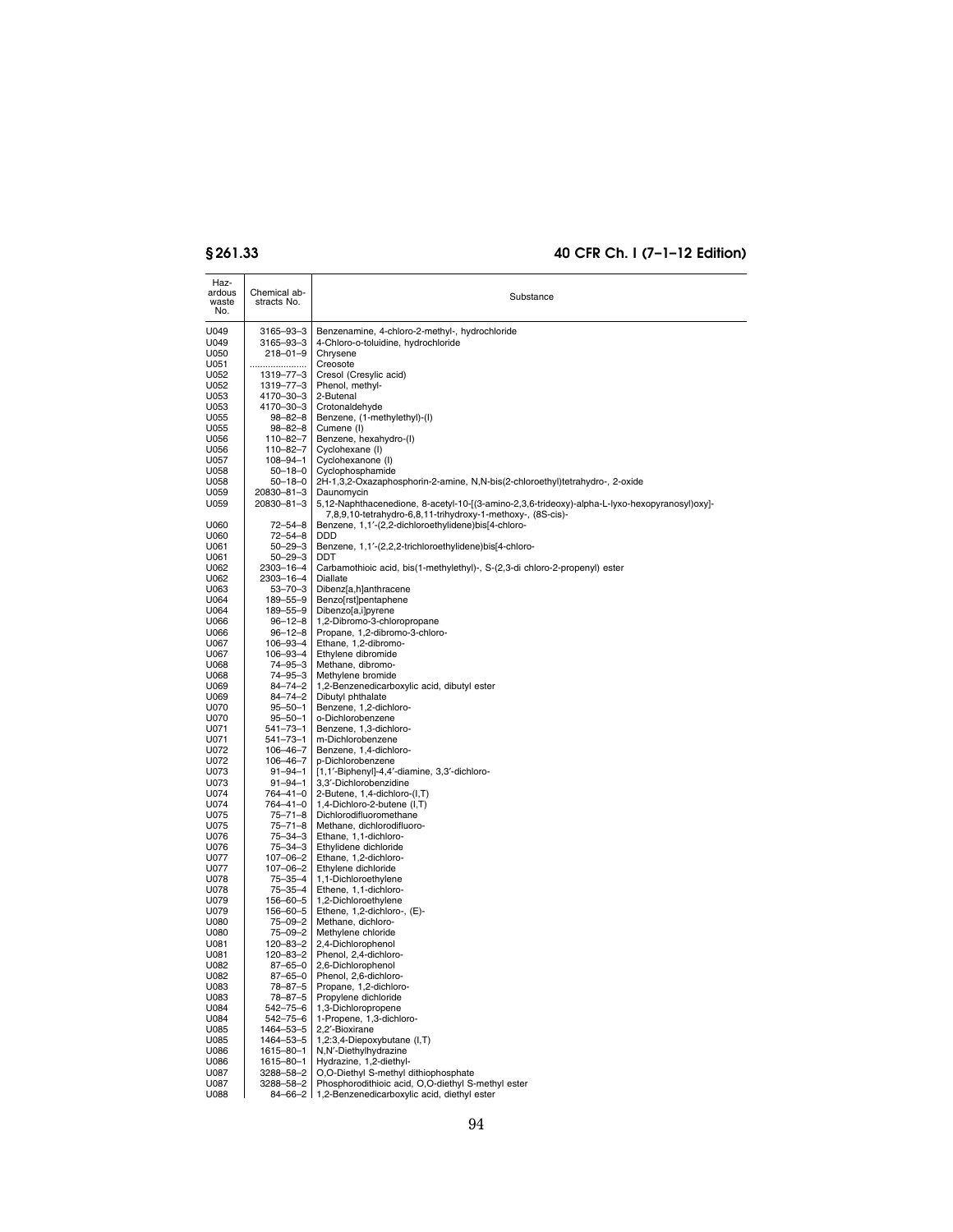| Haz-<br>ardous<br>waste<br>No. | Chemical ab-<br>stracts No.    | Substance                                                                                                                                                    |
|--------------------------------|--------------------------------|--------------------------------------------------------------------------------------------------------------------------------------------------------------|
| U049                           | 3165-93-3                      | Benzenamine, 4-chloro-2-methyl-, hydrochloride                                                                                                               |
| U049                           | 3165–93–3                      | 4-Chloro-o-toluidine, hydrochloride                                                                                                                          |
| U050                           | $218 - 01 - 9$                 | Chrysene                                                                                                                                                     |
| U051<br>U052                   | <br>1319-77-3                  | Creosote<br>Cresol (Cresylic acid)                                                                                                                           |
| U052                           | 1319-77-3                      | Phenol, methyl-                                                                                                                                              |
| U053                           | 4170-30-3                      | 2-Butenal                                                                                                                                                    |
| U053                           | 4170-30-3                      | Crotonaldehyde                                                                                                                                               |
| U055<br>U055                   | 98-82-8<br>$98 - 82 - 8$       | Benzene, (1-methylethyl)-(I)<br>Cumene (I)                                                                                                                   |
| U056                           | 110-82-7                       | Benzene, hexahydro-(I)                                                                                                                                       |
| U056                           | 110–82–7                       | Cyclohexane (I)                                                                                                                                              |
| U057<br>U058                   | 108–94–1<br>$50 - 18 - 0$      | Cyclohexanone (I)<br>Cyclophosphamide                                                                                                                        |
| U058                           | $50 - 18 - 0$                  | 2H-1,3,2-Oxazaphosphorin-2-amine, N,N-bis(2-chloroethyl)tetrahydro-, 2-oxide                                                                                 |
| U059                           | 20830-81-3                     | Daunomycin                                                                                                                                                   |
| U059                           | 20830-81-3<br>$72 - 54 - 8$    | 5,12-Naphthacenedione, 8-acetyl-10-[(3-amino-2,3,6-trideoxy)-alpha-L-lyxo-hexopyranosyl)oxy]-<br>7,8,9,10-tetrahydro-6,8,11-trihydroxy-1-methoxy-, (8S-cis)- |
| U060<br>U060                   | 72-54-8                        | Benzene, 1,1'-(2,2-dichloroethylidene)bis[4-chloro-<br>DDD                                                                                                   |
| U061                           | $50 - 29 - 3$                  | Benzene, 1,1'-(2,2,2-trichloroethylidene)bis[4-chloro-                                                                                                       |
| U061                           | $50 - 29 - 3$                  | DDT                                                                                                                                                          |
| U062<br>U062                   | 2303-16-4<br>2303-16-4         | Carbamothioic acid, bis(1-methylethyl)-, S-(2,3-di chloro-2-propenyl) ester<br>Diallate                                                                      |
| U063                           | $53 - 70 - 3$                  | Dibenz[a,h]anthracene                                                                                                                                        |
| U064                           | 189-55-9                       | Benzo[rst]pentaphene                                                                                                                                         |
| U064                           | 189-55-9                       | Dibenzo[a,i]pyrene                                                                                                                                           |
| U066<br>U066                   | $96 - 12 - 8$<br>$96 - 12 - 8$ | 1,2-Dibromo-3-chloropropane<br>Propane, 1,2-dibromo-3-chloro-                                                                                                |
| U067                           | 106-93-4                       | Ethane, 1,2-dibromo-                                                                                                                                         |
| U067                           | 106-93-4                       | Ethylene dibromide                                                                                                                                           |
| U068<br>U068                   | 74-95-3<br>74-95-3             | Methane, dibromo-<br>Methylene bromide                                                                                                                       |
| U069                           | $84 - 74 - 2$                  | 1,2-Benzenedicarboxylic acid, dibutyl ester                                                                                                                  |
| U069                           | $84 - 74 - 2$                  | Dibutyl phthalate                                                                                                                                            |
| U070                           | $95 - 50 - 1$                  | Benzene, 1,2-dichloro-<br>o-Dichlorobenzene                                                                                                                  |
| U070<br>U071                   | $95 - 50 - 1$<br>541–73–1      | Benzene, 1,3-dichloro-                                                                                                                                       |
| U071                           | 541–73–1                       | m-Dichlorobenzene                                                                                                                                            |
| U072                           | 106-46-7                       | Benzene, 1,4-dichloro-                                                                                                                                       |
| U072<br>U073                   | 106-46-7<br>$91 - 94 - 1$      | p-Dichlorobenzene<br>[1,1'-Biphenyl]-4,4'-diamine, 3,3'-dichloro-                                                                                            |
| U073                           | $91 - 94 - 1$                  | 3,3'-Dichlorobenzidine                                                                                                                                       |
| U074                           | 764-41-0                       | 2-Butene, 1,4-dichloro-(I,T)                                                                                                                                 |
| U074<br>U075                   | 764-41-0<br>$75 - 71 - 8$      | 1,4-Dichloro-2-butene (I,T)<br>Dichlorodifluoromethane                                                                                                       |
| U075                           | $75 - 71 - 8$                  | Methane, dichlorodifluoro-                                                                                                                                   |
| U076                           | 75-34-3                        | Ethane, 1,1-dichloro-                                                                                                                                        |
| U076                           | 75–34–3                        | Ethylidene dichloride                                                                                                                                        |
| U077<br>U077                   | 107-06-2<br>107-06-2           | Ethane, 1,2-dichloro-<br>Ethylene dichloride                                                                                                                 |
| U078                           | 75-35-4                        | 1,1-Dichloroethylene                                                                                                                                         |
| U078                           | 75-35-4                        | Ethene, 1,1-dichloro-                                                                                                                                        |
| U079<br>U079                   | 156-60-5<br>156–60–5           | 1,2-Dichloroethylene<br>Ethene, 1,2-dichloro-, (E)-                                                                                                          |
| U080                           | 75-09-2                        | Methane, dichloro-                                                                                                                                           |
| U080                           | 75-09-2                        | Methylene chloride                                                                                                                                           |
| U081                           | 120-83-2                       | 2,4-Dichlorophenol                                                                                                                                           |
| U081<br>U082                   | 120-83-2<br>$87 - 65 - 0$      | Phenol, 2,4-dichloro-<br>2,6-Dichlorophenol                                                                                                                  |
| U082                           | 87-65-0                        | Phenol, 2,6-dichloro-                                                                                                                                        |
| U083                           | 78-87-5                        | Propane, 1,2-dichloro-                                                                                                                                       |
| U083<br>U084                   | 78-87-5<br>542-75-6            | Propylene dichloride<br>1,3-Dichloropropene                                                                                                                  |
| U084                           | 542–75–6                       | 1-Propene, 1,3-dichloro-                                                                                                                                     |
| U085                           | 1464-53-5                      | 2,2'-Bioxirane                                                                                                                                               |
| U085                           | 1464-53-5                      | 1,2:3,4-Diepoxybutane (I,T)<br>N,N'-Diethylhydrazine                                                                                                         |
| U086<br>U086                   | 1615-80-1<br>1615-80-1         | Hydrazine, 1,2-diethyl-                                                                                                                                      |
| U087                           | 3288-58-2                      | O,O-Diethyl S-methyl dithiophosphate                                                                                                                         |
| U087                           | 3288-58-2                      | Phosphorodithioic acid, O,O-diethyl S-methyl ester                                                                                                           |
| U088                           | 84-66-2                        | 1,2-Benzenedicarboxylic acid, diethyl ester                                                                                                                  |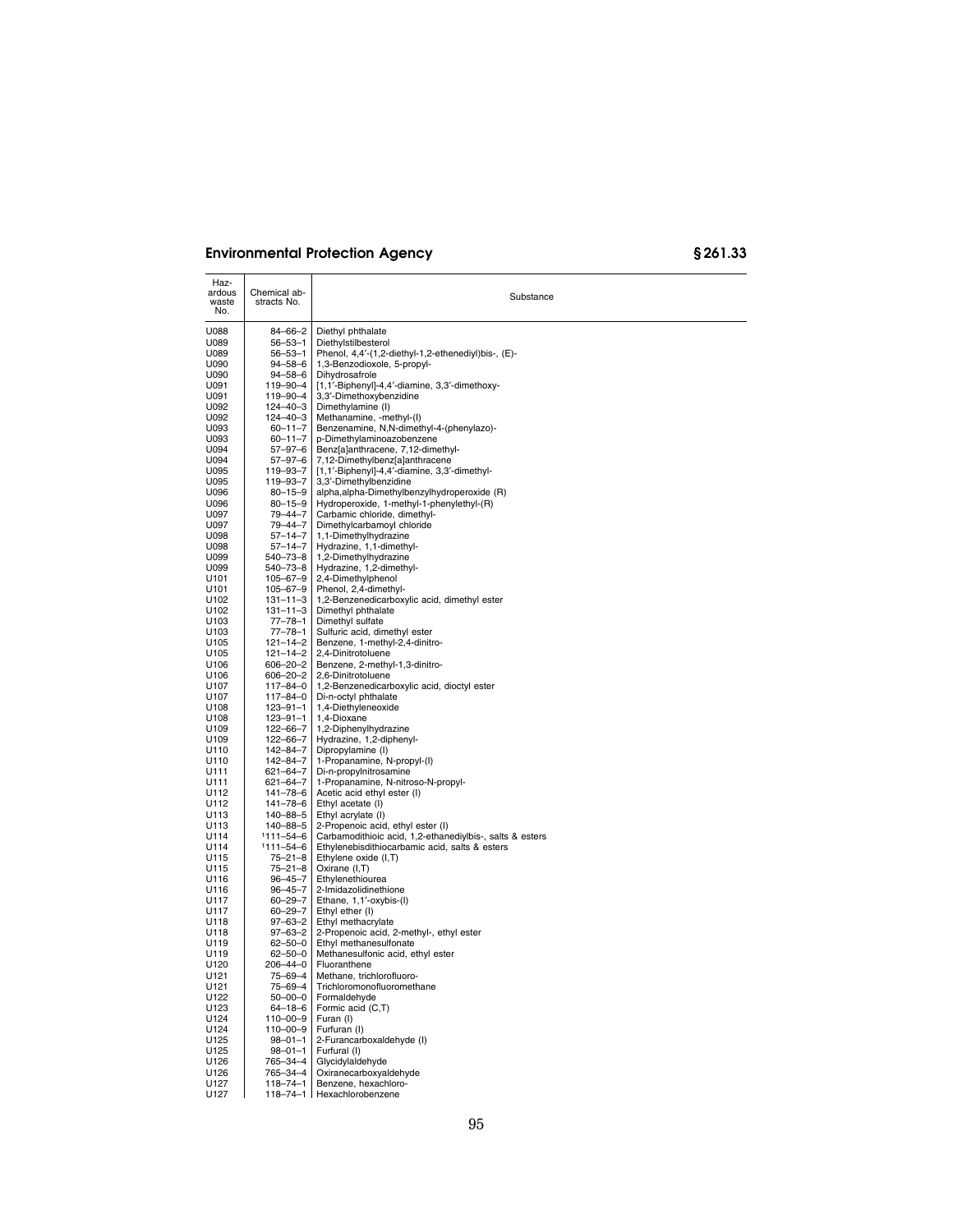| Haz-<br>ardous<br>waste<br>No. | Chemical ab-<br>stracts No.    | Substance                                                                |
|--------------------------------|--------------------------------|--------------------------------------------------------------------------|
| U088                           | 84-66-2                        | Diethyl phthalate                                                        |
| U089                           | $56 - 53 - 1$                  | Diethylstilbesterol                                                      |
| U089                           | 56-53-1                        | Phenol, 4,4'-(1,2-diethyl-1,2-ethenediyl)bis-, (E)-                      |
| U090                           | $94 - 58 - 6$                  | 1,3-Benzodioxole, 5-propyl-                                              |
| U090                           | $94 - 58 - 6$                  | Dihydrosafrole                                                           |
| U091<br>U091                   | 119-90-4<br>119-90-4           | [1,1'-Biphenyl]-4,4'-diamine, 3,3'-dimethoxy-<br>3,3'-Dimethoxybenzidine |
| U092                           | 124-40-3                       | Dimethylamine (I)                                                        |
| U092                           | 124-40-3                       | Methanamine, -methyl-(I)                                                 |
| U093                           | $60 - 11 - 7$                  | Benzenamine, N,N-dimethyl-4-(phenylazo)-                                 |
| U093                           | $60 - 11 - 7$                  | p-Dimethylaminoazobenzene                                                |
| U094                           | $57 - 97 - 6$                  | Benz[a]anthracene, 7,12-dimethyl-                                        |
| U094                           | 57-97-6                        | 7,12-Dimethylbenz[a]anthracene                                           |
| U095<br>U095                   | 119-93-7<br>119-93-7           | [1,1'-Biphenyl]-4,4'-diamine, 3,3'-dimethyl-<br>3,3'-Dimethylbenzidine   |
| U096                           | $80 - 15 - 9$                  | alpha, alpha-Dimethylbenzylhydroperoxide (R)                             |
| U096                           | $80 - 15 - 9$                  | Hydroperoxide, 1-methyl-1-phenylethyl-(R)                                |
| U097                           | 79-44-7                        | Carbamic chloride, dimethyl-                                             |
| U097                           | 79–44–7                        | Dimethylcarbamoyl chloride                                               |
| U098                           | 57-14-7                        | 1,1-Dimethylhydrazine                                                    |
| U098                           | $57 - 14 - 7$                  | Hydrazine, 1,1-dimethyl-                                                 |
| U099                           | 540–73–8                       | 1,2-Dimethylhydrazine                                                    |
| U099<br>U101                   | 540–73–8<br>105-67-9           | Hydrazine, 1,2-dimethyl-<br>2,4-Dimethylphenol                           |
| U101                           | 105-67-9                       | Phenol, 2,4-dimethyl-                                                    |
| U102                           | 131-11-3                       | 1,2-Benzenedicarboxylic acid, dimethyl ester                             |
| U102                           | $131 - 11 - 3$                 | Dimethyl phthalate                                                       |
| U103                           | 77–78–1                        | Dimethyl sulfate                                                         |
| U103                           | 77-78-1                        | Sulfuric acid, dimethyl ester                                            |
| U105                           | 121-14-2                       | Benzene, 1-methyl-2,4-dinitro-<br>2,4-Dinitrotoluene                     |
| U105<br>U106                   | $121 - 14 - 2$<br>606-20-2     | Benzene, 2-methyl-1,3-dinitro-                                           |
| U106                           | 606-20-2                       | 2,6-Dinitrotoluene                                                       |
| U107                           | 117-84-0                       | 1,2-Benzenedicarboxylic acid, dioctyl ester                              |
| U107                           | 117-84-0                       | Di-n-octyl phthalate                                                     |
| U108                           | 123-91-1                       | 1,4-Diethyleneoxide                                                      |
| U108                           | 123-91-1                       | 1,4-Dioxane                                                              |
| U109<br>U109                   | 122-66-7                       | 1,2-Diphenylhydrazine<br>Hydrazine, 1,2-diphenyl-                        |
| U110                           | 122-66-7<br>142-84-7           | Dipropylamine (I)                                                        |
| U110                           | 142-84-7                       | 1-Propanamine, N-propyl-(I)                                              |
| U111                           | 621-64-7                       | Di-n-propylnitrosamine                                                   |
| U111                           | 621-64-7                       | 1-Propanamine, N-nitroso-N-propyl-                                       |
| U112                           | 141–78–6                       | Acetic acid ethyl ester (I)                                              |
| U112                           | 141–78–6                       | Ethyl acetate (I)                                                        |
| U113<br>U113                   | 140-88-5<br>140-88-5           | Ethyl acrylate (I)<br>2-Propenoic acid, ethyl ester (I)                  |
| U114                           | 1111-54-6                      | Carbamodithioic acid, 1,2-ethanediylbis-, salts & esters                 |
| U114                           | 1111-54-6                      | Ethylenebisdithiocarbamic acid, salts & esters                           |
| U115                           | 75–21–8                        | Ethylene oxide (I,T)                                                     |
| U115                           | $75 - 21 - 8$                  | Oxirane (I,T)                                                            |
| U116                           | $96 - 45 - 7$                  | Ethylenethiourea                                                         |
| U116                           | 96–45–7                        | 2-Imidazolidinethione                                                    |
| U117<br>U117                   | $60 - 29 - 7$<br>$60 - 29 - 7$ | Ethane, 1,1'-oxybis-(I)<br>Ethyl ether (I)                               |
| U118                           | $97 - 63 - 2$                  | Ethyl methacrylate                                                       |
| U118                           | 97-63-2                        | 2-Propenoic acid, 2-methyl-, ethyl ester                                 |
| U119                           | $62 - 50 - 0$                  | Ethyl methanesulfonate                                                   |
| U119                           | $62 - 50 - 0$                  | Methanesulfonic acid, ethyl ester                                        |
| U120                           | 206-44-0                       | Fluoranthene                                                             |
| U121                           | 75-69-4                        | Methane, trichlorofluoro-                                                |
| U121<br>U122                   | $75 - 69 - 4$<br>$50 - 00 - 0$ | Trichloromonofluoromethane<br>Formaldehyde                               |
| U123                           | $64 - 18 - 6$                  | Formic acid (C,T)                                                        |
| U124                           | 110-00-9                       | Furan (I)                                                                |
| U124                           | $110 - 00 - 9$                 | Furfuran (I)                                                             |
| U125                           | $98 - 01 - 1$                  | 2-Furancarboxaldehyde (I)                                                |
| U125                           | $98 - 01 - 1$                  | Furfural (I)                                                             |
| U126                           | 765–34–4                       | Glycidylaldehyde                                                         |
| U126                           | 765-34-4<br>$118 - 74 - 1$     | Oxiranecarboxyaldehyde                                                   |
| U127<br>U127                   |                                | Benzene, hexachloro-<br>118-74-1 Hexachlorobenzene                       |
|                                |                                |                                                                          |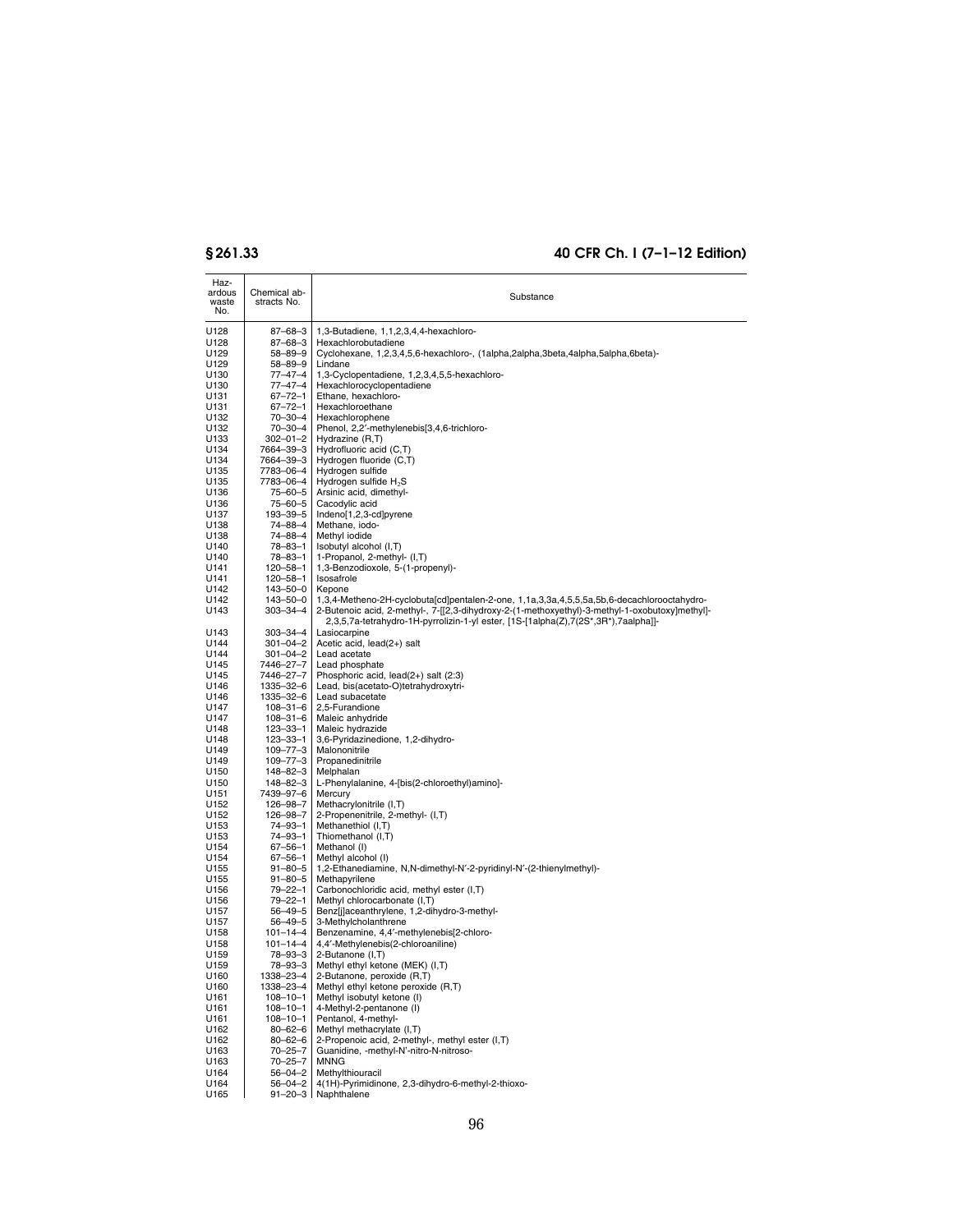| Haz-<br>ardous<br>waste<br>No. | Chemical ab-<br>stracts No.      | Substance                                                                                                                                                                            |
|--------------------------------|----------------------------------|--------------------------------------------------------------------------------------------------------------------------------------------------------------------------------------|
| U128                           | $87 - 68 - 3$                    | 1,3-Butadiene, 1,1,2,3,4,4-hexachloro-                                                                                                                                               |
| U128                           | 87-68-3                          | Hexachlorobutadiene                                                                                                                                                                  |
| U129                           | 58-89-9                          | Cyclohexane, 1,2,3,4,5,6-hexachloro-, (1alpha,2alpha,3beta,4alpha,5alpha,6beta)-                                                                                                     |
| U129                           | 58-89-9                          | Lindane                                                                                                                                                                              |
| U130<br>U130                   | 77–47–4<br>77-47-4               | 1,3-Cyclopentadiene, 1,2,3,4,5,5-hexachloro-<br>Hexachlorocyclopentadiene                                                                                                            |
| U131                           | $67 - 72 - 1$                    | Ethane, hexachloro-                                                                                                                                                                  |
| U131                           | $67 - 72 - 1$                    | Hexachloroethane                                                                                                                                                                     |
| U132                           | 70-30-4                          | Hexachlorophene                                                                                                                                                                      |
| U132                           | 70-30-4                          | Phenol, 2,2'-methylenebis[3,4,6-trichloro-                                                                                                                                           |
| U133<br>U134                   | 302-01-2<br>7664–39–3            | Hydrazine (R,T)<br>Hydrofluoric acid (C,T)                                                                                                                                           |
| U134                           | 7664–39–3                        | Hydrogen fluoride (C,T)                                                                                                                                                              |
| U135                           | 7783-06-4                        | Hydrogen sulfide                                                                                                                                                                     |
| U135                           | 7783-06-4                        | Hydrogen sulfide $H_2S$                                                                                                                                                              |
| U136                           | 75-60-5                          | Arsinic acid, dimethyl-                                                                                                                                                              |
| U136<br>U137                   | 75-60-5<br>193-39-5              | Cacodylic acid<br>Indeno[1,2,3-cd]pyrene                                                                                                                                             |
| U138                           | 74-88-4                          | Methane, iodo-                                                                                                                                                                       |
| U138                           | 74-88-4                          | Methyl iodide                                                                                                                                                                        |
| U140                           | 78-83-1                          | Isobutyl alcohol (I,T)                                                                                                                                                               |
| U140                           | 78-83-1                          | 1-Propanol, 2-methyl- (I,T)                                                                                                                                                          |
| U141<br>U141                   | $120 - 58 - 1$<br>$120 - 58 - 1$ | 1,3-Benzodioxole, 5-(1-propenyl)-<br>Isosafrole                                                                                                                                      |
| U142                           | 143-50-0                         | Kepone                                                                                                                                                                               |
| U142                           | 143-50-0                         | 1,3,4-Metheno-2H-cyclobuta[cd]pentalen-2-one, 1,1a,3,3a,4,5,5,5a,5b,6-decachlorooctahydro-                                                                                           |
| U143                           | 303-34-4                         | 2-Butenoic acid, 2-methyl-, 7-[[2,3-dihydroxy-2-(1-methoxyethyl)-3-methyl-1-oxobutoxy]methyl]-<br>2,3,5,7a-tetrahydro-1H-pyrrolizin-1-yl ester, [1S-[1alpha(Z),7(2S*,3R*),7aalpha]]- |
| U143                           | 303-34-4                         | Lasiocarpine                                                                                                                                                                         |
| U144<br>U144                   | 301-04-2<br>301-04-2             | Acetic acid, lead(2+) salt<br>Lead acetate                                                                                                                                           |
| U145                           | 7446–27–7                        | Lead phosphate                                                                                                                                                                       |
| U145                           | 7446-27-7                        | Phosphoric acid, lead(2+) salt (2:3)                                                                                                                                                 |
| U146                           | 1335-32-6                        | Lead, bis(acetato-O)tetrahydroxytri-                                                                                                                                                 |
| U146                           | 1335-32-6                        | Lead subacetate                                                                                                                                                                      |
| U147<br>U147                   | 108-31-6<br>108-31-6             | 2,5-Furandione<br>Maleic anhydride                                                                                                                                                   |
| U148                           | 123-33-1                         | Maleic hydrazide                                                                                                                                                                     |
| U148                           | 123-33-1                         | 3,6-Pyridazinedione, 1,2-dihydro-                                                                                                                                                    |
| U149                           | 109-77-3                         | Malononitrile                                                                                                                                                                        |
| U149<br>U150                   | 109-77-3<br>148-82-3             | Propanedinitrile<br>Melphalan                                                                                                                                                        |
| U150                           | 148-82-3                         | L-Phenylalanine, 4-[bis(2-chloroethyl)amino]-                                                                                                                                        |
| U151                           | 7439–97–6                        | Mercury                                                                                                                                                                              |
| U152                           | 126-98-7                         | Methacrylonitrile (I,T)                                                                                                                                                              |
| U152<br>U153                   | 126-98-7<br>74–93–1              | 2-Propenenitrile, 2-methyl- (I,T)<br>Methanethiol (I,T)                                                                                                                              |
| U153                           | 74-93-1                          | Thiomethanol (I,T)                                                                                                                                                                   |
| U154                           | 67-56-1                          | Methanol (I)                                                                                                                                                                         |
| U154                           | 67-56-1                          | Methyl alcohol (I)                                                                                                                                                                   |
| U155                           | $91 - 80 - 5$                    | 1,2-Ethanediamine, N,N-dimethyl-N'-2-pyridinyl-N'-(2-thienylmethyl)-                                                                                                                 |
| U155<br>U156                   | $91 - 80 - 5$<br>79-22-1         | Methapyrilene<br>Carbonochloridic acid, methyl ester (I,T)                                                                                                                           |
| U156                           | 79–22–1                          | Methyl chlorocarbonate (I,T)                                                                                                                                                         |
| U157                           | 56–49–5                          | Benz[j]aceanthrylene, 1,2-dihydro-3-methyl-                                                                                                                                          |
| U157                           | 56–49–5                          | 3-Methylcholanthrene                                                                                                                                                                 |
| U158                           | $101 - 14 - 4$                   | Benzenamine, 4,4'-methylenebis[2-chloro-                                                                                                                                             |
| U158<br>U159                   | $101 - 14 - 4$<br>78–93–3        | 4,4'-Methylenebis(2-chloroaniline)<br>2-Butanone (I,T)                                                                                                                               |
| U159                           | 78-93-3                          | Methyl ethyl ketone (MEK) (I,T)                                                                                                                                                      |
| U160                           | 1338-23-4                        | 2-Butanone, peroxide (R,T)                                                                                                                                                           |
| U160                           | 1338-23-4                        | Methyl ethyl ketone peroxide (R,T)                                                                                                                                                   |
| U161                           | $108 - 10 - 1$                   | Methyl isobutyl ketone (I)                                                                                                                                                           |
| U161<br>U161                   | $108 - 10 - 1$<br>$108 - 10 - 1$ | 4-Methyl-2-pentanone (I)<br>Pentanol, 4-methyl-                                                                                                                                      |
| U162                           | $80 - 62 - 6$                    | Methyl methacrylate (I,T)                                                                                                                                                            |
| U162                           | $80 - 62 - 6$                    | 2-Propenoic acid, 2-methyl-, methyl ester (I,T)                                                                                                                                      |
| U163                           | $70 - 25 - 7$                    | Guanidine, -methyl-N'-nitro-N-nitroso-                                                                                                                                               |
| U163                           | $70 - 25 - 7$                    | <b>MNNG</b>                                                                                                                                                                          |
| U164<br>U164                   | $56 - 04 - 2$<br>$56 - 04 - 2$   | Methylthiouracil<br>4(1H)-Pyrimidinone, 2,3-dihydro-6-methyl-2-thioxo-                                                                                                               |
| U165                           | $91 - 20 - 3$                    | Naphthalene                                                                                                                                                                          |
|                                |                                  |                                                                                                                                                                                      |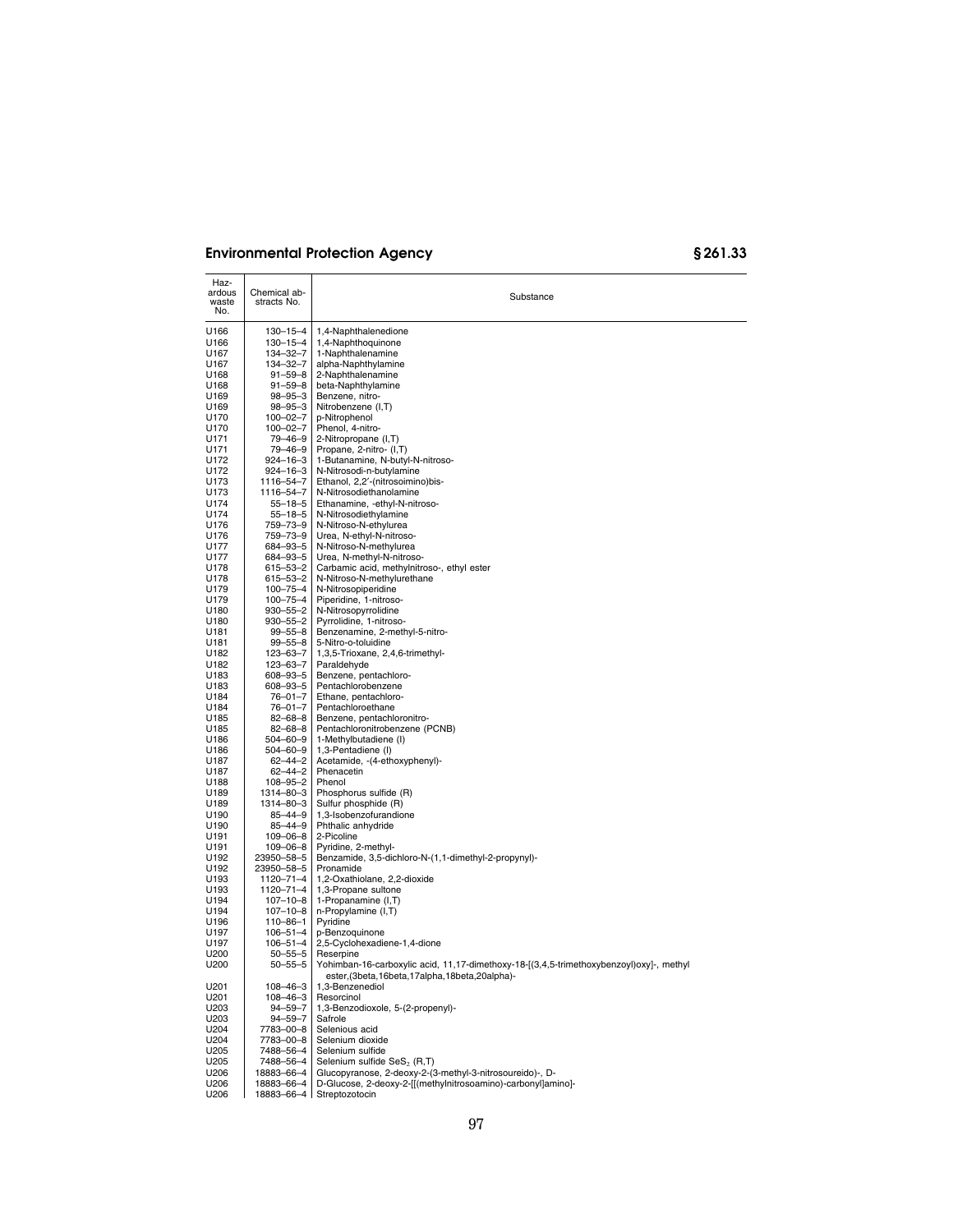| Haz-<br>ardous<br>waste<br>No. | Chemical ab-<br>stracts No.      | Substance                                                                                                                                                 |
|--------------------------------|----------------------------------|-----------------------------------------------------------------------------------------------------------------------------------------------------------|
| U166                           | $130 - 15 - 4$                   | 1,4-Naphthalenedione                                                                                                                                      |
| U166                           | $130 - 15 - 4$                   | 1,4-Naphthoquinone                                                                                                                                        |
| U167                           | 134-32-7                         | 1-Naphthalenamine                                                                                                                                         |
| U167<br>U168                   | 134-32-7<br>$91 - 59 - 8$        | alpha-Naphthylamine<br>2-Naphthalenamine                                                                                                                  |
| U168                           | $91 - 59 - 8$                    | beta-Naphthylamine                                                                                                                                        |
| U169                           | $98 - 95 - 3$                    | Benzene, nitro-                                                                                                                                           |
| U169                           | $98 - 95 - 3$                    | Nitrobenzene (I,T)                                                                                                                                        |
| U170<br>U170                   | 100-02-7<br>100-02-7             | p-Nitrophenol                                                                                                                                             |
| U171                           | 79-46-9                          | Phenol, 4-nitro-<br>2-Nitropropane (I,T)                                                                                                                  |
| U171                           | 79-46-9                          | Propane, 2-nitro- (I,T)                                                                                                                                   |
| U172                           | $924 - 16 - 3$                   | 1-Butanamine, N-butyl-N-nitroso-                                                                                                                          |
| U172                           | $924 - 16 - 3$<br>1116-54-7      | N-Nitrosodi-n-butylamine                                                                                                                                  |
| U173<br>U173                   | 1116-54-7                        | Ethanol, 2,2'-(nitrosoimino)bis-<br>N-Nitrosodiethanolamine                                                                                               |
| U174                           | $55 - 18 - 5$                    | Ethanamine, -ethyl-N-nitroso-                                                                                                                             |
| U174                           | $55 - 18 - 5$                    | N-Nitrosodiethylamine                                                                                                                                     |
| U176                           | 759-73-9                         | N-Nitroso-N-ethylurea                                                                                                                                     |
| U176<br>U177                   | 759-73-9<br>684-93-5             | Urea, N-ethyl-N-nitroso-<br>N-Nitroso-N-methylurea                                                                                                        |
| U177                           | 684-93-5                         | Urea, N-methyl-N-nitroso-                                                                                                                                 |
| U178                           | 615-53-2                         | Carbamic acid, methylnitroso-, ethyl ester                                                                                                                |
| U178                           | 615-53-2                         | N-Nitroso-N-methylurethane                                                                                                                                |
| U179<br>U179                   | $100 - 75 - 4$<br>$100 - 75 - 4$ | N-Nitrosopiperidine<br>Piperidine, 1-nitroso-                                                                                                             |
| U180                           | $930 - 55 - 2$                   | N-Nitrosopyrrolidine                                                                                                                                      |
| U180                           | $930 - 55 - 2$                   | Pyrrolidine, 1-nitroso-                                                                                                                                   |
| U181                           | $99 - 55 - 8$                    | Benzenamine, 2-methyl-5-nitro-                                                                                                                            |
| U181<br>U182                   | $99 - 55 - 8$<br>123-63-7        | 5-Nitro-o-toluidine<br>1,3,5-Trioxane, 2,4,6-trimethyl-                                                                                                   |
| U182                           | 123-63-7                         | Paraldehyde                                                                                                                                               |
| U183                           | 608-93-5                         | Benzene, pentachloro-                                                                                                                                     |
| U183                           | $608 - 93 - 5$                   | Pentachlorobenzene                                                                                                                                        |
| U184<br>U184                   | $76 - 01 - 7$<br>$76 - 01 - 7$   | Ethane, pentachloro-<br>Pentachloroethane                                                                                                                 |
| U185                           | $82 - 68 - 8$                    | Benzene, pentachloronitro-                                                                                                                                |
| U185                           | $82 - 68 - 8$                    | Pentachloronitrobenzene (PCNB)                                                                                                                            |
| U186                           | 504-60-9                         | 1-Methylbutadiene (I)                                                                                                                                     |
| U186<br>U187                   | 504-60-9<br>$62 - 44 - 2$        | 1,3-Pentadiene (I)<br>Acetamide, -(4-ethoxyphenyl)-                                                                                                       |
| U187                           | $62 - 44 - 2$                    | Phenacetin                                                                                                                                                |
| U188                           | $108 - 95 - 2$                   | Phenol                                                                                                                                                    |
| U189                           | 1314-80-3                        | Phosphorus sulfide (R)                                                                                                                                    |
| U189<br>U190                   | 1314-80-3<br>$85 - 44 - 9$       | Sulfur phosphide (R)<br>1,3-Isobenzofurandione                                                                                                            |
| U190                           | $85 - 44 - 9$                    | Phthalic anhydride                                                                                                                                        |
| U191                           | 109-06-8                         | 2-Picoline                                                                                                                                                |
| U191<br>U192                   | $109 - 06 - 8$<br>23950-58-5     | Pyridine, 2-methyl-<br>Benzamide, 3,5-dichloro-N-(1,1-dimethyl-2-propynyl)-                                                                               |
| U192                           | 23950-58-5                       | Pronamide                                                                                                                                                 |
| U193                           | 1120-71-4                        | 1.2-Oxathiolane, 2.2-dioxide                                                                                                                              |
| U193                           | 1120–71–4                        | 1,3-Propane sultone                                                                                                                                       |
| U194<br>U194                   | $107 - 10 - 8$<br>$107 - 10 - 8$ | 1-Propanamine (I,T)<br>n-Propylamine (I,T)                                                                                                                |
| U196                           | $110 - 86 - 1$                   | Pyridine                                                                                                                                                  |
| U197                           | $106 - 51 - 4$                   | p-Benzoquinone                                                                                                                                            |
| U197                           | $106 - 51 - 4$                   | 2,5-Cyclohexadiene-1,4-dione                                                                                                                              |
| U200<br>U200                   | $50 - 55 - 5$<br>$50 - 55 - 5$   | Reserpine<br>Yohimban-16-carboxylic acid, 11,17-dimethoxy-18-[(3,4,5-trimethoxybenzoyl)oxy]-, methyl<br>ester, (3beta, 16beta, 17alpha, 18beta, 20alpha)- |
| U201                           | $108 - 46 - 3$                   | 1,3-Benzenediol                                                                                                                                           |
| U201<br>U203                   | 108-46-3<br>$94 - 59 - 7$        | Resorcinol<br>1,3-Benzodioxole, 5-(2-propenyl)-                                                                                                           |
| U203                           | $94 - 59 - 7$                    | Safrole                                                                                                                                                   |
| U204                           | 7783-00-8                        | Selenious acid                                                                                                                                            |
| U204                           | 7783-00-8                        | Selenium dioxide                                                                                                                                          |
| U205<br>U205                   | 7488-56-4<br>7488-56-4           | Selenium sulfide<br>Selenium sulfide SeS <sub>2</sub> (R,T)                                                                                               |
| U206                           | 18883-66-4                       | Glucopyranose, 2-deoxy-2-(3-methyl-3-nitrosoureido)-, D-                                                                                                  |
| U206                           | 18883-66-4                       | D-Glucose, 2-deoxy-2-[[(methylnitrosoamino)-carbonyl]amino]-                                                                                              |
| U206                           | 18883-66-4                       | Streptozotocin                                                                                                                                            |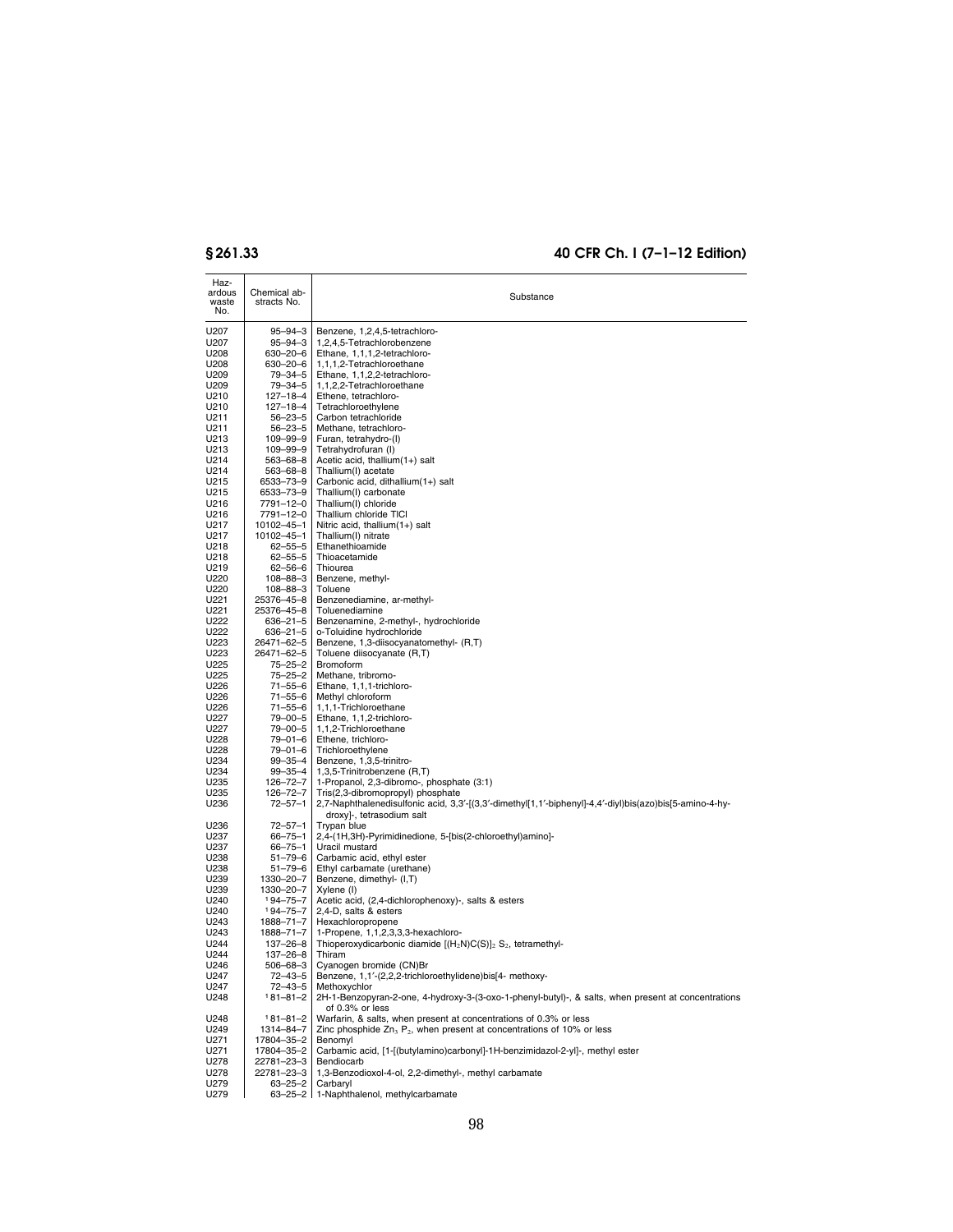| Haz-<br>ardous<br>waste<br>No. | Chemical ab-<br>stracts No. | Substance                                                                                                                              |
|--------------------------------|-----------------------------|----------------------------------------------------------------------------------------------------------------------------------------|
| U207                           | 95-94-3                     | Benzene, 1,2,4,5-tetrachloro-                                                                                                          |
| U207                           | 95-94-3                     | 1,2,4,5-Tetrachlorobenzene                                                                                                             |
| U208                           | 630–20–6                    | Ethane, 1,1,1,2-tetrachloro-                                                                                                           |
| U208                           | 630–20–6                    | 1,1,1,2-Tetrachloroethane                                                                                                              |
| U209<br>U209                   | $79 - 34 - 5$<br>79–34–5    | Ethane, 1,1,2,2-tetrachloro-<br>1.1.2.2-Tetrachloroethane                                                                              |
| U210                           | 127-18-4                    | Ethene, tetrachloro-                                                                                                                   |
| U210                           | 127-18-4                    | Tetrachloroethylene                                                                                                                    |
| U211                           | 56–23–5                     | Carbon tetrachloride                                                                                                                   |
| U211<br>U213                   | $56 - 23 - 5$               | Methane, tetrachloro-                                                                                                                  |
| U213                           | 109-99-9<br>109-99-9        | Furan, tetrahydro-(I)<br>Tetrahydrofuran (I)                                                                                           |
| U214                           | 563–68–8                    | Acetic acid, thallium(1+) salt                                                                                                         |
| U214                           | 563-68-8                    | Thallium(I) acetate                                                                                                                    |
| U215                           | 6533-73-9                   | Carbonic acid, dithallium(1+) salt                                                                                                     |
| U215<br>U216                   | 6533-73-9<br>7791-12-0      | Thallium(I) carbonate<br>Thallium(I) chloride                                                                                          |
| U216                           | 7791-12-0                   | Thallium chloride TICI                                                                                                                 |
| U217                           | 10102-45-1                  | Nitric acid, thallium(1+) salt                                                                                                         |
| U217                           | 10102-45-1                  | Thallium(I) nitrate                                                                                                                    |
| U218<br>U218                   | $62 - 55 - 5$<br>62–55–5    | Ethanethioamide<br>Thioacetamide                                                                                                       |
| U219                           | 62–56–6                     | Thiourea                                                                                                                               |
| U220                           | 108-88-3                    | Benzene, methyl-                                                                                                                       |
| U220                           | 108-88-3                    | Toluene                                                                                                                                |
| U221<br>U221                   | 25376-45-8<br>25376-45-8    | Benzenediamine, ar-methyl-<br>Toluenediamine                                                                                           |
| U222                           | 636-21-5                    | Benzenamine, 2-methyl-, hydrochloride                                                                                                  |
| U222                           | 636–21–5                    | o-Toluidine hydrochloride                                                                                                              |
| U223                           | 26471-62-5                  | Benzene, 1,3-diisocyanatomethyl- (R,T)                                                                                                 |
| U223<br>U225                   | 26471-62-5<br>75–25–2       | Toluene diisocyanate (R,T)<br><b>Bromoform</b>                                                                                         |
| U225                           | 75–25–2                     | Methane, tribromo-                                                                                                                     |
| U226                           | $71 - 55 - 6$               | Ethane, 1,1,1-trichloro-                                                                                                               |
| U226                           | $71 - 55 - 6$               | Methyl chloroform                                                                                                                      |
| U226<br>U227                   | 71–55–6<br>79-00-5          | 1,1,1-Trichloroethane<br>Ethane, 1,1,2-trichloro-                                                                                      |
| U227                           | 79-00-5                     | 1,1,2-Trichloroethane                                                                                                                  |
| U228                           | 79-01-6                     | Ethene, trichloro-                                                                                                                     |
| U228                           | 79-01-6                     | Trichloroethylene                                                                                                                      |
| U234<br>U234                   | 99-35-4<br>99-35-4          | Benzene, 1,3,5-trinitro-<br>1,3,5-Trinitrobenzene (R,T)                                                                                |
| U235                           | 126-72-7                    | 1-Propanol, 2,3-dibromo-, phosphate (3:1)                                                                                              |
| U235                           | $126 - 72 - 7$              | Tris(2,3-dibromopropyl) phosphate                                                                                                      |
| U236                           | $72 - 57 - 1$               | 2,7-Naphthalenedisulfonic acid, 3,3'-[(3,3'-dimethyl[1,1'-biphenyl]-4,4'-diyl)bis(azo)bis[5-amino-4-hy-<br>droxy]-, tetrasodium salt   |
| U236<br>U237                   | $72 - 57 - 1$               | Trypan blue<br>2,4-(1H,3H)-Pyrimidinedione, 5-[bis(2-chloroethyl)amino]-                                                               |
| U237                           | $66 - 75 - 1$<br>66–75–1    | Uracil mustard                                                                                                                         |
| U238                           | 51-79-6                     | Carbamic acid, ethyl ester                                                                                                             |
| U238                           | $51 - 79 - 6$               | Ethyl carbamate (urethane)                                                                                                             |
| U239<br>U239                   | 1330-20-7                   | Benzene, dimethyl- (I,T)<br>Xylene (I)                                                                                                 |
| U240                           | 1330-20-7<br>194–75–7       | Acetic acid, (2,4-dichlorophenoxy)-, salts & esters                                                                                    |
| U240                           | 194-75-7                    | 2,4-D, salts & esters                                                                                                                  |
| U243                           | 1888-71-7                   | Hexachloropropene                                                                                                                      |
| U243<br>U244                   | 1888-71-7<br>137-26-8       | 1-Propene, 1,1,2,3,3,3-hexachloro-<br>Thioperoxydicarbonic diamide $[(H_2N)C(S)]_2 S_2$ , tetramethyl-                                 |
| U244                           | $137 - 26 - 8$              | Thiram                                                                                                                                 |
| U246                           | 506-68-3                    | Cyanogen bromide (CN)Br                                                                                                                |
| U247                           | 72–43–5                     | Benzene, 1,1'-(2,2,2-trichloroethylidene)bis[4- methoxy-                                                                               |
| U247<br>U248                   | 72–43–5<br>181-81-2         | Methoxychlor<br>2H-1-Benzopyran-2-one, 4-hydroxy-3-(3-oxo-1-phenyl-butyl)-, & salts, when present at concentrations<br>of 0.3% or less |
| U248                           | $181 - 81 - 2$              | Warfarin, & salts, when present at concentrations of 0.3% or less                                                                      |
| U249                           | 1314-84-7                   | Zinc phosphide $Zn_3$ $P_2$ , when present at concentrations of 10% or less                                                            |
| U271                           | 17804-35-2                  | Benomyl                                                                                                                                |
| U271<br>U278                   | 17804-35-2<br>22781-23-3    | Carbamic acid, [1-[(butylamino)carbonyl]-1H-benzimidazol-2-yl]-, methyl ester<br>Bendiocarb                                            |
| U278                           | 22781-23-3                  | 1,3-Benzodioxol-4-ol, 2,2-dimethyl-, methyl carbamate                                                                                  |
| U279                           | 63-25-2                     | Carbaryl                                                                                                                               |
| U279                           |                             | 63-25-2 1-Naphthalenol, methylcarbamate                                                                                                |